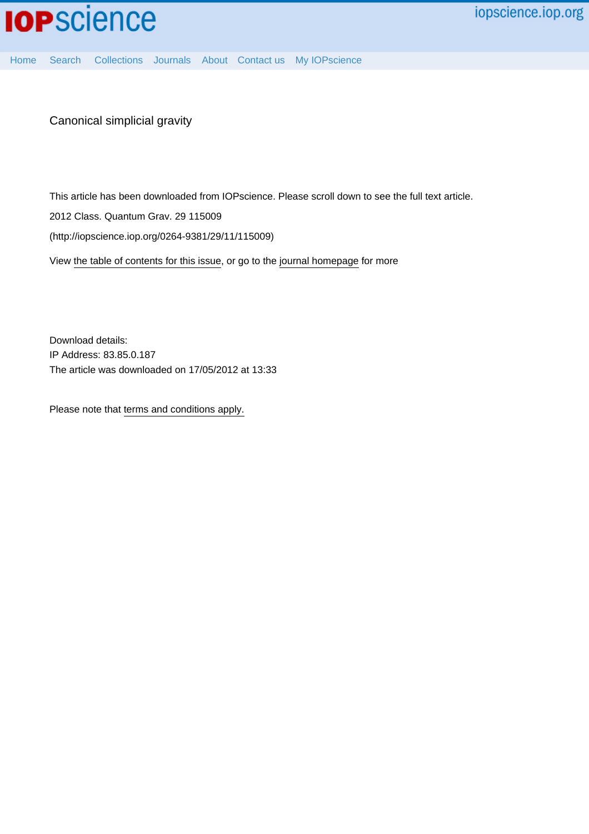

[Home](http://iopscience.iop.org/) [Search](http://iopscience.iop.org/search) [Collections](http://iopscience.iop.org/collections) [Journals](http://iopscience.iop.org/journals) [About](http://iopscience.iop.org/page/aboutioppublishing) [Contact us](http://iopscience.iop.org/contact) [My IOPscience](http://iopscience.iop.org/myiopscience)

Canonical simplicial gravity

This article has been downloaded from IOPscience. Please scroll down to see the full text article.

2012 Class. Quantum Grav. 29 115009

(http://iopscience.iop.org/0264-9381/29/11/115009)

View [the table of contents for this issue](http://iopscience.iop.org/0264-9381/29/11), or go to the [journal homepage](http://iopscience.iop.org/0264-9381) for more

Download details: IP Address: 83.85.0.187 The article was downloaded on 17/05/2012 at 13:33

Please note that [terms and conditions apply.](http://iopscience.iop.org/page/terms)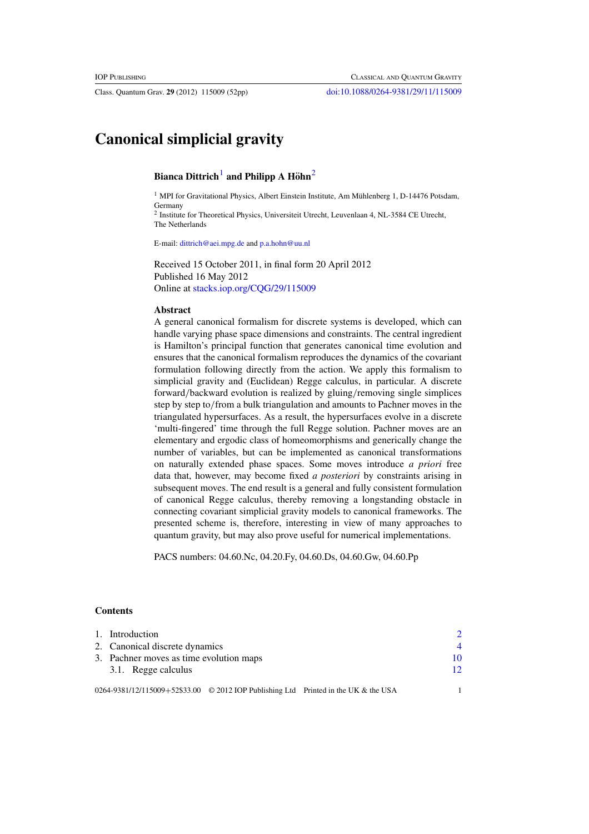# **Canonical simplicial gravity**

## **Bianca Dittrich<sup>1</sup> and Philipp A Höhn<sup>2</sup>**

<sup>1</sup> MPI for Gravitational Physics, Albert Einstein Institute, Am Mühlenberg 1, D-14476 Potsdam, Germany

<sup>2</sup> Institute for Theoretical Physics, Universiteit Utrecht, Leuvenlaan 4, NL-3584 CE Utrecht, The Netherlands

E-mail: [dittrich@aei.mpg.de](mailto:dittrich@aei.mpg.de) and [p.a.hohn@uu.nl](mailto:p.a.hohn@uu.nl)

Received 15 October 2011, in final form 20 April 2012 Published 16 May 2012 Online at [stacks.iop.org/CQG/29/115009](http://stacks.iop.org/CQG/29/115009)

#### **Abstract**

A general canonical formalism for discrete systems is developed, which can handle varying phase space dimensions and constraints. The central ingredient is Hamilton's principal function that generates canonical time evolution and ensures that the canonical formalism reproduces the dynamics of the covariant formulation following directly from the action. We apply this formalism to simplicial gravity and (Euclidean) Regge calculus, in particular. A discrete forward*/*backward evolution is realized by gluing*/*removing single simplices step by step to*/*from a bulk triangulation and amounts to Pachner moves in the triangulated hypersurfaces. As a result, the hypersurfaces evolve in a discrete 'multi-fingered' time through the full Regge solution. Pachner moves are an elementary and ergodic class of homeomorphisms and generically change the number of variables, but can be implemented as canonical transformations on naturally extended phase spaces. Some moves introduce *a priori* free data that, however, may become fixed *a posteriori* by constraints arising in subsequent moves. The end result is a general and fully consistent formulation of canonical Regge calculus, thereby removing a longstanding obstacle in connecting covariant simplicial gravity models to canonical frameworks. The presented scheme is, therefore, interesting in view of many approaches to quantum gravity, but may also prove useful for numerical implementations.

PACS numbers: 04.60.Nc, 04.20.Fy, 04.60.Ds, 04.60.Gw, 04.60.Pp

## **Contents**

| 1. Introduction                                                                           | $\mathcal{D}_{\mathcal{L}}$ |
|-------------------------------------------------------------------------------------------|-----------------------------|
| 2. Canonical discrete dynamics                                                            | $\overline{4}$              |
| 3. Pachner moves as time evolution maps                                                   | 10                          |
| 3.1. Regge calculus                                                                       | 12.                         |
| 0264-9381/12/115009+52\$33.00 $\odot$ 2012 IOP Publishing Ltd Printed in the UK & the USA |                             |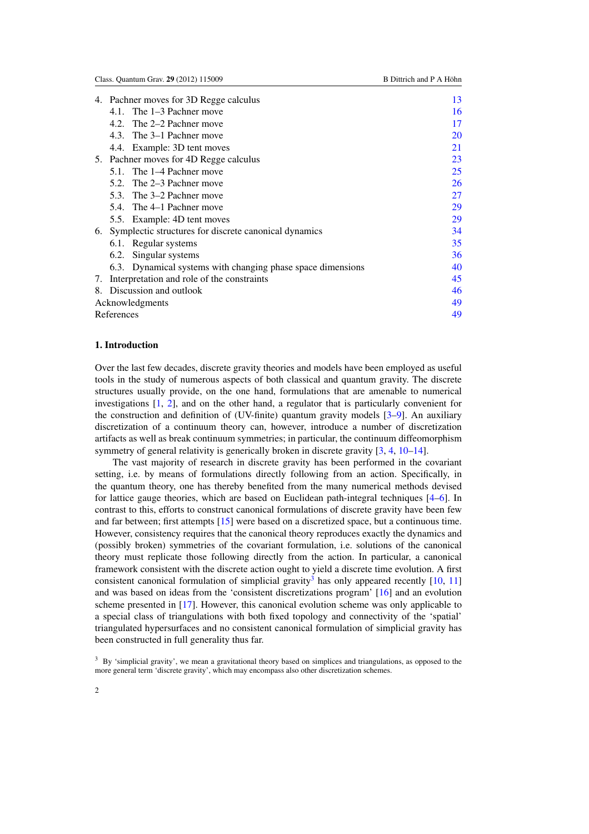<span id="page-2-0"></span>

|                 | 4. Pachner moves for 3D Regge calculus                      | 13 |  |  |  |  |  |  |
|-----------------|-------------------------------------------------------------|----|--|--|--|--|--|--|
|                 | 4.1. The $1-3$ Pachner move                                 | 16 |  |  |  |  |  |  |
|                 | 4.2. The 2–2 Pachner move                                   | 17 |  |  |  |  |  |  |
|                 | 4.3. The 3–1 Pachner move                                   | 20 |  |  |  |  |  |  |
|                 | 4.4. Example: 3D tent moves                                 | 21 |  |  |  |  |  |  |
|                 | 5. Pachner moves for 4D Regge calculus                      |    |  |  |  |  |  |  |
|                 | 5.1. The 1–4 Pachner move                                   | 25 |  |  |  |  |  |  |
|                 | 5.2. The 2-3 Pachner move                                   | 26 |  |  |  |  |  |  |
|                 | 5.3. The 3–2 Pachner move                                   | 27 |  |  |  |  |  |  |
|                 | 5.4. The 4–1 Pachner move                                   | 29 |  |  |  |  |  |  |
|                 | 5.5. Example: 4D tent moves                                 | 29 |  |  |  |  |  |  |
|                 | 6. Symplectic structures for discrete canonical dynamics    |    |  |  |  |  |  |  |
|                 | 6.1. Regular systems                                        | 35 |  |  |  |  |  |  |
|                 | Singular systems<br>6.2.                                    | 36 |  |  |  |  |  |  |
|                 | 6.3. Dynamical systems with changing phase space dimensions | 40 |  |  |  |  |  |  |
| 7.              | Interpretation and role of the constraints                  | 45 |  |  |  |  |  |  |
| 8.              | Discussion and outlook                                      |    |  |  |  |  |  |  |
| Acknowledgments |                                                             |    |  |  |  |  |  |  |
| References      |                                                             |    |  |  |  |  |  |  |

## **1. Introduction**

Over the last few decades, discrete gravity theories and models have been employed as useful tools in the study of numerous aspects of both classical and quantum gravity. The discrete structures usually provide, on the one hand, formulations that are amenable to numerical investigations [\[1,](#page-49-0) [2](#page-49-0)], and on the other hand, a regulator that is particularly convenient for the construction and definition of (UV-finite) quantum gravity models [\[3](#page-49-0)[–9\]](#page-50-0). An auxiliary discretization of a continuum theory can, however, introduce a number of discretization artifacts as well as break continuum symmetries; in particular, the continuum diffeomorphism symmetry of general relativity is generically broken in discrete gravity [\[3,](#page-49-0) [4,](#page-50-0) [10–14](#page-50-0)].

The vast majority of research in discrete gravity has been performed in the covariant setting, i.e. by means of formulations directly following from an action. Specifically, in the quantum theory, one has thereby benefited from the many numerical methods devised for lattice gauge theories, which are based on Euclidean path-integral techniques [\[4–6\]](#page-50-0). In contrast to this, efforts to construct canonical formulations of discrete gravity have been few and far between; first attempts [\[15\]](#page-50-0) were based on a discretized space, but a continuous time. However, consistency requires that the canonical theory reproduces exactly the dynamics and (possibly broken) symmetries of the covariant formulation, i.e. solutions of the canonical theory must replicate those following directly from the action. In particular, a canonical framework consistent with the discrete action ought to yield a discrete time evolution. A first consistent canonical formulation of simplicial gravity<sup>3</sup> has only appeared recently  $[10, 11]$  $[10, 11]$  $[10, 11]$  $[10, 11]$ and was based on ideas from the 'consistent discretizations program' [\[16\]](#page-50-0) and an evolution scheme presented in [\[17](#page-51-0)]. However, this canonical evolution scheme was only applicable to a special class of triangulations with both fixed topology and connectivity of the 'spatial' triangulated hypersurfaces and no consistent canonical formulation of simplicial gravity has been constructed in full generality thus far.

<sup>&</sup>lt;sup>3</sup> By 'simplicial gravity', we mean a gravitational theory based on simplices and triangulations, as opposed to the more general term 'discrete gravity', which may encompass also other discretization schemes.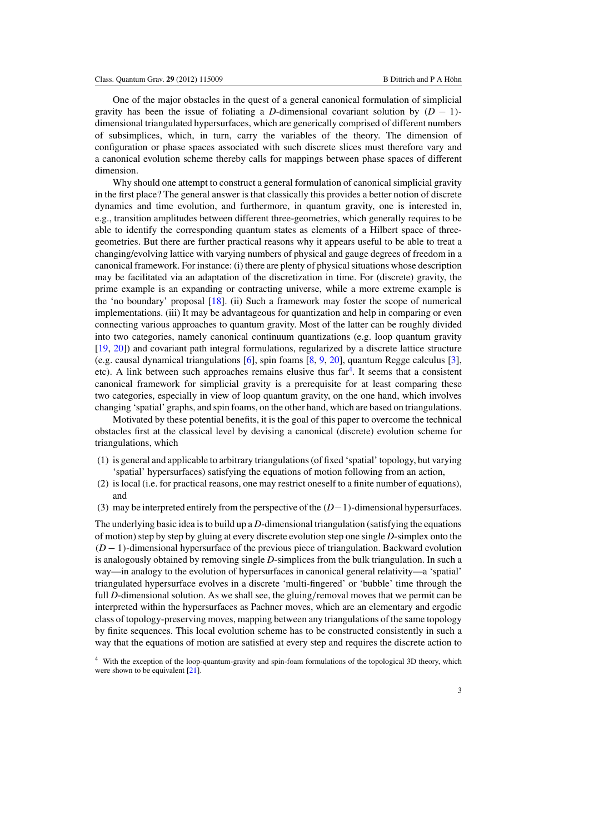One of the major obstacles in the quest of a general canonical formulation of simplicial gravity has been the issue of foliating a *D*-dimensional covariant solution by  $(D - 1)$ dimensional triangulated hypersurfaces, which are generically comprised of different numbers of subsimplices, which, in turn, carry the variables of the theory. The dimension of configuration or phase spaces associated with such discrete slices must therefore vary and a canonical evolution scheme thereby calls for mappings between phase spaces of different dimension.

Why should one attempt to construct a general formulation of canonical simplicial gravity in the first place? The general answer is that classically this provides a better notion of discrete dynamics and time evolution, and furthermore, in quantum gravity, one is interested in, e.g., transition amplitudes between different three-geometries, which generally requires to be able to identify the corresponding quantum states as elements of a Hilbert space of threegeometries. But there are further practical reasons why it appears useful to be able to treat a changing/evolving lattice with varying numbers of physical and gauge degrees of freedom in a canonical framework. For instance: (i) there are plenty of physical situations whose description may be facilitated via an adaptation of the discretization in time. For (discrete) gravity, the prime example is an expanding or contracting universe, while a more extreme example is the 'no boundary' proposal [\[18\]](#page-51-0). (ii) Such a framework may foster the scope of numerical implementations. (iii) It may be advantageous for quantization and help in comparing or even connecting various approaches to quantum gravity. Most of the latter can be roughly divided into two categories, namely canonical continuum quantizations (e.g. loop quantum gravity [\[19](#page-51-0), [20\]](#page-51-0)) and covariant path integral formulations, regularized by a discrete lattice structure (e.g. causal dynamical triangulations [\[6](#page-50-0)], spin foams [\[8](#page-50-0), [9,](#page-50-0) [20\]](#page-51-0), quantum Regge calculus [\[3\]](#page-49-0), etc). A link between such approaches remains elusive thus  $far<sup>4</sup>$ . It seems that a consistent canonical framework for simplicial gravity is a prerequisite for at least comparing these two categories, especially in view of loop quantum gravity, on the one hand, which involves changing 'spatial' graphs, and spin foams, on the other hand, which are based on triangulations.

Motivated by these potential benefits, it is the goal of this paper to overcome the technical obstacles first at the classical level by devising a canonical (discrete) evolution scheme for triangulations, which

- (1) is general and applicable to arbitrary triangulations (of fixed 'spatial' topology, but varying 'spatial' hypersurfaces) satisfying the equations of motion following from an action,
- (2) is local (i.e. for practical reasons, one may restrict oneself to a finite number of equations), and
- (3) may be interpreted entirely from the perspective of the (*D*−1)-dimensional hypersurfaces.

The underlying basic idea is to build up a *D*-dimensional triangulation (satisfying the equations of motion) step by step by gluing at every discrete evolution step one single *D*-simplex onto the (*D* − 1)-dimensional hypersurface of the previous piece of triangulation. Backward evolution is analogously obtained by removing single *D*-simplices from the bulk triangulation. In such a way—in analogy to the evolution of hypersurfaces in canonical general relativity—a 'spatial' triangulated hypersurface evolves in a discrete 'multi-fingered' or 'bubble' time through the full *D*-dimensional solution. As we shall see, the gluing*/*removal moves that we permit can be interpreted within the hypersurfaces as Pachner moves, which are an elementary and ergodic class of topology-preserving moves, mapping between any triangulations of the same topology by finite sequences. This local evolution scheme has to be constructed consistently in such a way that the equations of motion are satisfied at every step and requires the discrete action to

<sup>&</sup>lt;sup>4</sup> With the exception of the loop-quantum-gravity and spin-foam formulations of the topological 3D theory, which were shown to be equivalent [\[21](#page-51-0)].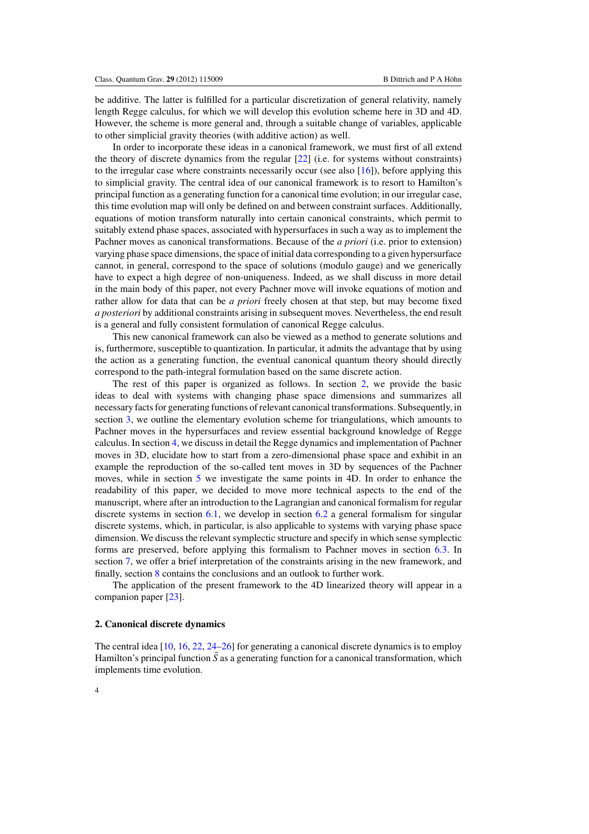<span id="page-4-0"></span>be additive. The latter is fulfilled for a particular discretization of general relativity, namely length Regge calculus, for which we will develop this evolution scheme here in 3D and 4D. However, the scheme is more general and, through a suitable change of variables, applicable to other simplicial gravity theories (with additive action) as well.

In order to incorporate these ideas in a canonical framework, we must first of all extend the theory of discrete dynamics from the regular [\[22\]](#page-51-0) (i.e. for systems without constraints) to the irregular case where constraints necessarily occur (see also [\[16](#page-50-0)]), before applying this to simplicial gravity. The central idea of our canonical framework is to resort to Hamilton's principal function as a generating function for a canonical time evolution; in our irregular case, this time evolution map will only be defined on and between constraint surfaces. Additionally, equations of motion transform naturally into certain canonical constraints, which permit to suitably extend phase spaces, associated with hypersurfaces in such a way as to implement the Pachner moves as canonical transformations. Because of the *a priori* (i.e. prior to extension) varying phase space dimensions, the space of initial data corresponding to a given hypersurface cannot, in general, correspond to the space of solutions (modulo gauge) and we generically have to expect a high degree of non-uniqueness. Indeed, as we shall discuss in more detail in the main body of this paper, not every Pachner move will invoke equations of motion and rather allow for data that can be *a priori* freely chosen at that step, but may become fixed *a posteriori* by additional constraints arising in subsequent moves. Nevertheless, the end result is a general and fully consistent formulation of canonical Regge calculus.

This new canonical framework can also be viewed as a method to generate solutions and is, furthermore, susceptible to quantization. In particular, it admits the advantage that by using the action as a generating function, the eventual canonical quantum theory should directly correspond to the path-integral formulation based on the same discrete action.

The rest of this paper is organized as follows. In section 2, we provide the basic ideas to deal with systems with changing phase space dimensions and summarizes all necessary facts for generating functions of relevant canonical transformations. Subsequently, in section [3,](#page-10-0) we outline the elementary evolution scheme for triangulations, which amounts to Pachner moves in the hypersurfaces and review essential background knowledge of Regge calculus. In section [4,](#page-13-0) we discuss in detail the Regge dynamics and implementation of Pachner moves in 3D, elucidate how to start from a zero-dimensional phase space and exhibit in an example the reproduction of the so-called tent moves in 3D by sequences of the Pachner moves, while in section [5](#page-23-0) we investigate the same points in 4D. In order to enhance the readability of this paper, we decided to move more technical aspects to the end of the manuscript, where after an introduction to the Lagrangian and canonical formalism for regular discrete systems in section [6.1,](#page-35-0) we develop in section [6.2](#page-36-0) a general formalism for singular discrete systems, which, in particular, is also applicable to systems with varying phase space dimension. We discuss the relevant symplectic structure and specify in which sense symplectic forms are preserved, before applying this formalism to Pachner moves in section [6.3.](#page-40-0) In section [7,](#page-45-0) we offer a brief interpretation of the constraints arising in the new framework, and finally, section [8](#page-46-0) contains the conclusions and an outlook to further work.

The application of the present framework to the 4D linearized theory will appear in a companion paper [\[23\]](#page-51-0).

## **2. Canonical discrete dynamics**

The central idea [\[10,](#page-50-0) [16,](#page-50-0) [22](#page-51-0), [24–26\]](#page-51-0) for generating a canonical discrete dynamics is to employ Hamilton's principal function *S* as a generating function for a canonical transformation, which implements time evolution.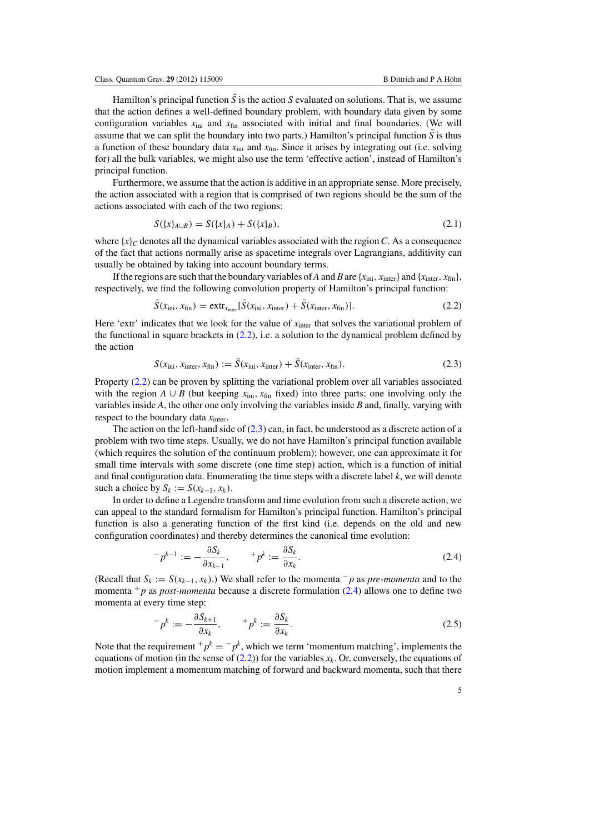<span id="page-5-0"></span>Hamilton's principal function  $\tilde{S}$  is the action *S* evaluated on solutions. That is, we assume that the action defines a well-defined boundary problem, with boundary data given by some configuration variables  $x_{\text{ini}}$  and  $x_{\text{fin}}$  associated with initial and final boundaries. (We will assume that we can split the boundary into two parts.) Hamilton's principal function  $\tilde{S}$  is thus a function of these boundary data  $x_{\text{ini}}$  and  $x_{\text{fin}}$ . Since it arises by integrating out (i.e. solving for) all the bulk variables, we might also use the term 'effective action', instead of Hamilton's principal function.

Furthermore, we assume that the action is additive in an appropriate sense. More precisely, the action associated with a region that is comprised of two regions should be the sum of the actions associated with each of the two regions:

$$
S(\{x\}_{A\cup B}) = S(\{x\}_A) + S(\{x\}_B),\tag{2.1}
$$

where  ${x_i}$  denotes all the dynamical variables associated with the region C. As a consequence of the fact that actions normally arise as spacetime integrals over Lagrangians, additivity can usually be obtained by taking into account boundary terms.

If the regions are such that the boundary variables of *A* and *B* are  $\{x_{\text{ini}}, x_{\text{inter}}\}$  and  $\{x_{\text{inter}}, x_{\text{fin}}\}$ , respectively, we find the following convolution property of Hamilton's principal function:

$$
\tilde{S}(x_{\text{ini}}, x_{\text{fin}}) = \text{extr}_{x_{\text{inter}}} [\tilde{S}(x_{\text{ini}}, x_{\text{inter}}) + \tilde{S}(x_{\text{inter}}, x_{\text{fin}})]. \tag{2.2}
$$

Here 'extr' indicates that we look for the value of  $x<sub>inter</sub>$  that solves the variational problem of the functional in square brackets in (2*.*2), i.e. a solution to the dynamical problem defined by the action

$$
S(x_{\text{ini}}, x_{\text{inter}}, x_{\text{fin}}) := \tilde{S}(x_{\text{ini}}, x_{\text{inter}}) + \tilde{S}(x_{\text{inter}}, x_{\text{fin}}). \tag{2.3}
$$

Property (2.2) can be proven by splitting the variational problem over all variables associated with the region  $A \cup B$  (but keeping  $x_{\text{ini}}$ ,  $x_{\text{fin}}$  fixed) into three parts: one involving only the variables inside *A*, the other one only involving the variables inside *B* and, finally, varying with respect to the boundary data *x*inter.

The action on the left-hand side of (2*.*3) can, in fact, be understood as a discrete action of a problem with two time steps. Usually, we do not have Hamilton's principal function available (which requires the solution of the continuum problem); however, one can approximate it for small time intervals with some discrete (one time step) action, which is a function of initial and final configuration data. Enumerating the time steps with a discrete label *k*, we will denote such a choice by  $S_k := S(x_{k-1}, x_k)$ .

In order to define a Legendre transform and time evolution from such a discrete action, we can appeal to the standard formalism for Hamilton's principal function. Hamilton's principal function is also a generating function of the first kind (i.e. depends on the old and new configuration coordinates) and thereby determines the canonical time evolution:

$$
^{-}p^{k-1} := -\frac{\partial S_k}{\partial x_{k-1}}, \qquad {}^{+}p^k := \frac{\partial S_k}{\partial x_k}.
$$
 (2.4)

(Recall that  $S_k := S(x_{k-1}, x_k)$ .) We shall refer to the momenta  $-p$  as *pre-momenta* and to the momenta <sup>+</sup>*p* as *post-momenta* because a discrete formulation (2.4) allows one to define two momenta at every time step:

$$
^{-}p^{k} := -\frac{\partial S_{k+1}}{\partial x_{k}}, \qquad {}^{+}p^{k} := \frac{\partial S_{k}}{\partial x_{k}}.
$$
 (2.5)

Note that the requirement  $+p^k = -p^k$ , which we term 'momentum matching', implements the equations of motion (in the sense of  $(2.2)$ ) for the variables  $x_k$ . Or, conversely, the equations of motion implement a momentum matching of forward and backward momenta, such that there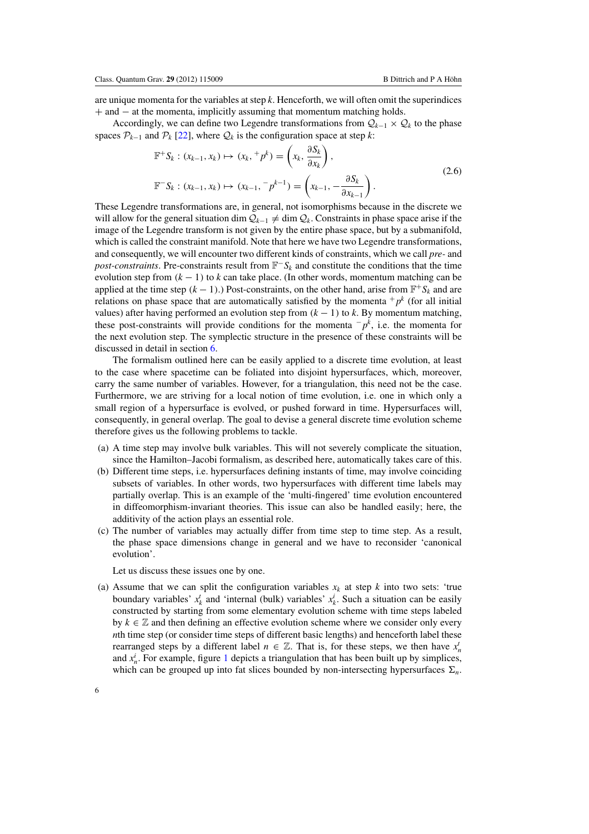<span id="page-6-0"></span>are unique momenta for the variables at step *k*. Henceforth, we will often omit the superindices + and − at the momenta, implicitly assuming that momentum matching holds.

Accordingly, we can define two Legendre transformations from  $Q_{k-1} \times Q_k$  to the phase spaces  $\mathcal{P}_{k-1}$  and  $\mathcal{P}_k$  [\[22\]](#page-51-0), where  $\mathcal{Q}_k$  is the configuration space at step *k*:

$$
\mathbb{F}^+ S_k : (x_{k-1}, x_k) \mapsto (x_k, {}^+p^k) = \left(x_k, \frac{\partial S_k}{\partial x_k}\right),
$$
  

$$
\mathbb{F}^- S_k : (x_{k-1}, x_k) \mapsto (x_{k-1}, {}^-p^{k-1}) = \left(x_{k-1}, -\frac{\partial S_k}{\partial x_{k-1}}\right).
$$
 (2.6)

These Legendre transformations are, in general, not isomorphisms because in the discrete we will allow for the general situation dim  $Q_{k-1} \neq \dim Q_k$ . Constraints in phase space arise if the image of the Legendre transform is not given by the entire phase space, but by a submanifold, which is called the constraint manifold. Note that here we have two Legendre transformations, and consequently, we will encounter two different kinds of constraints, which we call *pre-* and *post-constraints*. Pre-constraints result from  $\mathbb{F}^{-}S_k$  and constitute the conditions that the time evolution step from (*k* − 1) to *k* can take place. (In other words, momentum matching can be applied at the time step  $(k - 1)$ .) Post-constraints, on the other hand, arise from  $\mathbb{F}^+S_k$  and are relations on phase space that are automatically satisfied by the momenta  $+p^k$  (for all initial values) after having performed an evolution step from  $(k - 1)$  to  $k$ . By momentum matching, these post-constraints will provide conditions for the momenta  $\neg p^k$ , i.e. the momenta for the next evolution step. The symplectic structure in the presence of these constraints will be discussed in detail in section [6.](#page-34-0)

The formalism outlined here can be easily applied to a discrete time evolution, at least to the case where spacetime can be foliated into disjoint hypersurfaces, which, moreover, carry the same number of variables. However, for a triangulation, this need not be the case. Furthermore, we are striving for a local notion of time evolution, i.e. one in which only a small region of a hypersurface is evolved, or pushed forward in time. Hypersurfaces will, consequently, in general overlap. The goal to devise a general discrete time evolution scheme therefore gives us the following problems to tackle.

- (a) A time step may involve bulk variables. This will not severely complicate the situation, since the Hamilton–Jacobi formalism, as described here, automatically takes care of this.
- (b) Different time steps, i.e. hypersurfaces defining instants of time, may involve coinciding subsets of variables. In other words, two hypersurfaces with different time labels may partially overlap. This is an example of the 'multi-fingered' time evolution encountered in diffeomorphism-invariant theories. This issue can also be handled easily; here, the additivity of the action plays an essential role.
- (c) The number of variables may actually differ from time step to time step. As a result, the phase space dimensions change in general and we have to reconsider 'canonical evolution'.

Let us discuss these issues one by one.

(a) Assume that we can split the configuration variables  $x_k$  at step  $k$  into two sets: 'true boundary variables'  $x_k^t$  and 'internal (bulk) variables'  $x_k^i$ . Such a situation can be easily constructed by starting from some elementary evolution scheme with time steps labeled by  $k \in \mathbb{Z}$  and then defining an effective evolution scheme where we consider only every *n*th time step (or consider time steps of different basic lengths) and henceforth label these rearranged steps by a different label  $n \in \mathbb{Z}$ . That is, for these steps, we then have  $x_n^t$ and  $x_n^i$ . For example, figure [1](#page-7-0) depicts a triangulation that has been built up by simplices, which can be grouped up into fat slices bounded by non-intersecting hypersurfaces  $\Sigma_n$ .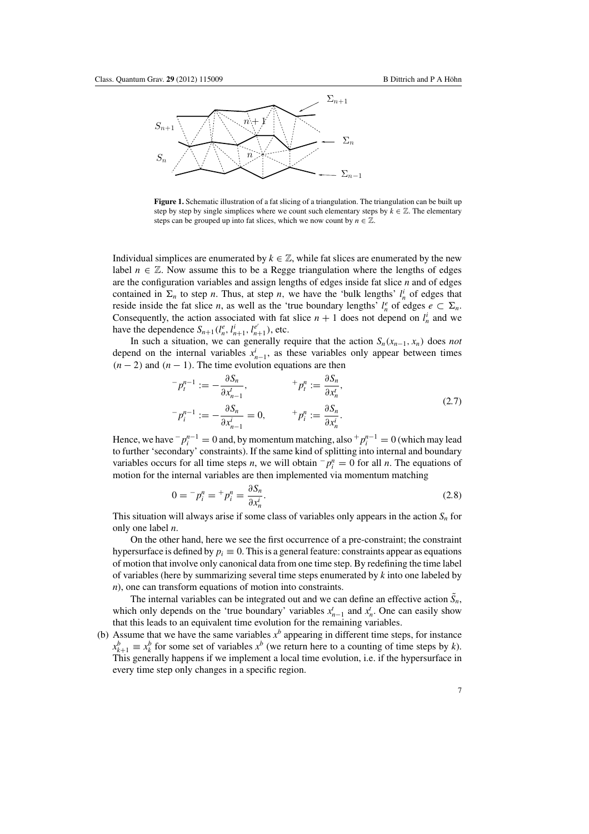<span id="page-7-0"></span>

Figure 1. Schematic illustration of a fat slicing of a triangulation. The triangulation can be built up step by step by single simplices where we count such elementary steps by  $k \in \mathbb{Z}$ . The elementary steps can be grouped up into fat slices, which we now count by  $n \in \mathbb{Z}$ .

Individual simplices are enumerated by  $k \in \mathbb{Z}$ , while fat slices are enumerated by the new label  $n \in \mathbb{Z}$ . Now assume this to be a Regge triangulation where the lengths of edges are the configuration variables and assign lengths of edges inside fat slice *n* and of edges contained in  $\Sigma_n$  to step *n*. Thus, at step *n*, we have the 'bulk lengths'  $l_n^i$  of edges that reside inside the fat slice *n*, as well as the 'true boundary lengths'  $l_n^e$  of edges  $e \subset \Sigma_n$ . Consequently, the action associated with fat slice  $n + 1$  does not depend on  $l_n^i$  and we have the dependence  $S_{n+1}(l_n^e, l_{n+1}^i, l_{n+1}^e)$ , etc.

In such a situation, we can generally require that the action  $S_n(x_{n-1}, x_n)$  does *not* depend on the internal variables  $x_{n-1}^i$ , as these variables only appear between times  $(n-2)$  and  $(n-1)$ . The time evolution equations are then

$$
^{-}p_{t}^{n-1} := -\frac{\partial S_{n}}{\partial x_{n-1}^{t}}, \qquad \qquad {}^{+}p_{t}^{n} := \frac{\partial S_{n}}{\partial x_{n}^{t}},
$$

$$
-p_{i}^{n-1} := -\frac{\partial S_{n}}{\partial x_{n-1}^{i}} = 0, \qquad \qquad {}^{+}p_{i}^{n} := \frac{\partial S_{n}}{\partial x_{n}^{i}}.
$$
(2.7)

Hence, we have  $^-p_i^{n-1} = 0$  and, by momentum matching, also  $^+p_i^{n-1} = 0$  (which may lead to further 'secondary' constraints). If the same kind of splitting into internal and boundary variables occurs for all time steps *n*, we will obtain  $^-p_i^n = 0$  for all *n*. The equations of motion for the internal variables are then implemented via momentum matching

$$
0 = \bar{p}_i^n = {}^{\dagger}p_i^n = \frac{\partial S_n}{\partial x_n^i}.
$$
\n
$$
(2.8)
$$

This situation will always arise if some class of variables only appears in the action  $S_n$  for only one label *n*.

On the other hand, here we see the first occurrence of a pre-constraint; the constraint hypersurface is defined by  $p_i \equiv 0$ . This is a general feature: constraints appear as equations of motion that involve only canonical data from one time step. By redefining the time label of variables (here by summarizing several time steps enumerated by *k* into one labeled by *n*), one can transform equations of motion into constraints.

The internal variables can be integrated out and we can define an effective action  $\tilde{S}_n$ , which only depends on the 'true boundary' variables  $x_{n-1}^t$  and  $x_n^t$ . One can easily show that this leads to an equivalent time evolution for the remaining variables.

(b) Assume that we have the same variables  $x^b$  appearing in different time steps, for instance  $x_{k+1}^b \equiv x_k^b$  for some set of variables  $x^b$  (we return here to a counting of time steps by *k*). This generally happens if we implement a local time evolution, i.e. if the hypersurface in every time step only changes in a specific region.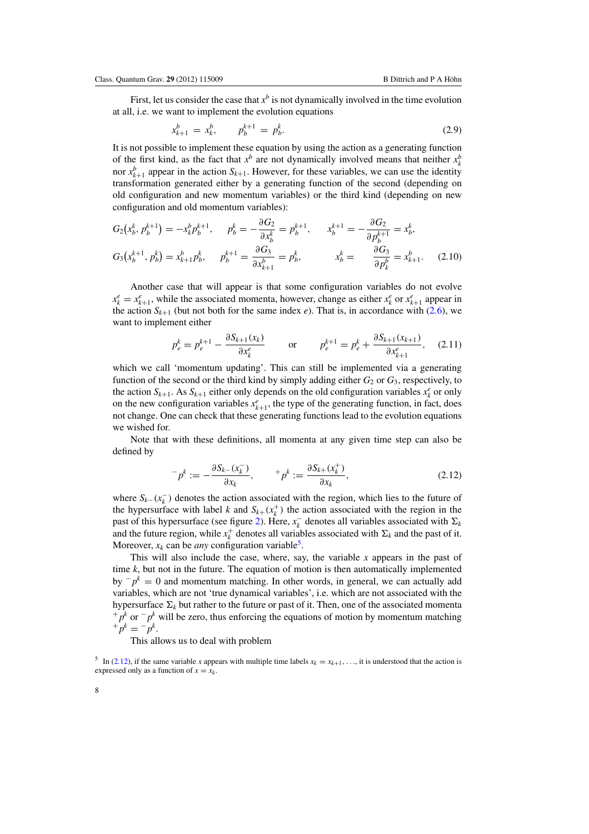<span id="page-8-0"></span>First, let us consider the case that  $x^b$  is not dynamically involved in the time evolution at all, i.e. we want to implement the evolution equations

$$
x_{k+1}^b = x_k^b, \qquad p_b^{k+1} = p_b^k. \tag{2.9}
$$

It is not possible to implement these equation by using the action as a generating function of the first kind, as the fact that  $x^b$  are not dynamically involved means that neither  $x^b_k$ nor  $x_{k+1}^b$  appear in the action  $S_{k+1}$ . However, for these variables, we can use the identity transformation generated either by a generating function of the second (depending on old configuration and new momentum variables) or the third kind (depending on new configuration and old momentum variables):

$$
G_2(x_b^k, p_b^{k+1}) = -x_b^b p_b^{k+1}, \qquad p_b^k = -\frac{\partial G_2}{\partial x_b^k} = p_b^{k+1}, \qquad x_b^{k+1} = -\frac{\partial G_2}{\partial p_b^{k+1}} = x_b^k,
$$
  

$$
G_3(x_b^{k+1}, p_b^k) = x_{k+1}^b p_b^k, \qquad p_b^{k+1} = \frac{\partial G_3}{\partial x_{k+1}^b} = p_b^k, \qquad x_b^k = \frac{\partial G_3}{\partial p_k^b} = x_{k+1}^b. \tag{2.10}
$$

Another case that will appear is that some configuration variables do not evolve  $x_k^e = x_{k+1}^e$ , while the associated momenta, however, change as either  $x_k^e$  or  $x_{k+1}^e$  appear in the action  $S_{k+1}$  (but not both for the same index *e*). That is, in accordance with [\(2](#page-6-0).6), we want to implement either

$$
p_e^k = p_e^{k+1} - \frac{\partial S_{k+1}(x_k)}{\partial x_k^e} \qquad \text{or} \qquad p_e^{k+1} = p_e^k + \frac{\partial S_{k+1}(x_{k+1})}{\partial x_{k+1}^e}, \quad (2.11)
$$

which we call 'momentum updating'. This can still be implemented via a generating function of the second or the third kind by simply adding either  $G_2$  or  $G_3$ , respectively, to the action  $S_{k+1}$ . As  $S_{k+1}$  either only depends on the old configuration variables  $x_k^e$  or only on the new configuration variables  $x_{k+1}^e$ , the type of the generating function, in fact, does not change. One can check that these generating functions lead to the evolution equations we wished for.

Note that with these definitions, all momenta at any given time step can also be defined by

$$
{}^{-}p^{k} := -\frac{\partial S_{k-}(x_{k}^{-})}{\partial x_{k}}, \qquad {}^{+}p^{k} := \frac{\partial S_{k+}(x_{k}^{+})}{\partial x_{k}}, \qquad (2.12)
$$

where  $S_{k-}(x_k^-)$  denotes the action associated with the region, which lies to the future of the hypersurface with label *k* and  $S_{k+}(x_k^+)$  the action associated with the region in the past of this hypersurface (see figure [2\)](#page-9-0). Here,  $x_k^-$  denotes all variables associated with  $\Sigma_k$ and the future region, while  $x_k^+$  denotes all variables associated with  $\Sigma_k$  and the past of it. Moreover,  $x_k$  can be *any* configuration variable<sup>5</sup>.

This will also include the case, where, say, the variable *x* appears in the past of time *k*, but not in the future. The equation of motion is then automatically implemented by  $\bar{p}^k = 0$  and momentum matching. In other words, in general, we can actually add variables, which are not 'true dynamical variables', i.e. which are not associated with the hypersurface  $\Sigma_k$  but rather to the future or past of it. Then, one of the associated momenta  $+p^k$  or  $-p^k$  will be zero, thus enforcing the equations of motion by momentum matching  $^{+}p^{k} = ^{-}p^{k}.$ 

This allows us to deal with problem

<sup>&</sup>lt;sup>5</sup> In (2.12), if the same variable *x* appears with multiple time labels  $x_k = x_{k+1}, \ldots$ , it is understood that the action is expressed only as a function of  $x = x_k$ .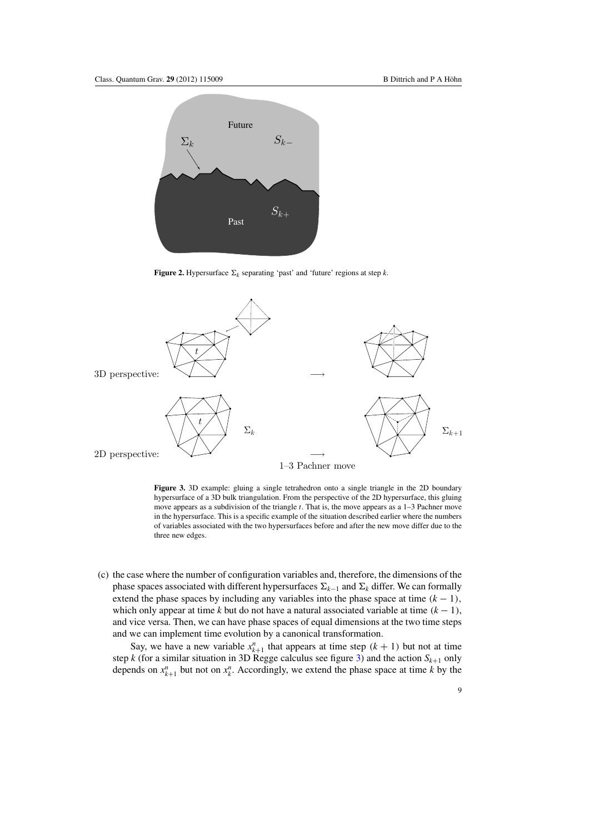<span id="page-9-0"></span>

**Figure 2.** Hypersurface  $\Sigma_k$  separating 'past' and 'future' regions at step *k*.



1–3 Pachner move

**Figure 3.** 3D example: gluing a single tetrahedron onto a single triangle in the 2D boundary hypersurface of a 3D bulk triangulation. From the perspective of the 2D hypersurface, this gluing move appears as a subdivision of the triangle *t*. That is, the move appears as a 1–3 Pachner move in the hypersurface. This is a specific example of the situation described earlier where the numbers of variables associated with the two hypersurfaces before and after the new move differ due to the three new edges.

(c) the case where the number of configuration variables and, therefore, the dimensions of the phase spaces associated with different hypersurfaces  $\Sigma_{k-1}$  and  $\Sigma_k$  differ. We can formally extend the phase spaces by including any variables into the phase space at time  $(k - 1)$ , which only appear at time  $k$  but do not have a natural associated variable at time  $(k - 1)$ , and vice versa. Then, we can have phase spaces of equal dimensions at the two time steps and we can implement time evolution by a canonical transformation.

Say, we have a new variable  $x_{k+1}^n$  that appears at time step  $(k + 1)$  but not at time step *k* (for a similar situation in 3D Regge calculus see figure 3) and the action  $S_{k+1}$  only depends on  $x_{k+1}^n$  but not on  $x_k^n$ . Accordingly, we extend the phase space at time *k* by the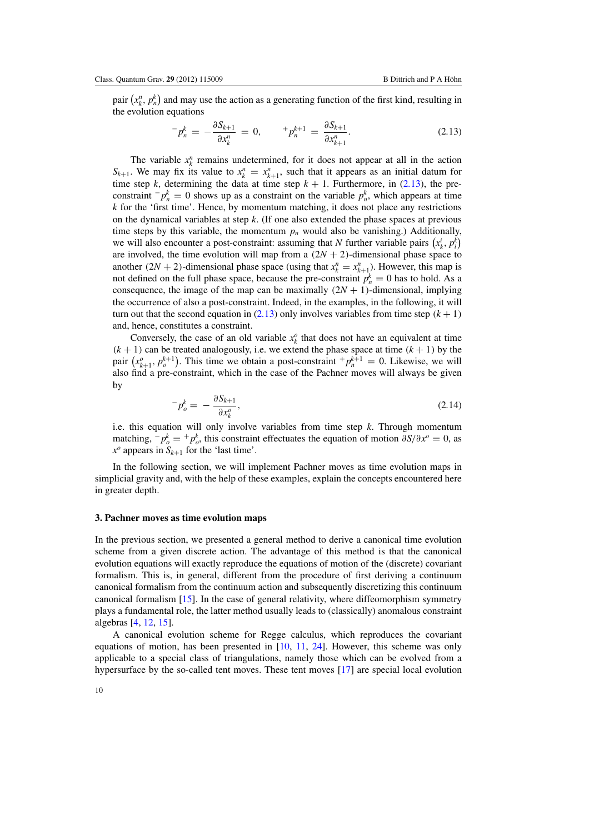<span id="page-10-0"></span>pair  $(x_k^n, p_n^k)$  and may use the action as a generating function of the first kind, resulting in the evolution equations

$$
{}^{-}p_{n}^{k} = -\frac{\partial S_{k+1}}{\partial x_{k}^{n}} = 0, \qquad {}^{+}p_{n}^{k+1} = \frac{\partial S_{k+1}}{\partial x_{k+1}^{n}}.
$$
 (2.13)

The variable  $x_k^n$  remains undetermined, for it does not appear at all in the action  $S_{k+1}$ . We may fix its value to  $x_k^n = x_{k+1}^n$ , such that it appears as an initial datum for time step *k*, determining the data at time step  $k + 1$ . Furthermore, in (2.13), the preconstraint  $p_n^k = 0$  shows up as a constraint on the variable  $p_n^k$ , which appears at time *k* for the 'first time'. Hence, by momentum matching, it does not place any restrictions on the dynamical variables at step *k*. (If one also extended the phase spaces at previous time steps by this variable, the momentum  $p_n$  would also be vanishing.) Additionally, we will also encounter a post-constraint: assuming that *N* further variable pairs  $(x_k^i, p_i^k)$ are involved, the time evolution will map from a  $(2N + 2)$ -dimensional phase space to another  $(2N + 2)$ -dimensional phase space (using that  $x_k^n = x_{k+1}^n$ ). However, this map is not defined on the full phase space, because the pre-constraint  $p_n^k = 0$  has to hold. As a consequence, the image of the map can be maximally  $(2N + 1)$ -dimensional, implying the occurrence of also a post-constraint. Indeed, in the examples, in the following, it will turn out that the second equation in  $(2.13)$  only involves variables from time step  $(k + 1)$ and, hence, constitutes a constraint.

Conversely, the case of an old variable  $x_k^o$  that does not have an equivalent at time  $(k + 1)$  can be treated analogously, i.e. we extend the phase space at time  $(k + 1)$  by the pair  $(x_{k+1}^o, p_o^{k+1})$ . This time we obtain a post-constraint  $p_n^{k+1} = 0$ . Likewise, we will also find a pre-constraint, which in the case of the Pachner moves will always be given by

$$
{}^{-}p_{o}^{k} = -\frac{\partial S_{k+1}}{\partial x_{k}^{o}},\tag{2.14}
$$

i.e. this equation will only involve variables from time step *k*. Through momentum matching,  $^-p_o^k =^+p_o^k$ , this constraint effectuates the equation of motion  $\partial S/\partial x^o = 0$ , as  $x^{\circ}$  appears in  $S_{k+1}$  for the 'last time'.

In the following section, we will implement Pachner moves as time evolution maps in simplicial gravity and, with the help of these examples, explain the concepts encountered here in greater depth.

## **3. Pachner moves as time evolution maps**

In the previous section, we presented a general method to derive a canonical time evolution scheme from a given discrete action. The advantage of this method is that the canonical evolution equations will exactly reproduce the equations of motion of the (discrete) covariant formalism. This is, in general, different from the procedure of first deriving a continuum canonical formalism from the continuum action and subsequently discretizing this continuum canonical formalism [\[15](#page-50-0)]. In the case of general relativity, where diffeomorphism symmetry plays a fundamental role, the latter method usually leads to (classically) anomalous constraint algebras [\[4,](#page-50-0) [12,](#page-50-0) [15\]](#page-50-0).

A canonical evolution scheme for Regge calculus, which reproduces the covariant equations of motion, has been presented in [\[10](#page-50-0), [11,](#page-50-0) [24](#page-51-0)]. However, this scheme was only applicable to a special class of triangulations, namely those which can be evolved from a hypersurface by the so-called tent moves. These tent moves [\[17](#page-51-0)] are special local evolution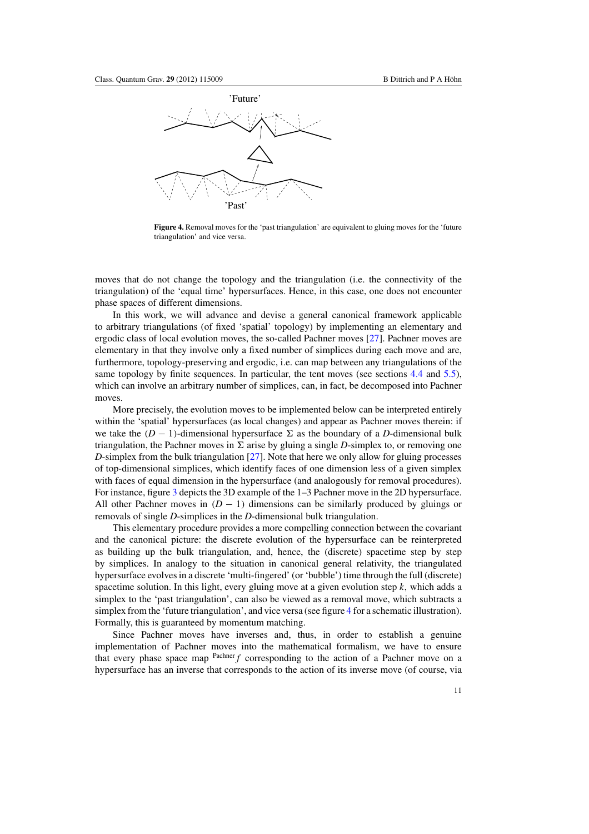

**Figure 4.** Removal moves for the 'past triangulation' are equivalent to gluing moves for the 'future triangulation' and vice versa.

moves that do not change the topology and the triangulation (i.e. the connectivity of the triangulation) of the 'equal time' hypersurfaces. Hence, in this case, one does not encounter phase spaces of different dimensions.

In this work, we will advance and devise a general canonical framework applicable to arbitrary triangulations (of fixed 'spatial' topology) by implementing an elementary and ergodic class of local evolution moves, the so-called Pachner moves [\[27](#page-51-0)]. Pachner moves are elementary in that they involve only a fixed number of simplices during each move and are, furthermore, topology-preserving and ergodic, i.e. can map between any triangulations of the same topology by finite sequences. In particular, the tent moves (see sections [4.4](#page-21-0) and [5.5\)](#page-29-0), which can involve an arbitrary number of simplices, can, in fact, be decomposed into Pachner moves.

More precisely, the evolution moves to be implemented below can be interpreted entirely within the 'spatial' hypersurfaces (as local changes) and appear as Pachner moves therein: if we take the  $(D - 1)$ -dimensional hypersurface  $\Sigma$  as the boundary of a *D*-dimensional bulk triangulation, the Pachner moves in  $\Sigma$  arise by gluing a single *D*-simplex to, or removing one *D*-simplex from the bulk triangulation [\[27](#page-51-0)]. Note that here we only allow for gluing processes of top-dimensional simplices, which identify faces of one dimension less of a given simplex with faces of equal dimension in the hypersurface (and analogously for removal procedures). For instance, figure [3](#page-9-0) depicts the 3D example of the 1–3 Pachner move in the 2D hypersurface. All other Pachner moves in  $(D - 1)$  dimensions can be similarly produced by gluings or removals of single *D*-simplices in the *D*-dimensional bulk triangulation.

This elementary procedure provides a more compelling connection between the covariant and the canonical picture: the discrete evolution of the hypersurface can be reinterpreted as building up the bulk triangulation, and, hence, the (discrete) spacetime step by step by simplices. In analogy to the situation in canonical general relativity, the triangulated hypersurface evolves in a discrete 'multi-fingered' (or 'bubble') time through the full (discrete) spacetime solution. In this light, every gluing move at a given evolution step *k*, which adds a simplex to the 'past triangulation', can also be viewed as a removal move, which subtracts a simplex from the 'future triangulation', and vice versa (see figure 4 for a schematic illustration). Formally, this is guaranteed by momentum matching.

Since Pachner moves have inverses and, thus, in order to establish a genuine implementation of Pachner moves into the mathematical formalism, we have to ensure that every phase space map Pachner *f* corresponding to the action of a Pachner move on a hypersurface has an inverse that corresponds to the action of its inverse move (of course, via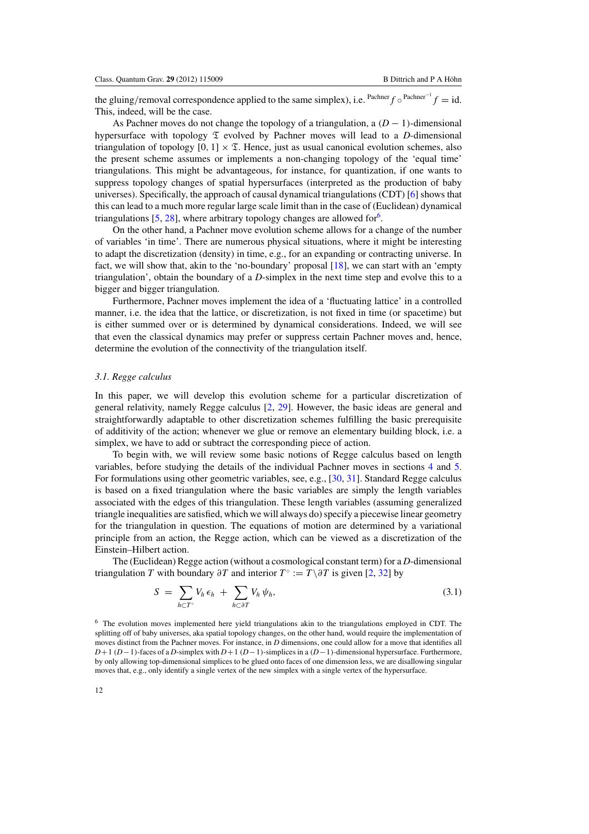<span id="page-12-0"></span>the gluing/removal correspondence applied to the same simplex), i.e.  $P^{\text{achner}} f \circ P^{\text{achner}^{-1}} f = \text{id}$ . This, indeed, will be the case.

As Pachner moves do not change the topology of a triangulation, a (*D* − 1)-dimensional hypersurface with topology  $\mathfrak T$  evolved by Pachner moves will lead to a *D*-dimensional triangulation of topology  $[0, 1] \times \mathcal{I}$ . Hence, just as usual canonical evolution schemes, also the present scheme assumes or implements a non-changing topology of the 'equal time' triangulations. This might be advantageous, for instance, for quantization, if one wants to suppress topology changes of spatial hypersurfaces (interpreted as the production of baby universes). Specifically, the approach of causal dynamical triangulations (CDT) [\[6](#page-50-0)] shows that this can lead to a much more regular large scale limit than in the case of (Euclidean) dynamical triangulations  $[5, 28]$  $[5, 28]$  $[5, 28]$  $[5, 28]$ , where arbitrary topology changes are allowed for<sup>6</sup>.

On the other hand, a Pachner move evolution scheme allows for a change of the number of variables 'in time'. There are numerous physical situations, where it might be interesting to adapt the discretization (density) in time, e.g., for an expanding or contracting universe. In fact, we will show that, akin to the 'no-boundary' proposal [\[18](#page-51-0)], we can start with an 'empty triangulation', obtain the boundary of a *D*-simplex in the next time step and evolve this to a bigger and bigger triangulation.

Furthermore, Pachner moves implement the idea of a 'fluctuating lattice' in a controlled manner, i.e. the idea that the lattice, or discretization, is not fixed in time (or spacetime) but is either summed over or is determined by dynamical considerations. Indeed, we will see that even the classical dynamics may prefer or suppress certain Pachner moves and, hence, determine the evolution of the connectivity of the triangulation itself.

#### *3.1. Regge calculus*

In this paper, we will develop this evolution scheme for a particular discretization of general relativity, namely Regge calculus [\[2,](#page-49-0) [29\]](#page-51-0). However, the basic ideas are general and straightforwardly adaptable to other discretization schemes fulfilling the basic prerequisite of additivity of the action; whenever we glue or remove an elementary building block, i.e. a simplex, we have to add or subtract the corresponding piece of action.

To begin with, we will review some basic notions of Regge calculus based on length variables, before studying the details of the individual Pachner moves in sections [4](#page-13-0) and [5.](#page-23-0) For formulations using other geometric variables, see, e.g., [\[30](#page-51-0), [31](#page-51-0)]. Standard Regge calculus is based on a fixed triangulation where the basic variables are simply the length variables associated with the edges of this triangulation. These length variables (assuming generalized triangle inequalities are satisfied, which we will always do) specify a piecewise linear geometry for the triangulation in question. The equations of motion are determined by a variational principle from an action, the Regge action, which can be viewed as a discretization of the Einstein–Hilbert action.

The (Euclidean) Regge action (without a cosmological constant term) for a *D*-dimensional triangulation *T* with boundary  $\partial T$  and interior  $T^\circ := T \setminus \partial T$  is given [\[2](#page-49-0), [32](#page-51-0)] by

$$
S = \sum_{h \subset T^{\circ}} V_h \epsilon_h + \sum_{h \subset \partial T} V_h \psi_h, \tag{3.1}
$$

<sup>6</sup> The evolution moves implemented here yield triangulations akin to the triangulations employed in CDT. The splitting off of baby universes, aka spatial topology changes, on the other hand, would require the implementation of moves distinct from the Pachner moves. For instance, in *D* dimensions, one could allow for a move that identifies all *D*+1 (*D*−1)-faces of a *D*-simplex with *D*+1 (*D*−1)-simplices in a (*D*−1)-dimensional hypersurface. Furthermore, by only allowing top-dimensional simplices to be glued onto faces of one dimension less, we are disallowing singular moves that, e.g., only identify a single vertex of the new simplex with a single vertex of the hypersurface.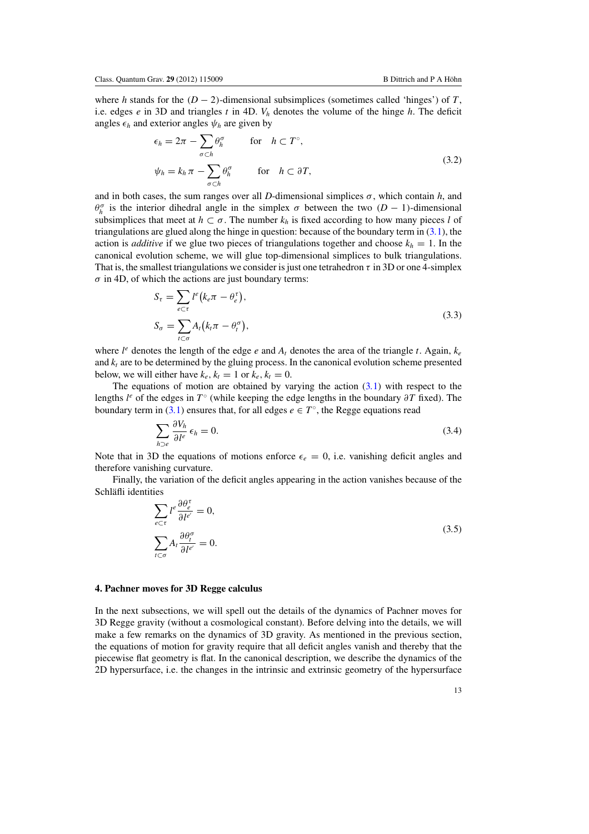<span id="page-13-0"></span>where *h* stands for the  $(D - 2)$ -dimensional subsimplices (sometimes called 'hinges') of *T*, i.e. edges *e* in 3D and triangles *t* in 4D. *Vh* denotes the volume of the hinge *h*. The deficit angles  $\epsilon_h$  and exterior angles  $\psi_h$  are given by

$$
\epsilon_h = 2\pi - \sum_{\sigma \subset h} \theta_h^{\sigma} \quad \text{for} \quad h \subset T^{\circ},
$$
  
\n
$$
\psi_h = k_h \pi - \sum_{\sigma \subset h} \theta_h^{\sigma} \quad \text{for} \quad h \subset \partial T,
$$
\n(3.2)

and in both cases, the sum ranges over all *D*-dimensional simplices  $\sigma$ , which contain *h*, and  $θ<sub>h</sub><sup>σ</sup>$  is the interior dihedral angle in the simplex  $σ$  between the two  $(D - 1)$ -dimensional subsimplices that meet at  $h \subset \sigma$ . The number  $k_h$  is fixed according to how many pieces *l* of triangulations are glued along the hinge in question: because of the boundary term in [\(3](#page-12-0)*.*1), the action is *additive* if we glue two pieces of triangulations together and choose  $k_h = 1$ . In the canonical evolution scheme, we will glue top-dimensional simplices to bulk triangulations. That is, the smallest triangulations we consider is just one tetrahedron  $\tau$  in 3D or one 4-simplex  $\sigma$  in 4D, of which the actions are just boundary terms:

$$
S_{\tau} = \sum_{e \subset \tau} l^{e} (k_{e} \pi - \theta_{e}^{\tau}),
$$
  
\n
$$
S_{\sigma} = \sum_{t \subset \sigma} A_{t} (k_{t} \pi - \theta_{t}^{\sigma}),
$$
\n(3.3)

where  $l^e$  denotes the length of the edge  $e$  and  $A_t$  denotes the area of the triangle  $t$ . Again,  $k_e$ and  $k_t$  are to be determined by the gluing process. In the canonical evolution scheme presented below, we will either have  $k_e$ ,  $k_t = 1$  or  $k_e$ ,  $k_t = 0$ .

The equations of motion are obtained by varying the action [\(3](#page-12-0)*.*1) with respect to the lengths *l <sup>e</sup>* of the edges in *T*◦ (while keeping the edge lengths in the boundary ∂*T* fixed). The boundary term in [\(3](#page-12-0).1) ensures that, for all edges  $e \in T^{\circ}$ , the Regge equations read

$$
\sum_{h \supset e} \frac{\partial V_h}{\partial l^e} \epsilon_h = 0. \tag{3.4}
$$

Note that in 3D the equations of motions enforce  $\epsilon_e = 0$ , i.e. vanishing deficit angles and therefore vanishing curvature.

Finally, the variation of the deficit angles appearing in the action vanishes because of the Schläfli identities

$$
\sum_{e \subset \tau} l^e \frac{\partial \theta_e^{\tau}}{\partial l^{e'}} = 0,
$$
\n
$$
\sum_{t \subset \sigma} A_t \frac{\partial \theta_t^{\sigma}}{\partial l^{e'}} = 0.
$$
\n(3.5)

### **4. Pachner moves for 3D Regge calculus**

In the next subsections, we will spell out the details of the dynamics of Pachner moves for 3D Regge gravity (without a cosmological constant). Before delving into the details, we will make a few remarks on the dynamics of 3D gravity. As mentioned in the previous section, the equations of motion for gravity require that all deficit angles vanish and thereby that the piecewise flat geometry is flat. In the canonical description, we describe the dynamics of the 2D hypersurface, i.e. the changes in the intrinsic and extrinsic geometry of the hypersurface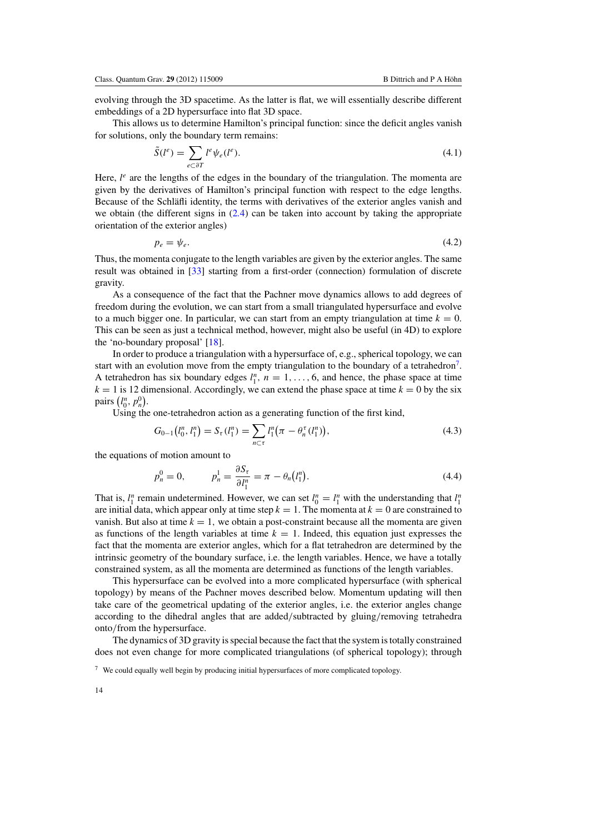<span id="page-14-0"></span>evolving through the 3D spacetime. As the latter is flat, we will essentially describe different embeddings of a 2D hypersurface into flat 3D space.

This allows us to determine Hamilton's principal function: since the deficit angles vanish for solutions, only the boundary term remains:

$$
\tilde{S}(l^e) = \sum_{e \subset \partial T} l^e \psi_e(l^e). \tag{4.1}
$$

Here,  $l^e$  are the lengths of the edges in the boundary of the triangulation. The momenta are given by the derivatives of Hamilton's principal function with respect to the edge lengths. Because of the Schläfli identity, the terms with derivatives of the exterior angles vanish and we obtain (the different signs in [\(2](#page-5-0)*.*4) can be taken into account by taking the appropriate orientation of the exterior angles)

$$
p_e = \psi_e. \tag{4.2}
$$

Thus, the momenta conjugate to the length variables are given by the exterior angles. The same result was obtained in [\[33\]](#page-51-0) starting from a first-order (connection) formulation of discrete gravity.

As a consequence of the fact that the Pachner move dynamics allows to add degrees of freedom during the evolution, we can start from a small triangulated hypersurface and evolve to a much bigger one. In particular, we can start from an empty triangulation at time  $k = 0$ . This can be seen as just a technical method, however, might also be useful (in 4D) to explore the 'no-boundary proposal' [\[18\]](#page-51-0).

In order to produce a triangulation with a hypersurface of, e.g., spherical topology, we can start with an evolution move from the empty triangulation to the boundary of a tetrahedron<sup>7</sup>. A tetrahedron has six boundary edges  $l_1^n$ ,  $n = 1, \ldots, 6$ , and hence, the phase space at time  $k = 1$  is 12 dimensional. Accordingly, we can extend the phase space at time  $k = 0$  by the six pairs  $(l_0^n, p_n^0)$ .

Using the one-tetrahedron action as a generating function of the first kind,

$$
G_{0-1}(l_0^n, l_1^n) = S_{\tau}(l_1^n) = \sum_{n \subset \tau} l_1^n \big( \pi - \theta_n^{\tau}(l_1^n) \big), \tag{4.3}
$$

the equations of motion amount to

$$
p_n^0 = 0, \qquad p_n^1 = \frac{\partial S_\tau}{\partial l_1^n} = \pi - \theta_n(l_1^n). \tag{4.4}
$$

That is,  $l_1^n$  remain undetermined. However, we can set  $l_0^n = l_1^n$  with the understanding that  $l_1^n$ are initial data, which appear only at time step  $k = 1$ . The momenta at  $k = 0$  are constrained to vanish. But also at time  $k = 1$ , we obtain a post-constraint because all the momenta are given as functions of the length variables at time  $k = 1$ . Indeed, this equation just expresses the fact that the momenta are exterior angles, which for a flat tetrahedron are determined by the intrinsic geometry of the boundary surface, i.e. the length variables. Hence, we have a totally constrained system, as all the momenta are determined as functions of the length variables.

This hypersurface can be evolved into a more complicated hypersurface (with spherical topology) by means of the Pachner moves described below. Momentum updating will then take care of the geometrical updating of the exterior angles, i.e. the exterior angles change according to the dihedral angles that are added*/*subtracted by gluing*/*removing tetrahedra onto*/*from the hypersurface.

The dynamics of 3D gravity is special because the fact that the system is totally constrained does not even change for more complicated triangulations (of spherical topology); through

<sup>7</sup> We could equally well begin by producing initial hypersurfaces of more complicated topology.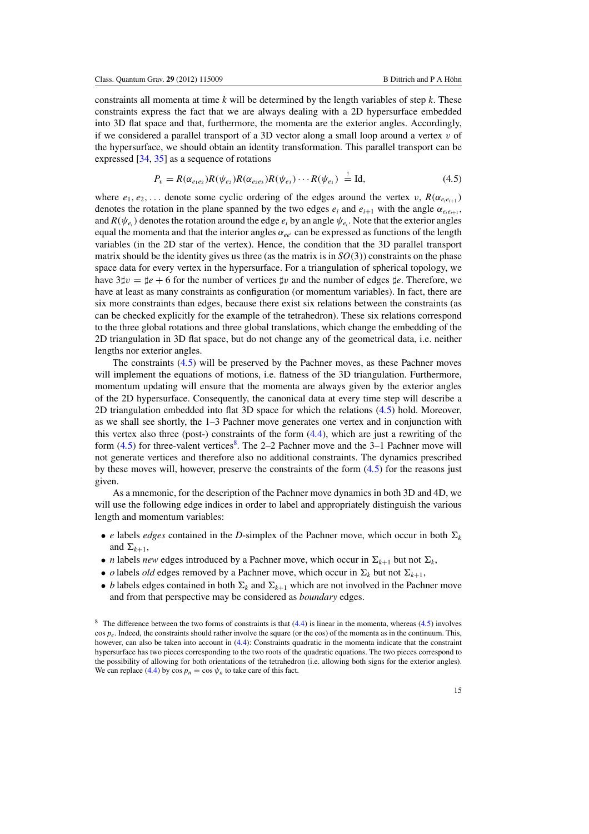<span id="page-15-0"></span>constraints all momenta at time *k* will be determined by the length variables of step *k*. These constraints express the fact that we are always dealing with a 2D hypersurface embedded into 3D flat space and that, furthermore, the momenta are the exterior angles. Accordingly, if we considered a parallel transport of a 3D vector along a small loop around a vertex  $v$  of the hypersurface, we should obtain an identity transformation. This parallel transport can be expressed [\[34,](#page-51-0) [35\]](#page-51-0) as a sequence of rotations

$$
P_v = R(\alpha_{e_1 e_2}) R(\psi_{e_2}) R(\alpha_{e_2 e_3}) R(\psi_{e_3}) \cdots R(\psi_{e_1}) \stackrel{!}{=} \text{Id},
$$
\n(4.5)

where  $e_1, e_2, \ldots$  denote some cyclic ordering of the edges around the vertex v,  $R(\alpha_{e_i e_{i+1}})$ denotes the rotation in the plane spanned by the two edges  $e_i$  and  $e_{i+1}$  with the angle  $\alpha_{e_i e_{i+1}}$ , and  $R(\psi_{e_i})$  denotes the rotation around the edge  $e_i$  by an angle  $\psi_{e_i}$ . Note that the exterior angles equal the momenta and that the interior angles  $\alpha_{ee}$  can be expressed as functions of the length variables (in the 2D star of the vertex). Hence, the condition that the 3D parallel transport matrix should be the identity gives us three (as the matrix is in *SO*(3)) constraints on the phase space data for every vertex in the hypersurface. For a triangulation of spherical topology, we have  $3\sharp v = \sharp e + 6$  for the number of vertices  $\sharp v$  and the number of edges  $\sharp e$ . Therefore, we have at least as many constraints as configuration (or momentum variables). In fact, there are six more constraints than edges, because there exist six relations between the constraints (as can be checked explicitly for the example of the tetrahedron). These six relations correspond to the three global rotations and three global translations, which change the embedding of the 2D triangulation in 3D flat space, but do not change any of the geometrical data, i.e. neither lengths nor exterior angles.

The constraints (4*.*5) will be preserved by the Pachner moves, as these Pachner moves will implement the equations of motions, i.e. flatness of the 3D triangulation. Furthermore, momentum updating will ensure that the momenta are always given by the exterior angles of the 2D hypersurface. Consequently, the canonical data at every time step will describe a 2D triangulation embedded into flat 3D space for which the relations (4*.*5) hold. Moreover, as we shall see shortly, the 1–3 Pachner move generates one vertex and in conjunction with this vertex also three (post-) constraints of the form [\(4](#page-14-0)*.*4), which are just a rewriting of the form (4.5) for three-valent vertices<sup>8</sup>. The 2–2 Pachner move and the 3–1 Pachner move will not generate vertices and therefore also no additional constraints. The dynamics prescribed by these moves will, however, preserve the constraints of the form (4*.*5) for the reasons just given.

As a mnemonic, for the description of the Pachner move dynamics in both 3D and 4D, we will use the following edge indices in order to label and appropriately distinguish the various length and momentum variables:

- *e* labels *edges* contained in the *D*-simplex of the Pachner move, which occur in both  $\Sigma_k$ and  $\Sigma_{k+1}$ ,
- *n* labels *new* edges introduced by a Pachner move, which occur in  $\Sigma_{k+1}$  but not  $\Sigma_k$ ,
- *o* labels *old* edges removed by a Pachner move, which occur in  $\Sigma_k$  but not  $\Sigma_{k+1}$ ,
- *b* labels edges contained in both  $\Sigma_k$  and  $\Sigma_{k+1}$  which are not involved in the Pachner move and from that perspective may be considered as *boundary* edges.

<sup>8</sup> The difference between the two forms of constraints is that (4*.*[4\)](#page-14-0) is linear in the momenta, whereas (4*.*5) involves cos *pe*. Indeed, the constraints should rather involve the square (or the cos) of the momenta as in the continuum. This, however, can also be taken into account in [\(4](#page-14-0)*.*4): Constraints quadratic in the momenta indicate that the constraint hypersurface has two pieces corresponding to the two roots of the quadratic equations. The two pieces correspond to the possibility of allowing for both orientations of the tetrahedron (i.e. allowing both signs for the exterior angles). We can replace [\(4](#page-14-0).4) by  $\cos p_n = \cos \psi_n$  to take care of this fact.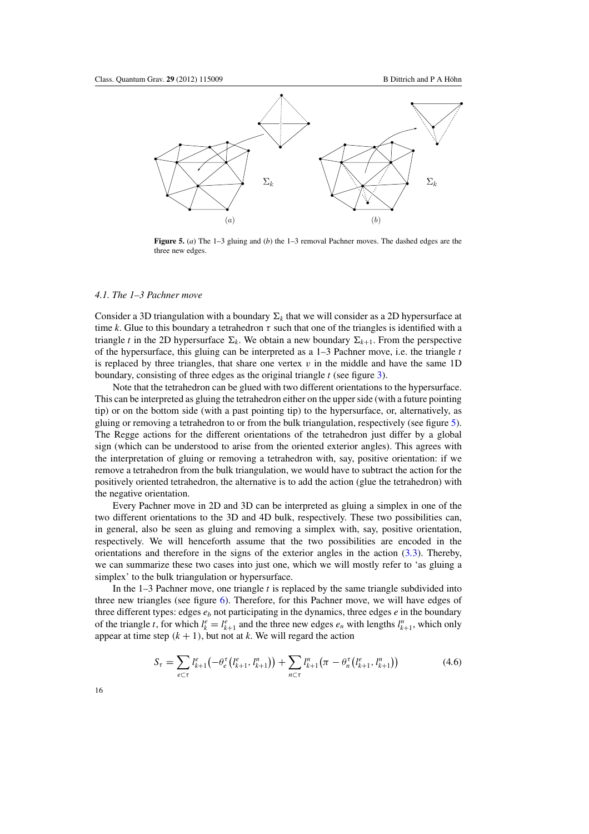<span id="page-16-0"></span>

**Figure 5.** (*a*) The 1–3 gluing and (*b*) the 1–3 removal Pachner moves. The dashed edges are the three new edges.

## *4.1. The 1–3 Pachner move*

Consider a 3D triangulation with a boundary  $\Sigma_k$  that we will consider as a 2D hypersurface at time k. Glue to this boundary a tetrahedron  $\tau$  such that one of the triangles is identified with a triangle *t* in the 2D hypersurface  $\Sigma_k$ . We obtain a new boundary  $\Sigma_{k+1}$ . From the perspective of the hypersurface, this gluing can be interpreted as a 1–3 Pachner move, i.e. the triangle *t* is replaced by three triangles, that share one vertex  $v$  in the middle and have the same 1D boundary, consisting of three edges as the original triangle *t* (see figure [3\)](#page-9-0).

Note that the tetrahedron can be glued with two different orientations to the hypersurface. This can be interpreted as gluing the tetrahedron either on the upper side (with a future pointing tip) or on the bottom side (with a past pointing tip) to the hypersurface, or, alternatively, as gluing or removing a tetrahedron to or from the bulk triangulation, respectively (see figure 5). The Regge actions for the different orientations of the tetrahedron just differ by a global sign (which can be understood to arise from the oriented exterior angles). This agrees with the interpretation of gluing or removing a tetrahedron with, say, positive orientation: if we remove a tetrahedron from the bulk triangulation, we would have to subtract the action for the positively oriented tetrahedron, the alternative is to add the action (glue the tetrahedron) with the negative orientation.

Every Pachner move in 2D and 3D can be interpreted as gluing a simplex in one of the two different orientations to the 3D and 4D bulk, respectively. These two possibilities can, in general, also be seen as gluing and removing a simplex with, say, positive orientation, respectively. We will henceforth assume that the two possibilities are encoded in the orientations and therefore in the signs of the exterior angles in the action [\(3](#page-13-0)*.*3). Thereby, we can summarize these two cases into just one, which we will mostly refer to 'as gluing a simplex' to the bulk triangulation or hypersurface.

In the 1–3 Pachner move, one triangle *t* is replaced by the same triangle subdivided into three new triangles (see figure [6\)](#page-17-0). Therefore, for this Pachner move, we will have edges of three different types: edges *eb* not participating in the dynamics, three edges *e* in the boundary of the triangle *t*, for which  $l_k^e = l_{k+1}^e$  and the three new edges  $e_n$  with lengths  $l_{k+1}^n$ , which only appear at time step  $(k + 1)$ , but not at *k*. We will regard the action

$$
S_{\tau} = \sum_{e \subset \tau} l_{k+1}^{e} \left( -\theta_{e}^{\tau} \left( l_{k+1}^{e}, l_{k+1}^{n} \right) \right) + \sum_{n \subset \tau} l_{k+1}^{n} \left( \pi - \theta_{n}^{\tau} \left( l_{k+1}^{e}, l_{k+1}^{n} \right) \right) \tag{4.6}
$$

16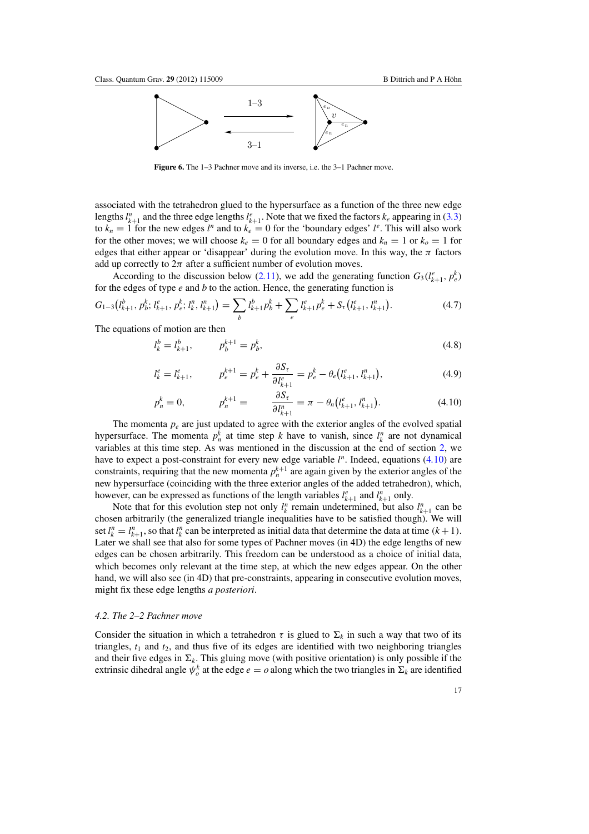<span id="page-17-0"></span>

**Figure 6.** The 1–3 Pachner move and its inverse, i.e. the 3–1 Pachner move.

associated with the tetrahedron glued to the hypersurface as a function of the three new edge lengths  $l_{k+1}^n$  and the three edge lengths  $l_{k+1}^e$ . Note that we fixed the factors  $k_e$  appearing in [\(3](#page-13-0).3) to  $k_n = 1$  for the new edges  $l^n$  and to  $k_e = 0$  for the 'boundary edges'  $l^e$ . This will also work for the other moves; we will choose  $k_e = 0$  for all boundary edges and  $k_n = 1$  or  $k_o = 1$  for edges that either appear or 'disappear' during the evolution move. In this way, the  $\pi$  factors add up correctly to  $2\pi$  after a sufficient number of evolution moves.

According to the discussion below (2.[11\)](#page-8-0), we add the generating function  $G_3(l_{k+1}^e, p_e^k)$ for the edges of type *e* and *b* to the action. Hence, the generating function is

$$
G_{1-3}(l_{k+1}^b, p_k^k; l_{k+1}^e, p_e^k; l_k^n, l_{k+1}^n) = \sum_b l_{k+1}^b p_b^k + \sum_e l_{k+1}^e p_e^k + S_{\tau}(l_{k+1}^e, l_{k+1}^n). \tag{4.7}
$$

The equations of motion are then

$$
l_k^b = l_{k+1}^b, \qquad p_b^{k+1} = p_b^k,
$$
\n(4.8)

$$
l_k^e = l_{k+1}^e, \qquad p_e^{k+1} = p_e^k + \frac{\partial S_\tau}{\partial l_{k+1}^e} = p_e^k - \theta_e(l_{k+1}^e, l_{k+1}^n), \tag{4.9}
$$

$$
p_n^k = 0, \qquad p_n^{k+1} = \qquad \frac{\partial S_\tau}{\partial l_{k+1}^n} = \pi - \theta_n(l_{k+1}^e, l_{k+1}^n). \tag{4.10}
$$

The momenta  $p_e$  are just updated to agree with the exterior angles of the evolved spatial hypersurface. The momenta  $p_n^k$  at time step *k* have to vanish, since  $l_k^n$  are not dynamical variables at this time step. As was mentioned in the discussion at the end of section [2,](#page-4-0) we have to expect a post-constraint for every new edge variable  $l^n$ . Indeed, equations (4.10) are constraints, requiring that the new momenta  $p_n^{k+1}$  are again given by the exterior angles of the new hypersurface (coinciding with the three exterior angles of the added tetrahedron), which, however, can be expressed as functions of the length variables  $l_{k+1}^e$  and  $l_{k+1}^n$  only.

Note that for this evolution step not only  $l_k^n$  remain undetermined, but also  $l_{k+1}^n$  can be chosen arbitrarily (the generalized triangle inequalities have to be satisfied though). We will set  $l_k^n = l_{k+1}^n$ , so that  $l_k^n$  can be interpreted as initial data that determine the data at time  $(k+1)$ . Later we shall see that also for some types of Pachner moves (in 4D) the edge lengths of new edges can be chosen arbitrarily. This freedom can be understood as a choice of initial data, which becomes only relevant at the time step, at which the new edges appear. On the other hand, we will also see (in 4D) that pre-constraints, appearing in consecutive evolution moves, might fix these edge lengths *a posteriori*.

#### *4.2. The 2–2 Pachner move*

Consider the situation in which a tetrahedron  $\tau$  is glued to  $\Sigma_k$  in such a way that two of its triangles,  $t_1$  and  $t_2$ , and thus five of its edges are identified with two neighboring triangles and their five edges in  $\Sigma_k$ . This gluing move (with positive orientation) is only possible if the extrinsic dihedral angle  $\psi_o^k$  at the edge  $e = o$  along which the two triangles in  $\Sigma_k$  are identified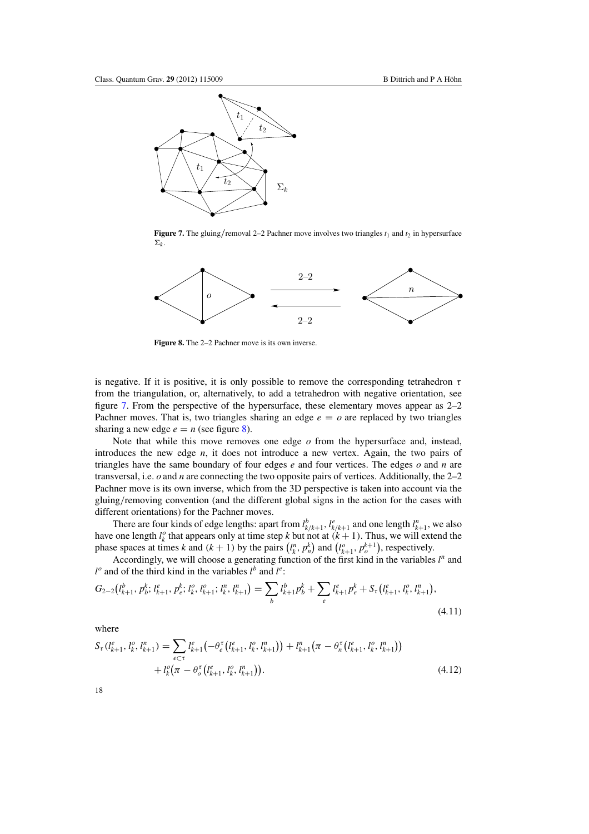

**Figure 7.** The gluing/removal 2–2 Pachner move involves two triangles  $t_1$  and  $t_2$  in hypersurface  $\Sigma_k$ .



Figure 8. The 2-2 Pachner move is its own inverse.

is negative. If it is positive, it is only possible to remove the corresponding tetrahedron  $\tau$ from the triangulation, or, alternatively, to add a tetrahedron with negative orientation, see figure 7. From the perspective of the hypersurface, these elementary moves appear as 2–2 Pachner moves. That is, two triangles sharing an edge  $e = o$  are replaced by two triangles sharing a new edge  $e = n$  (see figure 8).

Note that while this move removes one edge *o* from the hypersurface and, instead, introduces the new edge *n*, it does not introduce a new vertex. Again, the two pairs of triangles have the same boundary of four edges *e* and four vertices. The edges *o* and *n* are transversal, i.e. *o* and *n* are connecting the two opposite pairs of vertices. Additionally, the 2–2 Pachner move is its own inverse, which from the 3D perspective is taken into account via the gluing*/*removing convention (and the different global signs in the action for the cases with different orientations) for the Pachner moves.

There are four kinds of edge lengths: apart from  $l_{k/k+1}^b$ ,  $l_{k/k+1}^e$  and one length  $l_{k+1}^n$ , we also have one length  $l_k^o$  that appears only at time step *k* but not at  $(k + 1)$ . Thus, we will extend the phase spaces at times *k* and  $(k + 1)$  by the pairs  $\left(l_k^n, p_n^k\right)$  and  $\left(l_{k+1}^o, p_o^{k+1}\right)$ , respectively.

Accordingly, we will choose a generating function of the first kind in the variables  $l^n$  and  $l^{\circ}$  and of the third kind in the variables  $l^b$  and  $l^e$ :

$$
G_{2-2}(l_{k+1}^b, p_k^k; l_{k+1}^e, p_e^k; l_k^o, l_{k+1}^o; l_k^n, l_{k+1}^n) = \sum_b l_{k+1}^b p_b^k + \sum_e l_{k+1}^e p_e^k + S_{\tau}(l_{k+1}^e, l_k^o, l_{k+1}^n),
$$
\n(4.11)

where

$$
S_{\tau}(l_{k+1}^{e}, l_{k}^{o}, l_{k+1}^{n}) = \sum_{e \subset \tau} l_{k+1}^{e} \left( -\theta_{e}^{\tau} \left( l_{k+1}^{e}, l_{k}^{o}, l_{k+1}^{n} \right) \right) + l_{k+1}^{n} \left( \pi - \theta_{n}^{\tau} \left( l_{k+1}^{e}, l_{k}^{o}, l_{k+1}^{n} \right) \right) + l_{k}^{o} \left( \pi - \theta_{o}^{\tau} \left( l_{k+1}^{e}, l_{k}^{o}, l_{k+1}^{n} \right) \right).
$$
\n(4.12)

18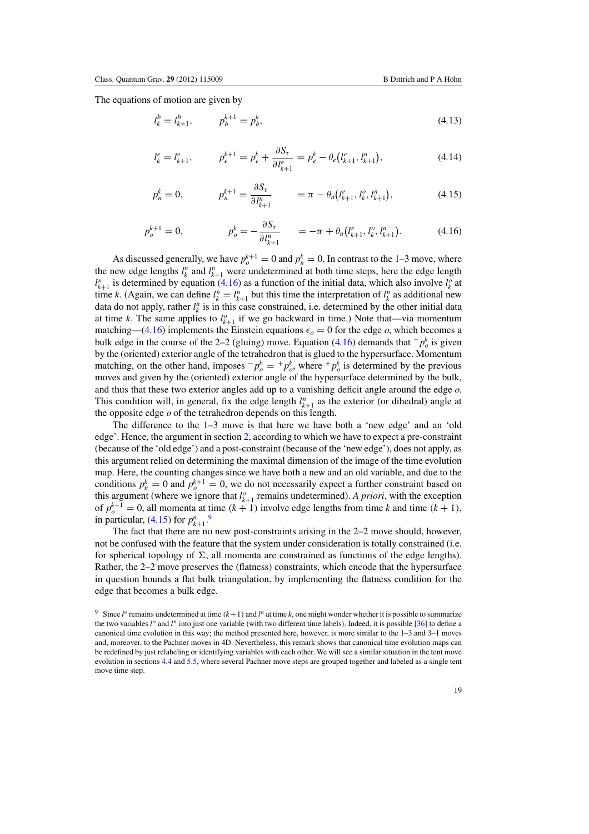The equations of motion are given by

$$
l_k^b = l_{k+1}^b, \qquad p_b^{k+1} = p_b^k,
$$
\n(4.13)

$$
l_k^e = l_{k+1}^e, \qquad p_e^{k+1} = p_e^k + \frac{\partial S_\tau}{\partial l_{k+1}^e} = p_e^k - \theta_e(l_{k+1}^e, l_{k+1}^n), \tag{4.14}
$$

$$
p_n^k = 0, \qquad p_n^{k+1} = \frac{\partial S_\tau}{\partial l_{k+1}^n} = \pi - \theta_n(l_{k+1}^e, l_k^o, l_{k+1}^n), \qquad (4.15)
$$

$$
p_o^{k+1} = 0, \qquad p_o^k = -\frac{\partial S_\tau}{\partial l_{k+1}^n} = -\pi + \theta_n (l_{k+1}^e, l_k^o, l_{k+1}^n). \tag{4.16}
$$

As discussed generally, we have  $p_o^{k+1} = 0$  and  $p_n^k = 0$ . In contrast to the 1–3 move, where the new edge lengths  $l_k^n$  and  $l_{k+1}^n$  were undetermined at both time steps, here the edge length  $l_{k+1}^n$  is determined by equation (4.16) as a function of the initial data, which also involve  $l_k^o$  at time *k*. (Again, we can define  $l_k^n = l_{k+1}^n$  but this time the interpretation of  $l_k^n$  as additional new data do not apply, rather  $l_k^n$  is in this case constrained, i.e. determined by the other initial data at time *k*. The same applies to  $l_{k+1}^o$  if we go backward in time.) Note that—via momentum matching—(4.16) implements the Einstein equations  $\epsilon_o = 0$  for the edge *o*, which becomes a bulk edge in the course of the 2–2 (gluing) move. Equation (4.16) demands that  $\neg p_o^k$  is given by the (oriented) exterior angle of the tetrahedron that is glued to the hypersurface. Momentum matching, on the other hand, imposes  $p_o^k = {}^{\dagger}p_o^k$ , where  ${}^{\dagger}p_o^k$  is determined by the previous moves and given by the (oriented) exterior angle of the hypersurface determined by the bulk, and thus that these two exterior angles add up to a vanishing deficit angle around the edge *o*. This condition will, in general, fix the edge length  $l_{k+1}^n$  as the exterior (or dihedral) angle at the opposite edge *o* of the tetrahedron depends on this length.

The difference to the 1–3 move is that here we have both a 'new edge' and an 'old edge'. Hence, the argument in section [2,](#page-4-0) according to which we have to expect a pre-constraint (because of the 'old edge') and a post-constraint (because of the 'new edge'), does not apply, as this argument relied on determining the maximal dimension of the image of the time evolution map. Here, the counting changes since we have both a new and an old variable, and due to the conditions  $p_n^k = 0$  and  $p_o^{k+1} = 0$ , we do not necessarily expect a further constraint based on this argument (where we ignore that  $l_{k+1}^o$  remains undetermined). *A priori*, with the exception of  $p_c^{k+1} = 0$ , all momenta at time  $(k+1)$  involve edge lengths from time k and time  $(k+1)$ , in particular,  $(4.15)$  for  $p_{k+1}^n$ .<sup>9</sup>

The fact that there are no new post-constraints arising in the 2–2 move should, however, not be confused with the feature that the system under consideration is totally constrained (i.e. for spherical topology of  $\Sigma$ , all momenta are constrained as functions of the edge lengths). Rather, the 2–2 move preserves the (flatness) constraints, which encode that the hypersurface in question bounds a flat bulk triangulation, by implementing the flatness condition for the edge that becomes a bulk edge.

<sup>&</sup>lt;sup>9</sup> Since  $l^o$  remains undetermined at time  $(k+1)$  and  $l^n$  at time k, one might wonder whether it is possible to summarize the two variables *l<sup>o</sup>* and *l<sup>n</sup>* into just one variable (with two different time labels). Indeed, it is possible [\[36](#page-51-0)] to define a canonical time evolution in this way; the method presented here, however, is more similar to the 1–3 and 3–1 moves and, moreover, to the Pachner moves in 4D. Nevertheless, this remark shows that canonical time evolution maps can be redefined by just relabeling or identifying variables with each other. We will see a similar situation in the tent move evolution in sections [4.4](#page-21-0) and [5.5,](#page-29-0) where several Pachner move steps are grouped together and labeled as a single tent move time step.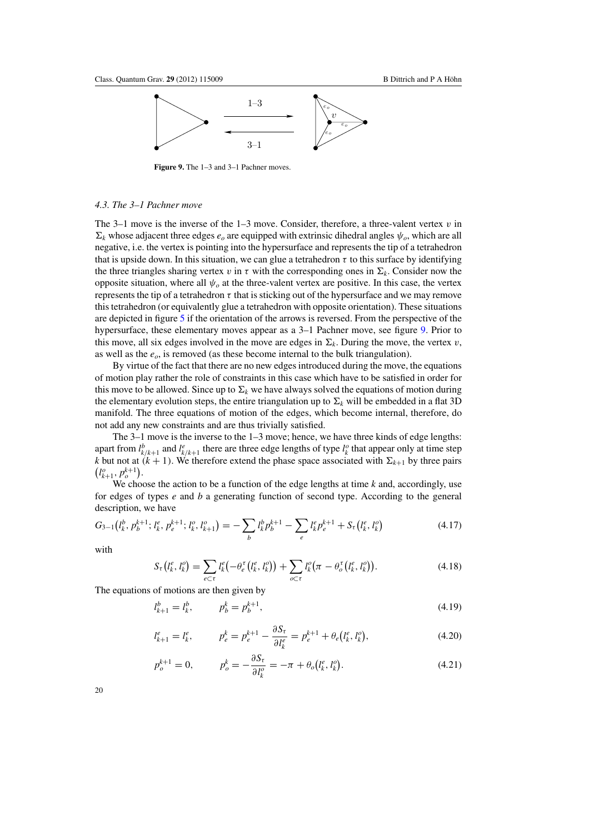<span id="page-20-0"></span>

**Figure 9.** The 1–3 and 3–1 Pachner moves.

#### *4.3. The 3–1 Pachner move*

The 3–1 move is the inverse of the 1–3 move. Consider, therefore, a three-valent vertex  $v$  in  $\Sigma_k$  whose adjacent three edges  $e_0$  are equipped with extrinsic dihedral angles  $\psi_0$ , which are all negative, i.e. the vertex is pointing into the hypersurface and represents the tip of a tetrahedron that is upside down. In this situation, we can glue a tetrahedron  $\tau$  to this surface by identifying the three triangles sharing vertex v in  $\tau$  with the corresponding ones in  $\Sigma_k$ . Consider now the opposite situation, where all  $\psi$ <sup>o</sup> at the three-valent vertex are positive. In this case, the vertex represents the tip of a tetrahedron  $\tau$  that is sticking out of the hypersurface and we may remove this tetrahedron (or equivalently glue a tetrahedron with opposite orientation). These situations are depicted in figure [5](#page-16-0) if the orientation of the arrows is reversed. From the perspective of the hypersurface, these elementary moves appear as a 3–1 Pachner move, see figure 9. Prior to this move, all six edges involved in the move are edges in  $\Sigma_k$ . During the move, the vertex v, as well as the  $e_0$ , is removed (as these become internal to the bulk triangulation).

By virtue of the fact that there are no new edges introduced during the move, the equations of motion play rather the role of constraints in this case which have to be satisfied in order for this move to be allowed. Since up to  $\Sigma_k$  we have always solved the equations of motion during the elementary evolution steps, the entire triangulation up to  $\Sigma_k$  will be embedded in a flat 3D manifold. The three equations of motion of the edges, which become internal, therefore, do not add any new constraints and are thus trivially satisfied.

The 3–1 move is the inverse to the 1–3 move; hence, we have three kinds of edge lengths: apart from  $l_{k/k+1}^b$  and  $l_{k/k+1}^e$  there are three edge lengths of type  $l_k^o$  that appear only at time step *k* but not at  $(k + 1)$ . We therefore extend the phase space associated with  $\Sigma_{k+1}$  by three pairs  $(l_{k+1}^o, p_o^{k+1}).$ 

We choose the action to be a function of the edge lengths at time *k* and, accordingly, use for edges of types *e* and *b* a generating function of second type. According to the general description, we have

$$
G_{3-1}(l_k^b, p_b^{k+1}; l_k^e, p_e^{k+1}; l_k^o, l_{k+1}^o) = -\sum_b l_k^b p_b^{k+1} - \sum_e l_k^e p_e^{k+1} + S_{\tau}(l_k^e, l_k^o)
$$
\n(4.17)

with

$$
S_{\tau}\left(l_k^e, l_k^o\right) = \sum_{e \subset \tau} l_k^e \left(-\theta_e^{\tau}\left(l_k^e, l_k^o\right)\right) + \sum_{o \subset \tau} l_k^o \left(\pi - \theta_o^{\tau}\left(l_k^e, l_k^o\right)\right). \tag{4.18}
$$

The equations of motions are then given by

$$
l_{k+1}^b = l_k^b, \qquad p_b^k = p_b^{k+1}, \tag{4.19}
$$

$$
l_{k+1}^{e} = l_{k}^{e}, \qquad p_{e}^{k} = p_{e}^{k+1} - \frac{\partial S_{\tau}}{\partial l_{k}^{e}} = p_{e}^{k+1} + \theta_{e}(l_{k}^{e}, l_{k}^{o}), \qquad (4.20)
$$

$$
p_o^{k+1} = 0, \qquad p_o^k = -\frac{\partial S_\tau}{\partial l_k^o} = -\pi + \theta_o(l_k^e, l_k^o). \tag{4.21}
$$

20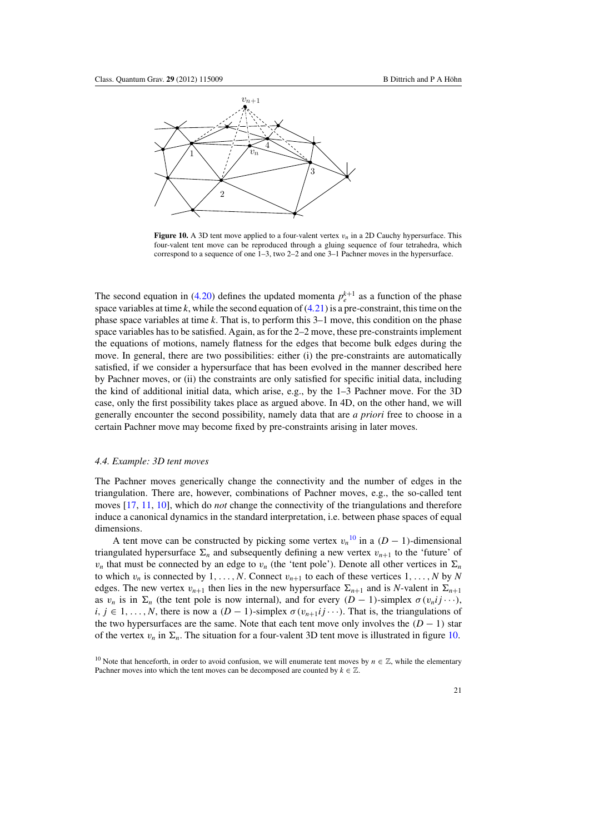<span id="page-21-0"></span>

**Figure 10.** A 3D tent move applied to a four-valent vertex  $v_n$  in a 2D Cauchy hypersurface. This four-valent tent move can be reproduced through a gluing sequence of four tetrahedra, which correspond to a sequence of one 1–3, two 2–2 and one 3–1 Pachner moves in the hypersurface.

The second equation in (4.[20\)](#page-20-0) defines the updated momenta  $p_c^{k+1}$  as a function of the phase space variables at time  $k$ , while the second equation of  $(4.21)$  $(4.21)$  is a pre-constraint, this time on the phase space variables at time *k*. That is, to perform this 3–1 move, this condition on the phase space variables has to be satisfied. Again, as for the 2–2 move, these pre-constraints implement the equations of motions, namely flatness for the edges that become bulk edges during the move. In general, there are two possibilities: either (i) the pre-constraints are automatically satisfied, if we consider a hypersurface that has been evolved in the manner described here by Pachner moves, or (ii) the constraints are only satisfied for specific initial data, including the kind of additional initial data, which arise, e.g., by the 1–3 Pachner move. For the 3D case, only the first possibility takes place as argued above. In 4D, on the other hand, we will generally encounter the second possibility, namely data that are *a priori* free to choose in a certain Pachner move may become fixed by pre-constraints arising in later moves.

## *4.4. Example: 3D tent moves*

The Pachner moves generically change the connectivity and the number of edges in the triangulation. There are, however, combinations of Pachner moves, e.g., the so-called tent moves [\[17,](#page-51-0) [11,](#page-50-0) [10](#page-50-0)], which do *not* change the connectivity of the triangulations and therefore induce a canonical dynamics in the standard interpretation, i.e. between phase spaces of equal dimensions.

A tent move can be constructed by picking some vertex  $v_n^{10}$  in a  $(D-1)$ -dimensional triangulated hypersurface  $\Sigma_n$  and subsequently defining a new vertex  $v_{n+1}$  to the 'future' of  $v_n$  that must be connected by an edge to  $v_n$  (the 'tent pole'). Denote all other vertices in  $\Sigma_n$ to which  $v_n$  is connected by  $1, \ldots, N$ . Connect  $v_{n+1}$  to each of these vertices  $1, \ldots, N$  by *N* edges. The new vertex  $v_{n+1}$  then lies in the new hypersurface  $\Sigma_{n+1}$  and is *N*-valent in  $\Sigma_{n+1}$ as  $v_n$  is in  $\Sigma_n$  (the tent pole is now internal), and for every  $(D-1)$ -simplex  $\sigma(v_n i j \cdots)$ ,  $i, j \in 1, \ldots, N$ , there is now a  $(D-1)$ -simplex  $\sigma(v_{n+1}i j \cdots)$ . That is, the triangulations of the two hypersurfaces are the same. Note that each tent move only involves the  $(D - 1)$  star of the vertex  $v_n$  in  $\Sigma_n$ . The situation for a four-valent 3D tent move is illustrated in figure 10.

<sup>&</sup>lt;sup>10</sup> Note that henceforth, in order to avoid confusion, we will enumerate tent moves by  $n \in \mathbb{Z}$ , while the elementary Pachner moves into which the tent moves can be decomposed are counted by  $k \in \mathbb{Z}$ .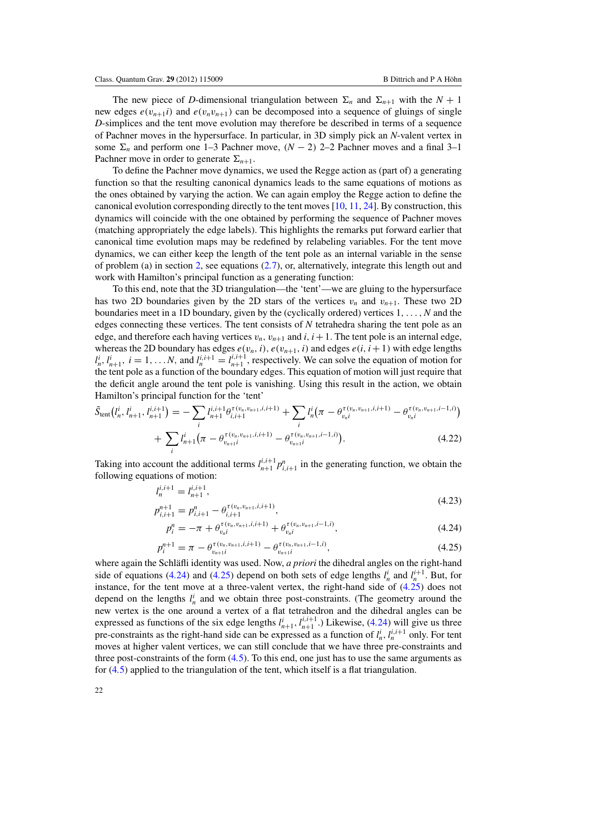<span id="page-22-0"></span>The new piece of *D*-dimensional triangulation between  $\Sigma_n$  and  $\Sigma_{n+1}$  with the  $N + 1$ new edges  $e(v_{n+1}i)$  and  $e(v_nv_{n+1})$  can be decomposed into a sequence of gluings of single *D*-simplices and the tent move evolution may therefore be described in terms of a sequence of Pachner moves in the hypersurface. In particular, in 3D simply pick an *N*-valent vertex in some  $\Sigma_n$  and perform one 1–3 Pachner move,  $(N-2)$  2–2 Pachner moves and a final 3–1 Pachner move in order to generate  $\Sigma_{n+1}$ .

To define the Pachner move dynamics, we used the Regge action as (part of) a generating function so that the resulting canonical dynamics leads to the same equations of motions as the ones obtained by varying the action. We can again employ the Regge action to define the canonical evolution corresponding directly to the tent moves [\[10](#page-50-0), [11,](#page-50-0) [24](#page-51-0)]. By construction, this dynamics will coincide with the one obtained by performing the sequence of Pachner moves (matching appropriately the edge labels). This highlights the remarks put forward earlier that canonical time evolution maps may be redefined by relabeling variables. For the tent move dynamics, we can either keep the length of the tent pole as an internal variable in the sense of problem (a) in section [2,](#page-4-0) see equations (2*.*[7\)](#page-7-0), or, alternatively, integrate this length out and work with Hamilton's principal function as a generating function:

To this end, note that the 3D triangulation—the 'tent'—we are gluing to the hypersurface has two 2D boundaries given by the 2D stars of the vertices  $v_n$  and  $v_{n+1}$ . These two 2D boundaries meet in a 1D boundary, given by the (cyclically ordered) vertices 1,...,*N* and the edges connecting these vertices. The tent consists of *N* tetrahedra sharing the tent pole as an edge, and therefore each having vertices  $v_n$ ,  $v_{n+1}$  and  $i$ ,  $i+1$ . The tent pole is an internal edge, whereas the 2D boundary has edges  $e(v_n, i)$ ,  $e(v_{n+1}, i)$  and edges  $e(i, i + 1)$  with edge lengths  $l_n^i$ ,  $l_{n+1}^i$ ,  $i = 1, \ldots N$ , and  $l_n^{i,i+1} = l_{n+1}^{i,i+1}$ , respectively. We can solve the equation of motion for the tent pole as a function of the boundary edges. This equation of motion will just require that the deficit angle around the tent pole is vanishing. Using this result in the action, we obtain Hamilton's principal function for the 'tent'

$$
\tilde{S}_{\text{tent}}(l_n^i, l_{n+1}^i, l_{n+1}^{i,i+1}) = -\sum_i l_{n+1}^{i,i+1} \theta_{i,i+1}^{\tau(v_n, v_{n+1}, i,i+1)} + \sum_i l_n^i (\pi - \theta_{v_n i}^{\tau(v_n, v_{n+1}, i,i+1)} - \theta_{v_n i}^{\tau(v_n, v_{n+1}, i-1,i)}) + \sum_i l_{n+1}^i (\pi - \theta_{v_{n+1} i}^{\tau(v_n, v_{n+1}, i,i+1)} - \theta_{v_{n+1} i}^{\tau(v_n, v_{n+1}, i-1,i)}).
$$
\n(4.22)

$$
+\sum_{i} l_{n+1}^{i} \big(\pi - \theta_{v_{n+1}i}^{\tau(v_n, v_{n+1}, i, i+1)} - \theta_{v_{n+1}i}^{\tau(v_n, v_{n+1}, i-1, i)}\big).
$$
\n(4.22)

Taking into account the additional terms  $l_{n+1}^{i,i+1} p_{i,i+1}^n$  in the generating function, we obtain the following equations of motion:

$$
l_n^{i,i+1} = l_{n+1}^{i,i+1},
$$
\n(4.23)

$$
p_{i,i+1}^{n+1} = p_{i,i+1}^n - \theta_{i,i+1}^{\tau(v_n, v_{n+1}, i, i+1)},
$$
  
\n
$$
p_i^n = -\pi + \theta_{v_n i}^{\tau(v_n, v_{n+1}, i, i+1)} + \theta_{v_n i}^{\tau(v_n, v_{n+1}, i-1, i)},
$$
\n(4.24)

$$
p_i^{n+1} = \pi - \theta_{v_{n+1}i}^{\tau(v_n, v_{n+1}, i, i+1)} - \theta_{v_{n+1}i}^{\tau(v_n, v_{n+1}, i-1, i)},
$$
\n(4.25)

where again the Schläfli identity was used. Now, *a priori* the dihedral angles on the right-hand side of equations (4.24) and (4.25) depend on both sets of edge lengths  $l_n^i$  and  $l_n^{i+1}$ . But, for instance, for the tent move at a three-valent vertex, the right-hand side of (4*.*25) does not depend on the lengths  $l_n^i$  and we obtain three post-constraints. (The geometry around the new vertex is the one around a vertex of a flat tetrahedron and the dihedral angles can be expressed as functions of the six edge lengths  $l_{n+1}^i$ ,  $l_{n+1}^{i,i+1}$ .) Likewise, (4.24) will give us three pre-constraints as the right-hand side can be expressed as a function of  $l_n^i$ ,  $l_n^{i,i+1}$  only. For tent moves at higher valent vertices, we can still conclude that we have three pre-constraints and three post-constraints of the form (4*.*[5\)](#page-15-0). To this end, one just has to use the same arguments as for [\(4](#page-15-0)*.*5) applied to the triangulation of the tent, which itself is a flat triangulation.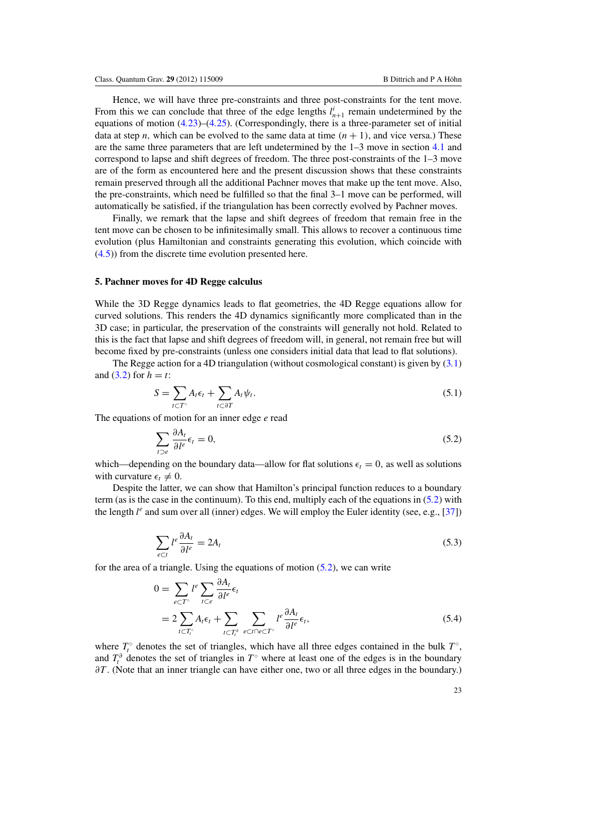<span id="page-23-0"></span>Hence, we will have three pre-constraints and three post-constraints for the tent move. From this we can conclude that three of the edge lengths  $l_{n+1}^i$  remain undetermined by the equations of motion (4*.*[23\)](#page-22-0)–(4*.*[25\)](#page-22-0). (Correspondingly, there is a three-parameter set of initial data at step *n*, which can be evolved to the same data at time  $(n + 1)$ , and vice versa.) These are the same three parameters that are left undetermined by the 1–3 move in section [4.1](#page-16-0) and correspond to lapse and shift degrees of freedom. The three post-constraints of the 1–3 move are of the form as encountered here and the present discussion shows that these constraints remain preserved through all the additional Pachner moves that make up the tent move. Also, the pre-constraints, which need be fulfilled so that the final 3–1 move can be performed, will automatically be satisfied, if the triangulation has been correctly evolved by Pachner moves.

Finally, we remark that the lapse and shift degrees of freedom that remain free in the tent move can be chosen to be infinitesimally small. This allows to recover a continuous time evolution (plus Hamiltonian and constraints generating this evolution, which coincide with (4*.*[5\)](#page-15-0)) from the discrete time evolution presented here.

#### **5. Pachner moves for 4D Regge calculus**

While the 3D Regge dynamics leads to flat geometries, the 4D Regge equations allow for curved solutions. This renders the 4D dynamics significantly more complicated than in the 3D case; in particular, the preservation of the constraints will generally not hold. Related to this is the fact that lapse and shift degrees of freedom will, in general, not remain free but will become fixed by pre-constraints (unless one considers initial data that lead to flat solutions).

The Regge action for a 4D triangulation (without cosmological constant) is given by [\(3](#page-12-0)*.*1) and (3.[2\)](#page-13-0) for  $h = t$ :

$$
S = \sum_{t \subset T^{\circ}} A_t \epsilon_t + \sum_{t \subset \partial T} A_t \psi_t.
$$
 (5.1)

The equations of motion for an inner edge *e* read

$$
\sum_{t \supset e} \frac{\partial A_t}{\partial l^e} \epsilon_t = 0,\tag{5.2}
$$

which—depending on the boundary data—allow for flat solutions  $\epsilon_t = 0$ , as well as solutions with curvature  $\epsilon_t \neq 0$ .

Despite the latter, we can show that Hamilton's principal function reduces to a boundary term (as is the case in the continuum). To this end, multiply each of the equations in (5*.*2) with the length  $l^e$  and sum over all (inner) edges. We will employ the Euler identity (see, e.g.,  $[37]$ )

$$
\sum_{e \subset t} l^e \frac{\partial A_t}{\partial l^e} = 2A_t \tag{5.3}
$$

for the area of a triangle. Using the equations of motion (5*.*2), we can write

$$
0 = \sum_{e \subset T^{\circ}} l^{e} \sum_{t \subset e} \frac{\partial A_{t}}{\partial l^{e}} \epsilon_{t}
$$
  
= 
$$
2 \sum_{t \subset T_{t}^{\circ}} A_{t} \epsilon_{t} + \sum_{t \subset T_{t}^{\partial}} \sum_{e \subset t \cap e \subset T^{\circ}} l^{e} \frac{\partial A_{t}}{\partial l^{e}} \epsilon_{t},
$$
(5.4)

where  $T_t^{\circ}$  denotes the set of triangles, which have all three edges contained in the bulk  $T^{\circ}$ , and  $T_t^{\partial}$  denotes the set of triangles in  $T^{\circ}$  where at least one of the edges is in the boundary ∂*T*. (Note that an inner triangle can have either one, two or all three edges in the boundary.)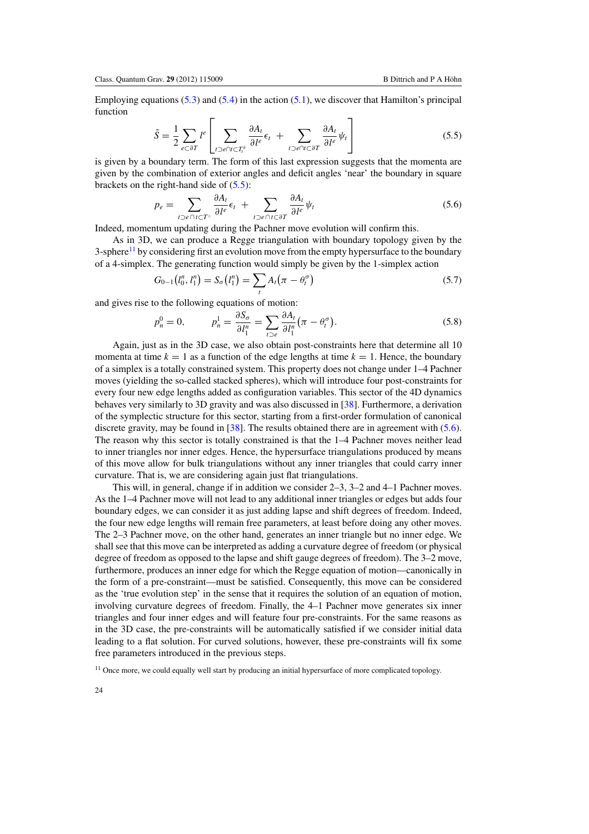<span id="page-24-0"></span>Employing equations (5*.*[3\)](#page-23-0) and [\(5](#page-23-0)*.*4) in the action [\(5](#page-23-0)*.*1), we discover that Hamilton's principal function

$$
\tilde{S} = \frac{1}{2} \sum_{e \subset \partial T} l^e \left[ \sum_{t \supset e \cap t \subset T_i^{\partial}} \frac{\partial A_t}{\partial l^e} \epsilon_t + \sum_{t \supset e \cap t \subset \partial T} \frac{\partial A_t}{\partial l^e} \psi_t \right]
$$
(5.5)

is given by a boundary term. The form of this last expression suggests that the momenta are given by the combination of exterior angles and deficit angles 'near' the boundary in square brackets on the right-hand side of (5*.*5):

$$
p_e = \sum_{t \supset e \cap t \subset T^\circ} \frac{\partial A_t}{\partial l^e} \epsilon_t + \sum_{t \supset e \cap t \subset \partial T} \frac{\partial A_t}{\partial l^e} \psi_t \tag{5.6}
$$

Indeed, momentum updating during the Pachner move evolution will confirm this.

As in 3D, we can produce a Regge triangulation with boundary topology given by the  $3$ -sphere $1$  by considering first an evolution move from the empty hypersurface to the boundary of a 4-simplex. The generating function would simply be given by the 1-simplex action

$$
G_{0-1}(l_0^n, l_1^n) = S_{\sigma}(l_1^n) = \sum_t A_t(\pi - \theta_t^{\sigma})
$$
\n(5.7)

and gives rise to the following equations of motion:

$$
p_n^0 = 0, \qquad p_n^1 = \frac{\partial S_{\sigma}}{\partial l_1^n} = \sum_{t \supset e} \frac{\partial A_t}{\partial l_1^n} \left(\pi - \theta_t^{\sigma}\right). \tag{5.8}
$$

Again, just as in the 3D case, we also obtain post-constraints here that determine all 10 momenta at time  $k = 1$  as a function of the edge lengths at time  $k = 1$ . Hence, the boundary of a simplex is a totally constrained system. This property does not change under 1–4 Pachner moves (yielding the so-called stacked spheres), which will introduce four post-constraints for every four new edge lengths added as configuration variables. This sector of the 4D dynamics behaves very similarly to 3D gravity and was also discussed in [\[38\]](#page-51-0). Furthermore, a derivation of the symplectic structure for this sector, starting from a first-order formulation of canonical discrete gravity, may be found in [\[38](#page-51-0)]. The results obtained there are in agreement with (5*.*6). The reason why this sector is totally constrained is that the 1–4 Pachner moves neither lead to inner triangles nor inner edges. Hence, the hypersurface triangulations produced by means of this move allow for bulk triangulations without any inner triangles that could carry inner curvature. That is, we are considering again just flat triangulations.

This will, in general, change if in addition we consider 2–3, 3–2 and 4–1 Pachner moves. As the 1–4 Pachner move will not lead to any additional inner triangles or edges but adds four boundary edges, we can consider it as just adding lapse and shift degrees of freedom. Indeed, the four new edge lengths will remain free parameters, at least before doing any other moves. The 2–3 Pachner move, on the other hand, generates an inner triangle but no inner edge. We shall see that this move can be interpreted as adding a curvature degree of freedom (or physical degree of freedom as opposed to the lapse and shift gauge degrees of freedom). The 3–2 move, furthermore, produces an inner edge for which the Regge equation of motion—canonically in the form of a pre-constraint—must be satisfied. Consequently, this move can be considered as the 'true evolution step' in the sense that it requires the solution of an equation of motion, involving curvature degrees of freedom. Finally, the 4–1 Pachner move generates six inner triangles and four inner edges and will feature four pre-constraints. For the same reasons as in the 3D case, the pre-constraints will be automatically satisfied if we consider initial data leading to a flat solution. For curved solutions, however, these pre-constraints will fix some free parameters introduced in the previous steps.

<sup>11</sup> Once more, we could equally well start by producing an initial hypersurface of more complicated topology.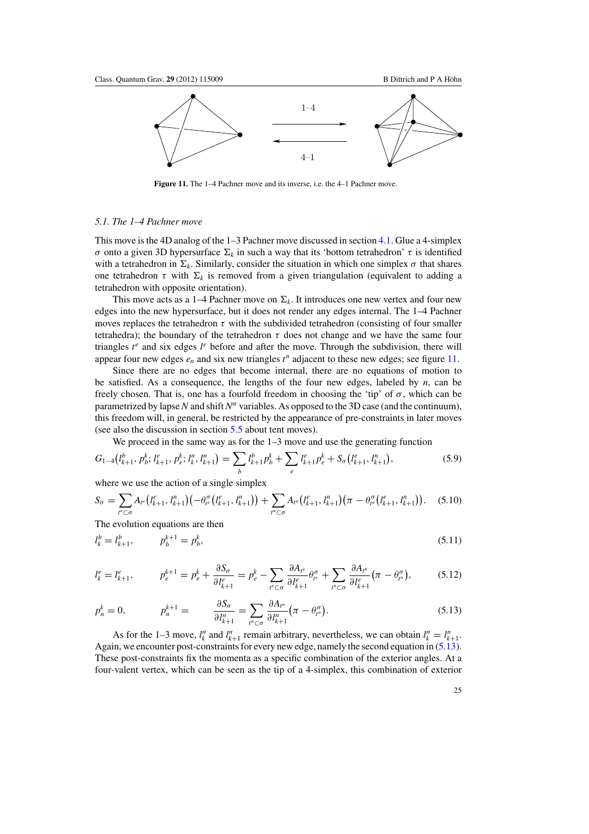<span id="page-25-0"></span>

**Figure 11.** The 1–4 Pachner move and its inverse, i.e. the 4–1 Pachner move.

#### *5.1. The 1–4 Pachner move*

This move is the 4D analog of the  $1-3$  Pachner move discussed in section [4.1.](#page-16-0) Glue a 4-simplex σ onto a given 3D hypersurface  $\Sigma_k$  in such a way that its 'bottom tetrahedron' τ is identified with a tetrahedron in  $\Sigma_k$ . Similarly, consider the situation in which one simplex  $\sigma$  that shares one tetrahedron  $\tau$  with  $\Sigma_k$  is removed from a given triangulation (equivalent to adding a tetrahedron with opposite orientation).

This move acts as a 1–4 Pachner move on  $\Sigma_k$ . It introduces one new vertex and four new edges into the new hypersurface, but it does not render any edges internal. The 1–4 Pachner moves replaces the tetrahedron  $\tau$  with the subdivided tetrahedron (consisting of four smaller tetrahedra); the boundary of the tetrahedron  $\tau$  does not change and we have the same four triangles  $t^e$  and six edges  $l^e$  before and after the move. Through the subdivision, there will appear four new edges  $e_n$  and six new triangles  $t^n$  adjacent to these new edges; see figure 11.

Since there are no edges that become internal, there are no equations of motion to be satisfied. As a consequence, the lengths of the four new edges, labeled by *n*, can be freely chosen. That is, one has a fourfold freedom in choosing the 'tip' of  $\sigma$ , which can be parametrized by lapse *N* and shift *N*<sup>α</sup> variables. As opposed to the 3D case (and the continuum), this freedom will, in general, be restricted by the appearance of pre-constraints in later moves (see also the discussion in section [5.5](#page-29-0) about tent moves).

We proceed in the same way as for the 1–3 move and use the generating function

$$
G_{1-4}(l_{k+1}^b, p_b^k; l_{k+1}^e, p_e^k; l_k^n, l_{k+1}^n) = \sum_b l_{k+1}^b p_b^k + \sum_e l_{k+1}^e p_e^k + S_\sigma(l_{k+1}^e, l_{k+1}^n),\tag{5.9}
$$

where we use the action of a single simplex

$$
S_{\sigma} = \sum_{t^e \subset \sigma} A_{t^e} (l^e_{k+1}, l^n_{k+1}) \left( -\theta_{t^e}^{\sigma} (l^e_{k+1}, l^n_{k+1}) \right) + \sum_{t^n \subset \sigma} A_{t^n} (l^e_{k+1}, l^n_{k+1}) \left( \pi - \theta_{t^n}^{\sigma} (l^e_{k+1}, l^n_{k+1}) \right). \tag{5.10}
$$

The evolution equations are then

$$
l_k^b = l_{k+1}^b, \qquad p_b^{k+1} = p_b^k,
$$
\n(5.11)

$$
l_k^e = l_{k+1}^e, \qquad p_e^{k+1} = p_e^k + \frac{\partial S_\sigma}{\partial l_{k+1}^e} = p_e^k - \sum_{t^e \subset \sigma} \frac{\partial A_{t^e}}{\partial l_{k+1}^e} \theta_{t^e}^\sigma + \sum_{t^n \subset \sigma} \frac{\partial A_{t^n}}{\partial l_{k+1}^e} \left(\pi - \theta_{t^n}^\sigma\right), \tag{5.12}
$$

$$
p_n^k = 0, \qquad p_n^{k+1} = \qquad \frac{\partial S_\sigma}{\partial l_{k+1}^n} = \sum_{t^n \subset \sigma} \frac{\partial A_{t^n}}{\partial l_{k+1}^n} \left(\pi - \theta_{t^n}^\sigma\right). \tag{5.13}
$$

As for the 1–3 move,  $l_k^n$  and  $l_{k+1}^n$  remain arbitrary, nevertheless, we can obtain  $l_k^n = l_{k+1}^n$ . Again, we encounter post-constraints for every new edge, namely the second equation in (5*.*13). These post-constraints fix the momenta as a specific combination of the exterior angles. At a four-valent vertex, which can be seen as the tip of a 4-simplex, this combination of exterior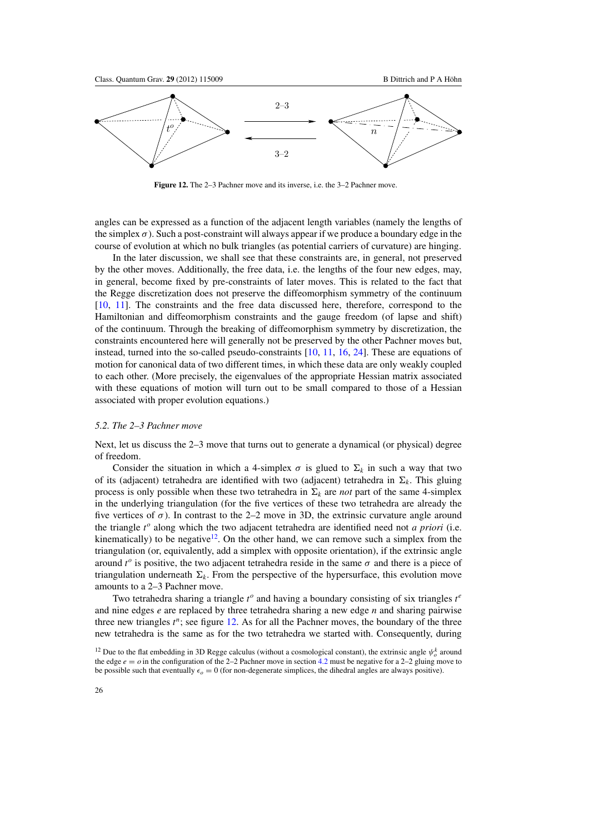<span id="page-26-0"></span>

**Figure 12.** The 2–3 Pachner move and its inverse, i.e. the 3–2 Pachner move.

angles can be expressed as a function of the adjacent length variables (namely the lengths of the simplex  $\sigma$ ). Such a post-constraint will always appear if we produce a boundary edge in the course of evolution at which no bulk triangles (as potential carriers of curvature) are hinging.

In the later discussion, we shall see that these constraints are, in general, not preserved by the other moves. Additionally, the free data, i.e. the lengths of the four new edges, may, in general, become fixed by pre-constraints of later moves. This is related to the fact that the Regge discretization does not preserve the diffeomorphism symmetry of the continuum [\[10](#page-50-0), [11](#page-50-0)]. The constraints and the free data discussed here, therefore, correspond to the Hamiltonian and diffeomorphism constraints and the gauge freedom (of lapse and shift) of the continuum. Through the breaking of diffeomorphism symmetry by discretization, the constraints encountered here will generally not be preserved by the other Pachner moves but, instead, turned into the so-called pseudo-constraints [\[10,](#page-50-0) [11](#page-50-0), [16,](#page-50-0) [24\]](#page-51-0). These are equations of motion for canonical data of two different times, in which these data are only weakly coupled to each other. (More precisely, the eigenvalues of the appropriate Hessian matrix associated with these equations of motion will turn out to be small compared to those of a Hessian associated with proper evolution equations.)

#### *5.2. The 2–3 Pachner move*

Next, let us discuss the 2–3 move that turns out to generate a dynamical (or physical) degree of freedom.

Consider the situation in which a 4-simplex  $\sigma$  is glued to  $\Sigma_k$  in such a way that two of its (adjacent) tetrahedra are identified with two (adjacent) tetrahedra in  $\Sigma_k$ . This gluing process is only possible when these two tetrahedra in  $\Sigma_k$  are *not* part of the same 4-simplex in the underlying triangulation (for the five vertices of these two tetrahedra are already the five vertices of  $\sigma$ ). In contrast to the 2–2 move in 3D, the extrinsic curvature angle around the triangle *t <sup>o</sup>* along which the two adjacent tetrahedra are identified need not *a priori* (i.e. kinematically) to be negative<sup>12</sup>. On the other hand, we can remove such a simplex from the triangulation (or, equivalently, add a simplex with opposite orientation), if the extrinsic angle around  $t^o$  is positive, the two adjacent tetrahedra reside in the same  $\sigma$  and there is a piece of triangulation underneath  $\Sigma_k$ . From the perspective of the hypersurface, this evolution move amounts to a 2–3 Pachner move.

Two tetrahedra sharing a triangle  $t^o$  and having a boundary consisting of six triangles  $t^e$ and nine edges *e* are replaced by three tetrahedra sharing a new edge *n* and sharing pairwise three new triangles  $t^n$ ; see figure 12. As for all the Pachner moves, the boundary of the three new tetrahedra is the same as for the two tetrahedra we started with. Consequently, during

<sup>&</sup>lt;sup>12</sup> Due to the flat embedding in 3D Regge calculus (without a cosmological constant), the extrinsic angle  $\psi_o^k$  around the edge  $e = o$  in the configuration of the 2–2 Pachner move in section [4.2](#page-17-0) must be negative for a 2–2 gluing move to be possible such that eventually  $\epsilon_o = 0$  (for non-degenerate simplices, the dihedral angles are always positive).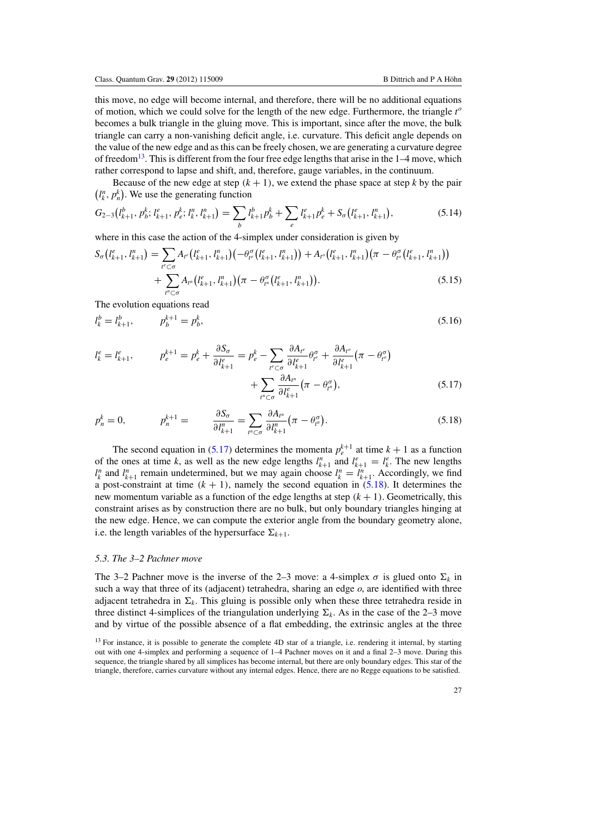<span id="page-27-0"></span>this move, no edge will become internal, and therefore, there will be no additional equations of motion, which we could solve for the length of the new edge. Furthermore, the triangle *t o* becomes a bulk triangle in the gluing move. This is important, since after the move, the bulk triangle can carry a non-vanishing deficit angle, i.e. curvature. This deficit angle depends on the value of the new edge and as this can be freely chosen, we are generating a curvature degree of freedom<sup>13</sup>. This is different from the four free edge lengths that arise in the  $1-4$  move, which rather correspond to lapse and shift, and, therefore, gauge variables, in the continuum.

Because of the new edge at step  $(k + 1)$ , we extend the phase space at step *k* by the pair  $(l_k^n, p_n^k)$ . We use the generating function

$$
G_{2-3}(l_{k+1}^b, p_k^k; l_{k+1}^e, p_e^k; l_k^n, l_{k+1}^n) = \sum_b l_{k+1}^b p_b^k + \sum_e l_{k+1}^e p_e^k + S_\sigma(l_{k+1}^e, l_{k+1}^n),\tag{5.14}
$$

where in this case the action of the 4-simplex under consideration is given by

$$
S_{\sigma}\left(l_{k+1}^{e}, l_{k+1}^{n}\right) = \sum_{t^{e} \subset \sigma} A_{t^{e}}\left(l_{k+1}^{e}, l_{k+1}^{n}\right)\left(-\theta_{t^{e}}^{\sigma}\left(l_{k+1}^{e}, l_{k+1}^{n}\right)\right) + A_{t^{o}}\left(l_{k+1}^{e}, l_{k+1}^{n}\right)\left(\pi - \theta_{t^{o}}^{\sigma}\left(l_{k+1}^{e}, l_{k+1}^{n}\right)\right) + \sum_{t^{n} \subset \sigma} A_{t^{n}}\left(l_{k+1}^{e}, l_{k+1}^{n}\right)\left(\pi - \theta_{t^{n}}^{\sigma}\left(l_{k+1}^{e}, l_{k+1}^{n}\right)\right).
$$
\n(5.15)

The evolution equations read

$$
l_k^b = l_{k+1}^b, \qquad p_b^{k+1} = p_b^k,
$$
\n(5.16)

$$
l_{k}^{e} = l_{k+1}^{e}, \qquad p_{e}^{k+1} = p_{e}^{k} + \frac{\partial S_{\sigma}}{\partial l_{k+1}^{e}} = p_{e}^{k} - \sum_{t^{e} \subset \sigma} \frac{\partial A_{t^{e}}}{\partial l_{k+1}^{e}} \theta_{t^{e}}^{\sigma} + \frac{\partial A_{t^{o}}}{\partial l_{k+1}^{e}} (\pi - \theta_{t^{o}}^{\sigma}) + \sum_{t^{m} \subset \sigma} \frac{\partial A_{t^{m}}}{\partial l_{k+1}^{e}} (\pi - \theta_{t^{m}}^{\sigma}), \qquad (5.17)
$$

$$
p_n^k = 0, \qquad p_n^{k+1} = \qquad \frac{\partial S_\sigma}{\partial l_{k+1}^n} = \sum_{t^n \subset \sigma} \frac{\partial A_{t^n}}{\partial l_{k+1}^n} \left(\pi - \theta_{t^n}^\sigma\right). \tag{5.18}
$$

The second equation in (5.17) determines the momenta  $p_e^{k+1}$  at time  $k+1$  as a function of the ones at time *k*, as well as the new edge lengths  $l_{k+1}^n$  and  $l_{k+1}^e = l_k^e$ . The new lengths  $l_k^n$  and  $l_{k+1}^n$  remain undetermined, but we may again choose  $l_k^n = l_{k+1}^n$ . Accordingly, we find a post-constraint at time  $(k + 1)$ , namely the second equation in (5.18). It determines the new momentum variable as a function of the edge lengths at step  $(k + 1)$ . Geometrically, this constraint arises as by construction there are no bulk, but only boundary triangles hinging at the new edge. Hence, we can compute the exterior angle from the boundary geometry alone, i.e. the length variables of the hypersurface  $\Sigma_{k+1}$ .

## *5.3. The 3–2 Pachner move*

The 3–2 Pachner move is the inverse of the 2–3 move: a 4-simplex  $\sigma$  is glued onto  $\Sigma_k$  in such a way that three of its (adjacent) tetrahedra, sharing an edge  $o$ , are identified with three adjacent tetrahedra in  $\Sigma_k$ . This gluing is possible only when these three tetrahedra reside in three distinct 4-simplices of the triangulation underlying  $\Sigma_k$ . As in the case of the 2–3 move and by virtue of the possible absence of a flat embedding, the extrinsic angles at the three

 $13$  For instance, it is possible to generate the complete 4D star of a triangle, i.e. rendering it internal, by starting out with one 4-simplex and performing a sequence of 1–4 Pachner moves on it and a final 2–3 move. During this sequence, the triangle shared by all simplices has become internal, but there are only boundary edges. This star of the triangle, therefore, carries curvature without any internal edges. Hence, there are no Regge equations to be satisfied.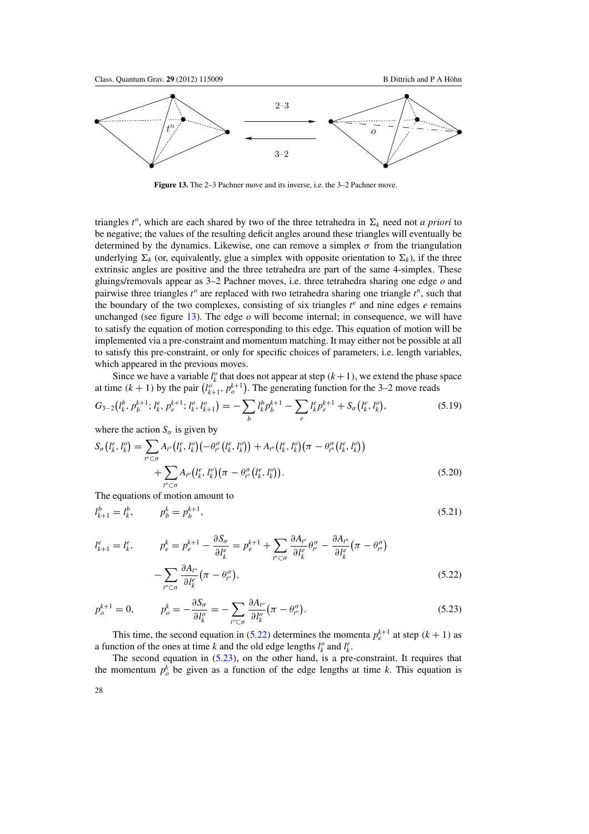<span id="page-28-0"></span>

**Figure 13.** The 2–3 Pachner move and its inverse, i.e. the 3–2 Pachner move.

triangles  $t^o$ , which are each shared by two of the three tetrahedra in  $\Sigma_k$  need not *a priori* to be negative; the values of the resulting deficit angles around these triangles will eventually be determined by the dynamics. Likewise, one can remove a simplex  $\sigma$  from the triangulation underlying  $\Sigma_k$  (or, equivalently, glue a simplex with opposite orientation to  $\Sigma_k$ ), if the three extrinsic angles are positive and the three tetrahedra are part of the same 4-simplex. These gluings/removals appear as 3–2 Pachner moves, i.e. three tetrahedra sharing one edge *o* and pairwise three triangles  $t^o$  are replaced with two tetrahedra sharing one triangle  $t^n$ , such that the boundary of the two complexes, consisting of six triangles *t <sup>e</sup>* and nine edges *e* remains unchanged (see figure  $13$ ). The edge  $\sigma$  will become internal; in consequence, we will have to satisfy the equation of motion corresponding to this edge. This equation of motion will be implemented via a pre-constraint and momentum matching. It may either not be possible at all to satisfy this pre-constraint, or only for specific choices of parameters, i.e. length variables, which appeared in the previous moves.

Since we have a variable  $l_k^o$  that does not appear at step  $(k+1)$ , we extend the phase space at time  $(k + 1)$  by the pair  $\left(l_{k+1}^o, p_o^{k+1}\right)$ . The generating function for the 3–2 move reads

$$
G_{3-2}(l_k^b, p_b^{k+1}; l_k^e, p_e^{k+1}; l_k^o, l_{k+1}^o) = -\sum_b l_k^b p_b^{k+1} - \sum_e l_k^e p_e^{k+1} + S_\sigma(l_k^e, l_k^o),\tag{5.19}
$$

where the action  $S_{\sigma}$  is given by

$$
S_{\sigma}\left(l_{k}^{e}, l_{k}^{o}\right) = \sum_{t^{e} \subset \sigma} A_{t^{e}}\left(l_{k}^{e}, l_{k}^{o}\right) \left(-\theta_{t^{e}}^{\sigma}\left(l_{k}^{e}, l_{k}^{o}\right)\right) + A_{t^{n}}\left(l_{k}^{e}, l_{k}^{o}\right) \left(\pi - \theta_{t^{n}}^{\sigma}\left(l_{k}^{e}, l_{k}^{o}\right)\right) + \sum_{t^{o} \subset \sigma} A_{t^{o}}\left(l_{k}^{e}, l_{k}^{o}\right) \left(\pi - \theta_{t^{o}}^{\sigma}\left(l_{k}^{e}, l_{k}^{o}\right)\right).
$$
\n(5.20)

The equations of motion amount to

$$
l_{k+1}^b = l_k^b, \qquad p_b^k = p_b^{k+1}, \tag{5.21}
$$

$$
l_{k+1}^{e} = l_{k}^{e}, \qquad p_{e}^{k} = p_{e}^{k+1} - \frac{\partial S_{\sigma}}{\partial l_{k}^{e}} = p_{e}^{k+1} + \sum_{t^{e} \subset \sigma} \frac{\partial A_{t^{e}}}{\partial l_{k}^{e}} \theta_{t^{e}}^{\sigma} - \frac{\partial A_{t^{n}}}{\partial l_{k}^{e}} (\pi - \theta_{t^{n}})
$$

$$
- \sum_{t^{e} \subset \sigma} \frac{\partial A_{t^{e}}}{\partial l_{k}^{e}} (\pi - \theta_{t^{o}}^{\sigma}), \qquad (5.22)
$$

$$
p_o^{k+1} = 0, \qquad p_o^k = -\frac{\partial S_\sigma}{\partial l_k^o} = -\sum_{t^o \subset \sigma} \frac{\partial A_{t^o}}{\partial l_k^o} \left(\pi - \theta_{t^o}^\sigma\right). \tag{5.23}
$$

This time, the second equation in (5.22) determines the momenta  $p_e^{k+1}$  at step ( $k + 1$ ) as a function of the ones at time *k* and the old edge lengths  $l_k^o$  and  $l_k^e$ .

The second equation in (5*.*23), on the other hand, is a pre-constraint. It requires that the momentum  $p_o^k$  be given as a function of the edge lengths at time k. This equation is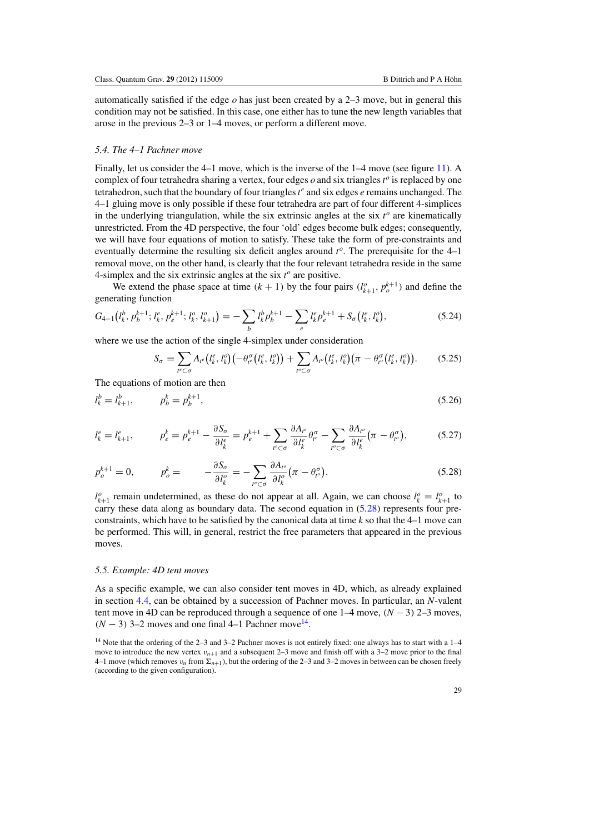<span id="page-29-0"></span>automatically satisfied if the edge *o* has just been created by a 2–3 move, but in general this condition may not be satisfied. In this case, one either has to tune the new length variables that arose in the previous 2–3 or 1–4 moves, or perform a different move.

### *5.4. The 4–1 Pachner move*

Finally, let us consider the 4–1 move, which is the inverse of the 1–4 move (see figure [11\)](#page-25-0). A complex of four tetrahedra sharing a vertex, four edges  $o$  and six triangles  $t^o$  is replaced by one tetrahedron, such that the boundary of four triangles*t <sup>e</sup>* and six edges *e* remains unchanged. The 4–1 gluing move is only possible if these four tetrahedra are part of four different 4-simplices in the underlying triangulation, while the six extrinsic angles at the six  $t^{\circ}$  are kinematically unrestricted. From the 4D perspective, the four 'old' edges become bulk edges; consequently, we will have four equations of motion to satisfy. These take the form of pre-constraints and eventually determine the resulting six deficit angles around  $t^o$ . The prerequisite for the  $4-1$ removal move, on the other hand, is clearly that the four relevant tetrahedra reside in the same 4-simplex and the six extrinsic angles at the six  $t^{\circ}$  are positive.

We extend the phase space at time  $(k + 1)$  by the four pairs  $(l_{k+1}^o, p_o^{k+1})$  and define the generating function

$$
G_{4-1}(l_k^b, p_b^{k+1}; l_k^e, p_e^{k+1}; l_k^o, l_{k+1}^o) = -\sum_b l_k^b p_b^{k+1} - \sum_e l_k^e p_e^{k+1} + S_\sigma(l_k^e, l_k^o),\tag{5.24}
$$

where we use the action of the single 4-simplex under consideration

$$
S_{\sigma} = \sum_{t^e \subset \sigma} A_{t^e} (l_k^e, l_k^o) \big( - \theta_{t^e}^{\sigma} (l_k^e, l_k^o) \big) + \sum_{t^o \subset \sigma} A_{t^o} (l_k^e, l_k^o) \big( \pi - \theta_{t^o}^{\sigma} (l_k^e, l_k^o) \big). \tag{5.25}
$$

The equations of motion are then

$$
l_k^b = l_{k+1}^b, \qquad p_b^k = p_b^{k+1}, \tag{5.26}
$$

$$
l_k^e = l_{k+1}^e, \qquad p_e^k = p_e^{k+1} - \frac{\partial S_\sigma}{\partial l_k^e} = p_e^{k+1} + \sum_{t^e \subset \sigma} \frac{\partial A_{t^e}}{\partial l_k^e} \theta_{t^e}^\sigma - \sum_{t^o \subset \sigma} \frac{\partial A_{t^o}}{\partial l_k^e} \left(\pi - \theta_{t^o}^\sigma\right),\tag{5.27}
$$

$$
p_o^{k+1} = 0, \qquad p_o^k = -\frac{\partial S_\sigma}{\partial l_k^o} = -\sum_{t^n \subset \sigma} \frac{\partial A_{t^o}}{\partial l_k^o} \left(\pi - \theta_{t^o}^\sigma\right). \tag{5.28}
$$

 $l_{k+1}^o$  remain undetermined, as these do not appear at all. Again, we can choose  $l_k^o = l_{k+1}^o$  to carry these data along as boundary data. The second equation in  $(5.28)$  represents four preconstraints, which have to be satisfied by the canonical data at time *k* so that the 4–1 move can be performed. This will, in general, restrict the free parameters that appeared in the previous moves.

## *5.5. Example: 4D tent moves*

As a specific example, we can also consider tent moves in 4D, which, as already explained in section [4.4,](#page-21-0) can be obtained by a succession of Pachner moves. In particular, an *N*-valent tent move in 4D can be reproduced through a sequence of one  $1-4$  move,  $(N-3)$  2–3 moves,  $(N-3)$  3–2 moves and one final 4–1 Pachner move<sup>14</sup>.

<sup>14</sup> Note that the ordering of the 2–3 and 3–2 Pachner moves is not entirely fixed: one always has to start with a 1–4 move to introduce the new vertex  $v_{n+1}$  and a subsequent 2–3 move and finish off with a 3–2 move prior to the final 4–1 move (which removes  $v_n$  from  $\Sigma_{n+1}$ ), but the ordering of the 2–3 and 3–2 moves in between can be chosen freely (according to the given configuration).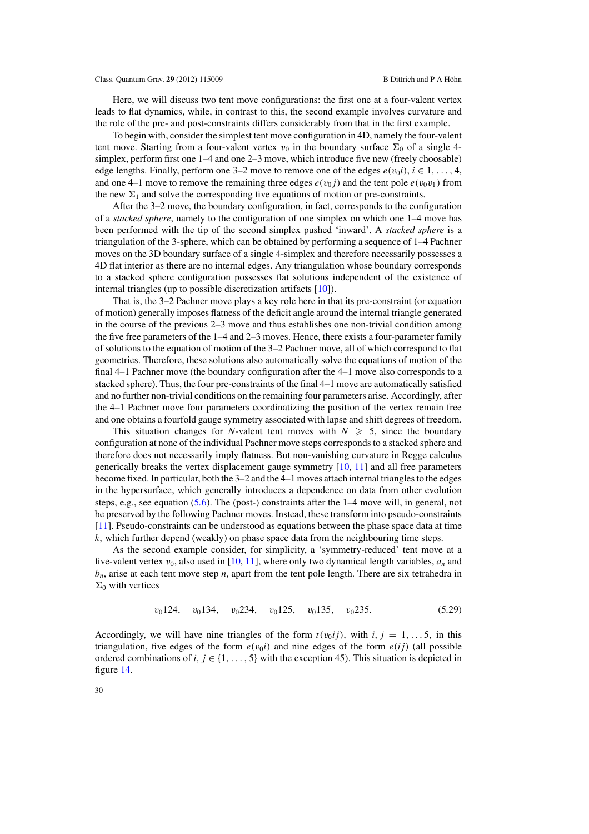<span id="page-30-0"></span>Here, we will discuss two tent move configurations: the first one at a four-valent vertex leads to flat dynamics, while, in contrast to this, the second example involves curvature and the role of the pre- and post-constraints differs considerably from that in the first example.

To begin with, consider the simplest tent move configuration in 4D, namely the four-valent tent move. Starting from a four-valent vertex  $v_0$  in the boundary surface  $\Sigma_0$  of a single 4simplex, perform first one 1–4 and one 2–3 move, which introduce five new (freely choosable) edge lengths. Finally, perform one 3–2 move to remove one of the edges  $e(v_0i)$ ,  $i \in 1, \ldots, 4$ , and one 4–1 move to remove the remaining three edges  $e(v_0 j)$  and the tent pole  $e(v_0 v_1)$  from the new  $\Sigma_1$  and solve the corresponding five equations of motion or pre-constraints.

After the 3–2 move, the boundary configuration, in fact, corresponds to the configuration of a *stacked sphere*, namely to the configuration of one simplex on which one 1–4 move has been performed with the tip of the second simplex pushed 'inward'. A *stacked sphere* is a triangulation of the 3-sphere, which can be obtained by performing a sequence of 1–4 Pachner moves on the 3D boundary surface of a single 4-simplex and therefore necessarily possesses a 4D flat interior as there are no internal edges. Any triangulation whose boundary corresponds to a stacked sphere configuration possesses flat solutions independent of the existence of internal triangles (up to possible discretization artifacts [\[10\]](#page-50-0)).

That is, the 3–2 Pachner move plays a key role here in that its pre-constraint (or equation of motion) generally imposes flatness of the deficit angle around the internal triangle generated in the course of the previous 2–3 move and thus establishes one non-trivial condition among the five free parameters of the 1–4 and 2–3 moves. Hence, there exists a four-parameter family of solutions to the equation of motion of the 3–2 Pachner move, all of which correspond to flat geometries. Therefore, these solutions also automatically solve the equations of motion of the final 4–1 Pachner move (the boundary configuration after the 4–1 move also corresponds to a stacked sphere). Thus, the four pre-constraints of the final 4–1 move are automatically satisfied and no further non-trivial conditions on the remaining four parameters arise. Accordingly, after the 4–1 Pachner move four parameters coordinatizing the position of the vertex remain free and one obtains a fourfold gauge symmetry associated with lapse and shift degrees of freedom.

This situation changes for *N*-valent tent moves with  $N \geq 5$ , since the boundary configuration at none of the individual Pachner move steps corresponds to a stacked sphere and therefore does not necessarily imply flatness. But non-vanishing curvature in Regge calculus generically breaks the vertex displacement gauge symmetry [\[10,](#page-50-0) [11](#page-50-0)] and all free parameters become fixed. In particular, both the 3–2 and the 4–1 moves attach internal triangles to the edges in the hypersurface, which generally introduces a dependence on data from other evolution steps, e.g., see equation (5*.*[6\)](#page-24-0). The (post-) constraints after the 1–4 move will, in general, not be preserved by the following Pachner moves. Instead, these transform into pseudo-constraints [\[11](#page-50-0)]. Pseudo-constraints can be understood as equations between the phase space data at time *k*, which further depend (weakly) on phase space data from the neighbouring time steps.

As the second example consider, for simplicity, a 'symmetry-reduced' tent move at a five-valent vertex  $v_0$ , also used in [\[10](#page-50-0), [11\]](#page-50-0), where only two dynamical length variables,  $a_n$  and  $b_n$ , arise at each tent move step *n*, apart from the tent pole length. There are six tetrahedra in  $\Sigma_0$  with vertices

$$
v_0 124, \quad v_0 134, \quad v_0 234, \quad v_0 125, \quad v_0 135, \quad v_0 235. \tag{5.29}
$$

Accordingly, we will have nine triangles of the form  $t(v_0 i j)$ , with *i*, *j* = 1,... 5, in this triangulation, five edges of the form  $e(v_0i)$  and nine edges of the form  $e(ij)$  (all possible ordered combinations of  $i, j \in \{1, \ldots, 5\}$  with the exception 45). This situation is depicted in figure [14.](#page-31-0)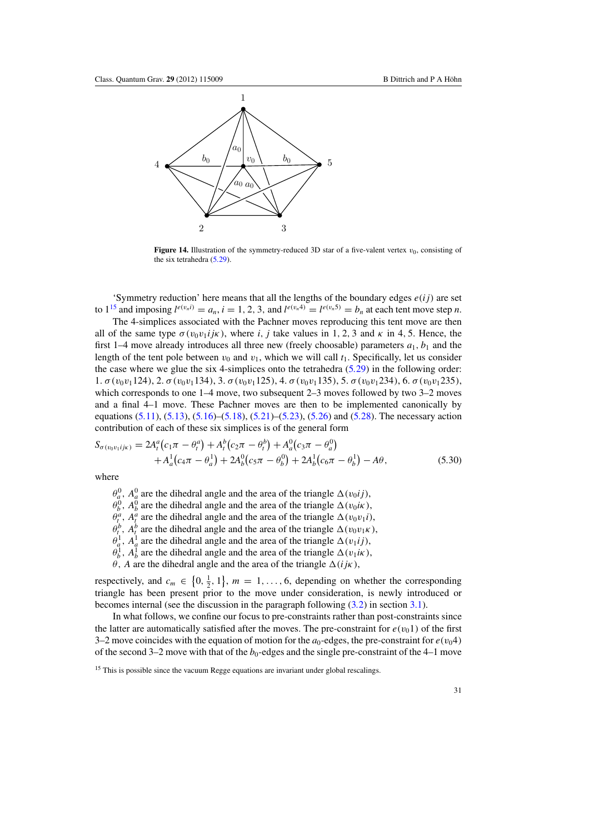<span id="page-31-0"></span>

**Figure 14.** Illustration of the symmetry-reduced 3D star of a five-valent vertex  $v_0$ , consisting of the six tetrahedra (5*.*[29\)](#page-30-0).

'Symmetry reduction' here means that all the lengths of the boundary edges  $e(ij)$  are set to  $1^{15}$  and imposing  $l^{e(v_n i)} = a_n$ ,  $i = 1, 2, 3$ , and  $l^{e(v_n 4)} = l^{e(v_n 5)} = b_n$  at each tent move step *n*.

The 4-simplices associated with the Pachner moves reproducing this tent move are then all of the same type  $\sigma(v_0v_1\vec{i}\kappa)$ , where *i*, *j* take values in 1, 2, 3 and  $\kappa$  in 4, 5. Hence, the first 1–4 move already introduces all three new (freely choosable) parameters  $a_1, b_1$  and the length of the tent pole between  $v_0$  and  $v_1$ , which we will call  $t_1$ . Specifically, let us consider the case where we glue the six 4-simplices onto the tetrahedra (5*.*[29\)](#page-30-0) in the following order: 1.  $\sigma(v_0v_1124)$ , 2.  $\sigma(v_0v_1134)$ , 3.  $\sigma(v_0v_1125)$ , 4.  $\sigma(v_0v_1135)$ , 5.  $\sigma(v_0v_1234)$ , 6.  $\sigma(v_0v_1235)$ , which corresponds to one 1–4 move, two subsequent 2–3 moves followed by two 3–2 moves and a final 4–1 move. These Pachner moves are then to be implemented canonically by equations (5*.*[11\)](#page-25-0), (5*.*[13\)](#page-25-0), (5*.*[16\)](#page-27-0)–(5*.*[18\)](#page-27-0), (5*.*[21\)](#page-28-0)–(5*.*[23\)](#page-28-0), (5*.*[26\)](#page-29-0) and (5*.*[28\)](#page-29-0). The necessary action contribution of each of these six simplices is of the general form

$$
S_{\sigma(v_0v_1ij\kappa)} = 2A_t^a(c_1\pi - \theta_t^a) + A_t^b(c_2\pi - \theta_t^b) + A_a^0(c_3\pi - \theta_a^0) + A_a^1(c_4\pi - \theta_a^1) + 2A_b^0(c_5\pi - \theta_b^0) + 2A_b^1(c_6\pi - \theta_b^1) - A\theta,
$$
(5.30)

where

 $\theta_a^0$ ,  $A_a^0$  are the dihedral angle and the area of the triangle  $\Delta(v_0 i j)$ ,

- $\theta_b^0$ ,  $A_b^0$  are the dihedral angle and the area of the triangle  $\Delta(v_0 i\kappa)$ ,
- $\theta_t^a$ ,  $A_t^a$  are the dihedral angle and the area of the triangle  $\Delta(v_0v_1i)$ ,
- $\theta_t^b$ ,  $A_t^b$  are the dihedral angle and the area of the triangle  $\Delta(v_0v_1\kappa)$ ,
- $\theta_a^1$ ,  $A_a^1$  are the dihedral angle and the area of the triangle  $\Delta(v_1 i j)$ ,
- $\theta_b^1$ ,  $A_b^1$  are the dihedral angle and the area of the triangle  $\Delta(v_1 i\kappa)$ ,
- $θ$ , *A* are the dihedral angle and the area of the triangle  $Δ(ijk)$ ,

respectively, and  $c_m \in \{0, \frac{1}{2}, 1\}$ ,  $m = 1, \ldots, 6$ , depending on whether the corresponding triangle has been present prior to the move under consideration, is newly introduced or becomes internal (see the discussion in the paragraph following [\(3](#page-13-0)*.*2) in section [3.1\)](#page-12-0).

In what follows, we confine our focus to pre-constraints rather than post-constraints since the latter are automatically satisfied after the moves. The pre-constraint for  $e(v_01)$  of the first 3–2 move coincides with the equation of motion for the  $a_0$ -edges, the pre-constraint for  $e(v_0,4)$ of the second  $3-2$  move with that of the  $b<sub>0</sub>$ -edges and the single pre-constraint of the  $4-1$  move

<sup>&</sup>lt;sup>15</sup> This is possible since the vacuum Regge equations are invariant under global rescalings.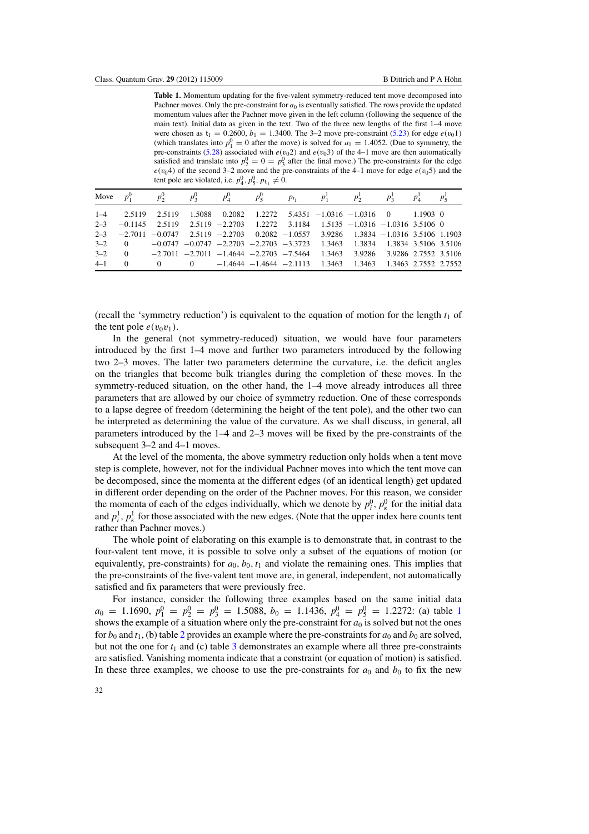<span id="page-32-0"></span>**Table 1.** Momentum updating for the five-valent symmetry-reduced tent move decomposed into Pachner moves. Only the pre-constraint for  $a_0$  is eventually satisfied. The rows provide the updated momentum values after the Pachner move given in the left column (following the sequence of the main text). Initial data as given in the text. Two of the three new lengths of the first 1–4 move were chosen as  $t_1 = 0.2600$ ,  $b_1 = 1.3400$ . The 3–2 move pre-constraint (5.[23\)](#page-28-0) for edge  $e(v_01)$ (which translates into  $p_1^0 = 0$  after the move) is solved for  $a_1 = 1.4052$ . (Due to symmetry, the pre-constraints (5.[28\)](#page-29-0) associated with  $e(v_02)$  and  $e(v_03)$  of the 4–1 move are then automatically satisfied and translate into  $p_2^0 = 0 = p_3^0$  after the final move.) The pre-constraints for the edge  $e(v_04)$  of the second 3–2 move and the pre-constraints of the 4–1 move for edge  $e(v_05)$  and the tent pole are violated, i.e.  $p_4^0$ ,  $p_5^0$ ,  $p_{t_1} \neq 0$ .

|  | Move $p_1^0$ $p_2^0$ $p_3^0$ $p_4^0$ $p_5^0$ $p_{t_1}$ $p_1^1$ $p_2^1$ $p_3^1$ $p_4^1$ $p_5^1$                |  |  |  |  |  |
|--|---------------------------------------------------------------------------------------------------------------|--|--|--|--|--|
|  | $1-4$ 2.5119 2.5119 1.5088 0.2082 1.2272 5.4351 -1.0316 -1.0316 0 1.1903 0                                    |  |  |  |  |  |
|  | $2-3$ $-0.1145$ $2.5119$ $2.5119$ $-2.2703$ $1.2272$ $3.1184$ $1.5135$ $-1.0316$ $-1.0316$ $3.5106$ 0         |  |  |  |  |  |
|  | $2-3$ $-2.7011$ $-0.0747$ $2.5119$ $-2.2703$ $0.2082$ $-1.0557$ $3.9286$ $1.3834$ $-1.0316$ $3.5106$ $1.1903$ |  |  |  |  |  |
|  | $3-2$ 0 $-0.0747$ $-0.0747$ $-2.2703$ $-2.2703$ $-3.3723$ 1.3463 1.3834 1.3834 3.5106 3.5106                  |  |  |  |  |  |
|  | $3-2$ 0 $-2.7011$ $-2.7011$ $-1.4644$ $-2.2703$ $-7.5464$ 1.3463 3.9286 3.9286 2.7552 3.5106                  |  |  |  |  |  |
|  | $4-1$ 0 0 0 $-1.4644$ $-1.4644$ $-2.1113$ $1.3463$ $1.3463$ $1.3463$ $2.7552$ $2.7552$                        |  |  |  |  |  |

(recall the 'symmetry reduction') is equivalent to the equation of motion for the length  $t_1$  of the tent pole  $e(v_0v_1)$ .

In the general (not symmetry-reduced) situation, we would have four parameters introduced by the first 1–4 move and further two parameters introduced by the following two 2–3 moves. The latter two parameters determine the curvature, i.e. the deficit angles on the triangles that become bulk triangles during the completion of these moves. In the symmetry-reduced situation, on the other hand, the 1–4 move already introduces all three parameters that are allowed by our choice of symmetry reduction. One of these corresponds to a lapse degree of freedom (determining the height of the tent pole), and the other two can be interpreted as determining the value of the curvature. As we shall discuss, in general, all parameters introduced by the 1–4 and 2–3 moves will be fixed by the pre-constraints of the subsequent 3–2 and 4–1 moves.

At the level of the momenta, the above symmetry reduction only holds when a tent move step is complete, however, not for the individual Pachner moves into which the tent move can be decomposed, since the momenta at the different edges (of an identical length) get updated in different order depending on the order of the Pachner moves. For this reason, we consider the momenta of each of the edges individually, which we denote by  $p_i^0$ ,  $p_k^0$  for the initial data and  $p_i^1$ ,  $p_k^1$  for those associated with the new edges. (Note that the upper index here counts tent rather than Pachner moves.)

The whole point of elaborating on this example is to demonstrate that, in contrast to the four-valent tent move, it is possible to solve only a subset of the equations of motion (or equivalently, pre-constraints) for  $a_0$ ,  $b_0$ ,  $t_1$  and violate the remaining ones. This implies that the pre-constraints of the five-valent tent move are, in general, independent, not automatically satisfied and fix parameters that were previously free.

For instance, consider the following three examples based on the same initial data  $a_0 = 1.1690, p_1^0 = p_2^0 = p_3^0 = 1.5088, b_0 = 1.1436, p_4^0 = p_5^0 = 1.2272$ : (a) table 1 shows the example of a situation where only the pre-constraint for  $a_0$  is solved but not the ones for  $b_0$  and  $t_1$ , (b) table [2](#page-33-0) provides an example where the pre-constraints for  $a_0$  and  $b_0$  are solved, but not the one for  $t_1$  and (c) table [3](#page-33-0) demonstrates an example where all three pre-constraints are satisfied. Vanishing momenta indicate that a constraint (or equation of motion) is satisfied. In these three examples, we choose to use the pre-constraints for  $a_0$  and  $b_0$  to fix the new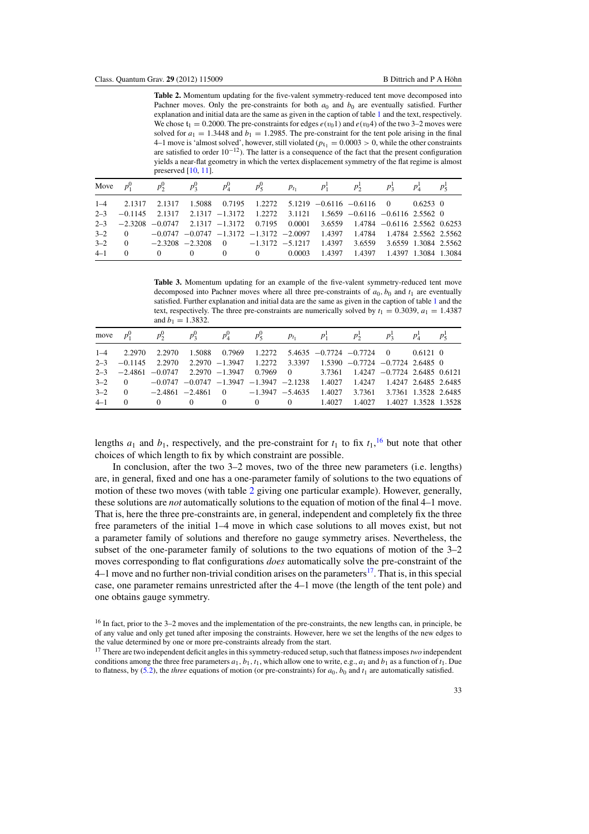<span id="page-33-0"></span>**Table 2.** Momentum updating for the five-valent symmetry-reduced tent move decomposed into Pachner moves. Only the pre-constraints for both  $a_0$  and  $b_0$  are eventually satisfied. Further explanation and initial data are the same as given in the caption of table [1](#page-32-0) and the text, respectively. We chose  $t_1 = 0.2000$ . The pre-constraints for edges  $e(v_01)$  and  $e(v_04)$  of the two 3–2 moves were solved for  $a_1 = 1.3448$  and  $b_1 = 1.2985$ . The pre-constraint for the tent pole arising in the final 4–1 move is 'almost solved', however, still violated ( $p_{t_1} = 0.0003 > 0$ , while the other constraints are satisfied to order  $10^{-12}$ ). The latter is a consequence of the fact that the present configuration yields a near-flat geometry in which the vertex displacement symmetry of the flat regime is almost preserved [\[10](#page-50-0), [11](#page-50-0)].

|         | Move $p_1^0$ $p_2^0$ $p_3^0$ $p_4^0$ $p_5^0$ $p_{t_1}$ $p_1^1$ $p_2^1$ $p_3^1$ $p_4^1$ $p_5^1$               |  |  |  |  |  |
|---------|--------------------------------------------------------------------------------------------------------------|--|--|--|--|--|
|         | $1-4$ 2.1317 2.1317 1.5088 0.7195 1.2272 5.1219 -0.6116 -0.6116 0 0.6253 0                                   |  |  |  |  |  |
|         | $2-3$ $-0.1145$ $2.1317$ $2.1317$ $-1.3172$ $1.2272$ $3.1121$ $1.5659$ $-0.6116$ $-0.6116$ $2.5562$ 0        |  |  |  |  |  |
|         | $2-3$ $-2.3208$ $-0.0747$ $2.1317$ $-1.3172$ $0.7195$ $0.0001$ $3.6559$ $1.4784$ $-0.6116$ $2.5562$ $0.6253$ |  |  |  |  |  |
|         | $3-2$ 0 $-0.0747$ $-0.0747$ $-1.3172$ $-1.3172$ $-2.0097$ 1.4397 1.4784 1.4784 2.5562 2.5562                 |  |  |  |  |  |
|         | $3-2$ 0 $-2.3208$ $-2.3208$ 0 $-1.3172$ $-5.1217$ 1.4397 3.6559 3.6559 1.3084 2.5562                         |  |  |  |  |  |
| $4-1$ 0 | 0 0 0 0 0.0003 1.4397 1.4397 1.4397 1.3084 1.3084                                                            |  |  |  |  |  |

**Table 3.** Momentum updating for an example of the five-valent symmetry-reduced tent move decomposed into Pachner moves where all three pre-constraints of  $a_0$ ,  $b_0$  and  $t_1$  are eventually satisfied. Further explanation and initial data are the same as given in the caption of table [1](#page-32-0) and the text, respectively. The three pre-constraints are numerically solved by  $t_1 = 0.3039$ ,  $a_1 = 1.4387$ and  $b_1 = 1.3832$ .

|  | move $p_1^0$ $p_2^0$ $p_3^0$ $p_4^0$ $p_5^0$ $p_{11}$ $p_1^1$ $p_2^1$ $p_3^1$ $p_4^1$ $p_5^1$          |  |  |  |  |  |
|--|--------------------------------------------------------------------------------------------------------|--|--|--|--|--|
|  | $1-4$ 2.2970 2.2970 1.5088 0.7969 1.2272 5.4635 -0.7724 -0.7724 0 0.6121 0                             |  |  |  |  |  |
|  | $2-3$ $-0.1145$ $2.2970$ $2.2970$ $-1.3947$ $1.2272$ $3.3397$ $1.5390$ $-0.7724$ $-0.7724$ $2.6485$ 0  |  |  |  |  |  |
|  | $2-3$ $-2.4861$ $-0.0747$ $2.2970$ $-1.3947$ 0.7969 0 3.7361 1.4247 $-0.7724$ 2.6485 0.6121            |  |  |  |  |  |
|  | $3-2$ 0 $-0.0747$ $-0.0747$ $-1.3947$ $-1.3947$ $-2.1238$ $1.4027$ $1.4247$ $1.4247$ $2.6485$ $2.6485$ |  |  |  |  |  |
|  | $3-2$ 0 $-2.4861$ $-2.4861$ 0 $-1.3947$ $-5.4635$ $1.4027$ $3.7361$ $3.7361$ $1.3528$ $2.6485$         |  |  |  |  |  |
|  | 4-1 0 0 0 0 0 0 1.4027 1.4027 1.4027 1.3528 1.3528                                                     |  |  |  |  |  |

lengths  $a_1$  and  $b_1$ , respectively, and the pre-constraint for  $t_1$  to fix  $t_1$ , <sup>16</sup> but note that other choices of which length to fix by which constraint are possible.

In conclusion, after the two 3–2 moves, two of the three new parameters (i.e. lengths) are, in general, fixed and one has a one-parameter family of solutions to the two equations of motion of these two moves (with table 2 giving one particular example). However, generally, these solutions are *not* automatically solutions to the equation of motion of the final 4–1 move. That is, here the three pre-constraints are, in general, independent and completely fix the three free parameters of the initial 1–4 move in which case solutions to all moves exist, but not a parameter family of solutions and therefore no gauge symmetry arises. Nevertheless, the subset of the one-parameter family of solutions to the two equations of motion of the 3–2 moves corresponding to flat configurations *does* automatically solve the pre-constraint of the 4–1 move and no further non-trivial condition arises on the parameters<sup>17</sup>. That is, in this special case, one parameter remains unrestricted after the 4–1 move (the length of the tent pole) and one obtains gauge symmetry.

<sup>16</sup> In fact, prior to the 3–2 moves and the implementation of the pre-constraints, the new lengths can, in principle, be of any value and only get tuned after imposing the constraints. However, here we set the lengths of the new edges to the value determined by one or more pre-constraints already from the start.

<sup>17</sup> There are two independent deficit angles in this symmetry-reduced setup, such that flatness imposes*two* independent conditions among the three free parameters  $a_1$ ,  $b_1$ ,  $t_1$ , which allow one to write, e.g.,  $a_1$  and  $b_1$  as a function of  $t_1$ . Due to flatness, by (5.[2\)](#page-23-0), the *three* equations of motion (or pre-constraints) for  $a_0$ ,  $b_0$  and  $t_1$  are automatically satisfied.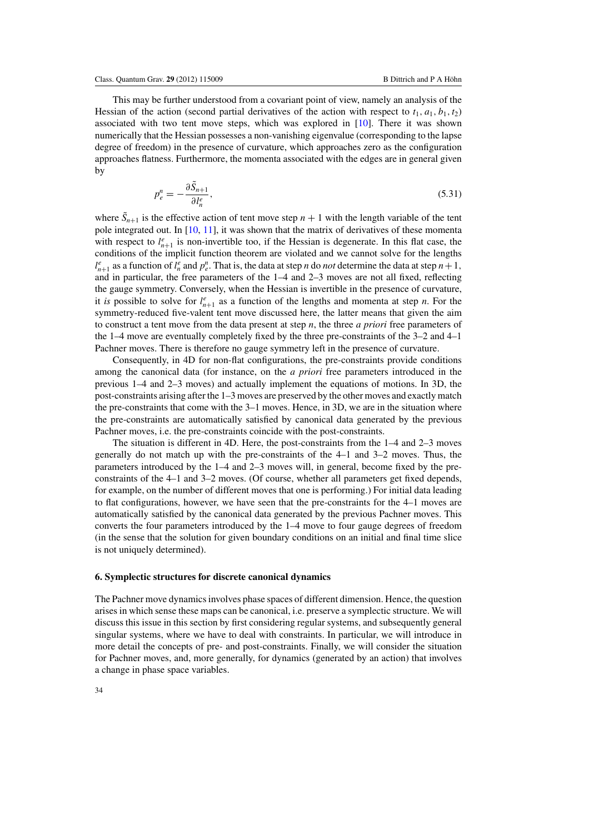<span id="page-34-0"></span>This may be further understood from a covariant point of view, namely an analysis of the Hessian of the action (second partial derivatives of the action with respect to  $t_1$ ,  $a_1$ ,  $b_1$ ,  $t_2$ ) associated with two tent move steps, which was explored in [\[10\]](#page-50-0). There it was shown numerically that the Hessian possesses a non-vanishing eigenvalue (corresponding to the lapse degree of freedom) in the presence of curvature, which approaches zero as the configuration approaches flatness. Furthermore, the momenta associated with the edges are in general given by

$$
p_e^n = -\frac{\partial \tilde{S}_{n+1}}{\partial l_n^e},\tag{5.31}
$$

where  $\tilde{S}_{n+1}$  is the effective action of tent move step  $n+1$  with the length variable of the tent pole integrated out. In  $[10, 11]$  $[10, 11]$  $[10, 11]$  $[10, 11]$ , it was shown that the matrix of derivatives of these momenta with respect to  $l_{n+1}^e$  is non-invertible too, if the Hessian is degenerate. In this flat case, the conditions of the implicit function theorem are violated and we cannot solve for the lengths  $l_{n+1}^e$  as a function of  $l_n^e$  and  $p_e^n$ . That is, the data at step *n* do *not* determine the data at step *n* + 1, and in particular, the free parameters of the 1–4 and 2–3 moves are not all fixed, reflecting the gauge symmetry. Conversely, when the Hessian is invertible in the presence of curvature, it *is* possible to solve for  $l_{n+1}^e$  as a function of the lengths and momenta at step *n*. For the symmetry-reduced five-valent tent move discussed here, the latter means that given the aim to construct a tent move from the data present at step *n*, the three *a priori* free parameters of the 1–4 move are eventually completely fixed by the three pre-constraints of the 3–2 and 4–1 Pachner moves. There is therefore no gauge symmetry left in the presence of curvature.

Consequently, in 4D for non-flat configurations, the pre-constraints provide conditions among the canonical data (for instance, on the *a priori* free parameters introduced in the previous 1–4 and 2–3 moves) and actually implement the equations of motions. In 3D, the post-constraints arising after the 1–3 moves are preserved by the other moves and exactly match the pre-constraints that come with the 3–1 moves. Hence, in 3D, we are in the situation where the pre-constraints are automatically satisfied by canonical data generated by the previous Pachner moves, i.e. the pre-constraints coincide with the post-constraints.

The situation is different in 4D. Here, the post-constraints from the 1–4 and 2–3 moves generally do not match up with the pre-constraints of the 4–1 and 3–2 moves. Thus, the parameters introduced by the 1–4 and 2–3 moves will, in general, become fixed by the preconstraints of the 4–1 and 3–2 moves. (Of course, whether all parameters get fixed depends, for example, on the number of different moves that one is performing.) For initial data leading to flat configurations, however, we have seen that the pre-constraints for the 4–1 moves are automatically satisfied by the canonical data generated by the previous Pachner moves. This converts the four parameters introduced by the 1–4 move to four gauge degrees of freedom (in the sense that the solution for given boundary conditions on an initial and final time slice is not uniquely determined).

#### **6. Symplectic structures for discrete canonical dynamics**

The Pachner move dynamics involves phase spaces of different dimension. Hence, the question arises in which sense these maps can be canonical, i.e. preserve a symplectic structure. We will discuss this issue in this section by first considering regular systems, and subsequently general singular systems, where we have to deal with constraints. In particular, we will introduce in more detail the concepts of pre- and post-constraints. Finally, we will consider the situation for Pachner moves, and, more generally, for dynamics (generated by an action) that involves a change in phase space variables.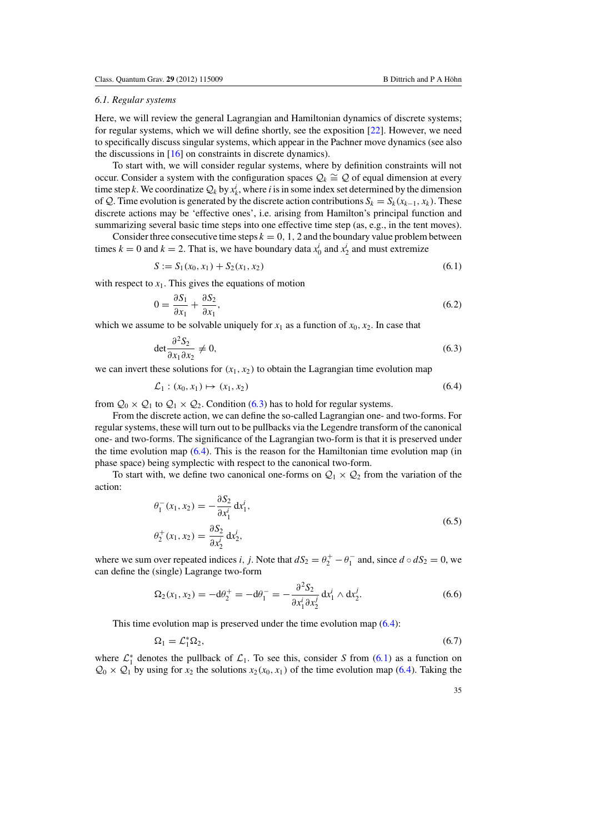#### <span id="page-35-0"></span>*6.1. Regular systems*

Here, we will review the general Lagrangian and Hamiltonian dynamics of discrete systems; for regular systems, which we will define shortly, see the exposition [\[22](#page-51-0)]. However, we need to specifically discuss singular systems, which appear in the Pachner move dynamics (see also the discussions in [\[16](#page-50-0)] on constraints in discrete dynamics).

To start with, we will consider regular systems, where by definition constraints will not occur. Consider a system with the configuration spaces  $\mathcal{Q}_k \cong \mathcal{Q}$  of equal dimension at every time step *k*. We coordinatize  $Q_k$  by  $x_k^i$ , where *i* is in some index set determined by the dimension of Q. Time evolution is generated by the discrete action contributions  $S_k = S_k(x_{k-1}, x_k)$ . These discrete actions may be 'effective ones', i.e. arising from Hamilton's principal function and summarizing several basic time steps into one effective time step (as, e.g., in the tent moves).

Consider three consecutive time steps  $k = 0, 1, 2$  and the boundary value problem between times  $k = 0$  and  $k = 2$ . That is, we have boundary data  $x_0^i$  and  $x_2^i$  and must extremize

$$
S := S_1(x_0, x_1) + S_2(x_1, x_2)
$$
\n(6.1)

with respect to  $x_1$ . This gives the equations of motion

$$
0 = \frac{\partial S_1}{\partial x_1} + \frac{\partial S_2}{\partial x_1},\tag{6.2}
$$

which we assume to be solvable uniquely for  $x_1$  as a function of  $x_0$ ,  $x_2$ . In case that

$$
\det \frac{\partial^2 S_2}{\partial x_1 \partial x_2} \neq 0,\tag{6.3}
$$

we can invert these solutions for  $(x_1, x_2)$  to obtain the Lagrangian time evolution map

$$
\mathcal{L}_1: (x_0, x_1) \mapsto (x_1, x_2) \tag{6.4}
$$

from  $\mathcal{Q}_0 \times \mathcal{Q}_1$  to  $\mathcal{Q}_1 \times \mathcal{Q}_2$ . Condition (6.3) has to hold for regular systems.

From the discrete action, we can define the so-called Lagrangian one- and two-forms. For regular systems, these will turn out to be pullbacks via the Legendre transform of the canonical one- and two-forms. The significance of the Lagrangian two-form is that it is preserved under the time evolution map (6*.*4). This is the reason for the Hamiltonian time evolution map (in phase space) being symplectic with respect to the canonical two-form.

To start with, we define two canonical one-forms on  $\mathcal{Q}_1 \times \mathcal{Q}_2$  from the variation of the action:

$$
\theta_1^-(x_1, x_2) = -\frac{\partial S_2}{\partial x_1^i} dx_1^i,
$$
  
\n
$$
\theta_2^+(x_1, x_2) = \frac{\partial S_2}{\partial x_2^i} dx_2^i,
$$
\n(6.5)

where we sum over repeated indices *i*, *j*. Note that  $dS_2 = \theta_2^+ - \theta_1^-$  and, since  $d \circ dS_2 = 0$ , we can define the (single) Lagrange two-form

$$
\Omega_2(x_1, x_2) = -d\theta_2^+ = -d\theta_1^- = -\frac{\partial^2 S_2}{\partial x_1^i \partial x_2^j} dx_1^i \wedge dx_2^j.
$$
\n(6.6)

This time evolution map is preserved under the time evolution map (6*.*4):

$$
\Omega_1 = \mathcal{L}_1^* \Omega_2,\tag{6.7}
$$

where  $\mathcal{L}_1^*$  denotes the pullback of  $\mathcal{L}_1$ . To see this, consider *S* from (6.1) as a function on  $Q_0 \times Q_1$  by using for  $x_2$  the solutions  $x_2(x_0, x_1)$  of the time evolution map (6.4). Taking the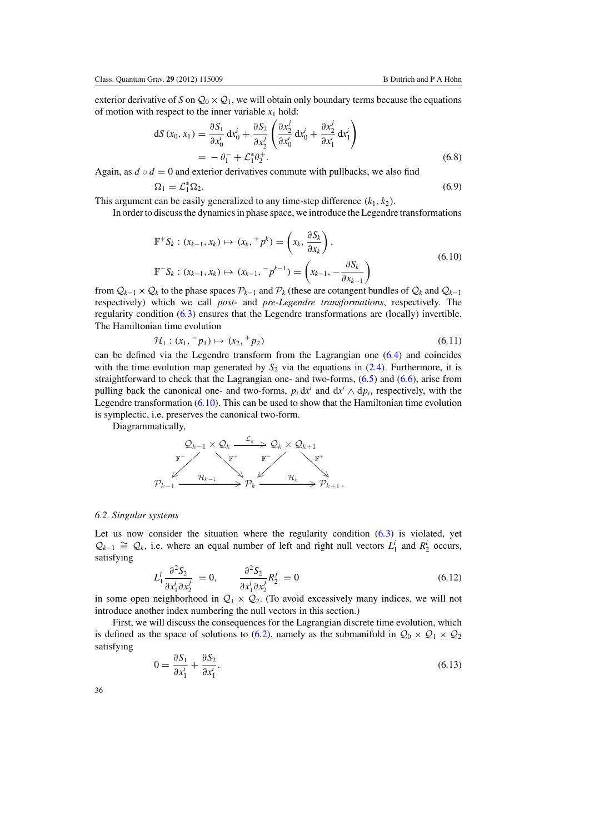<span id="page-36-0"></span>exterior derivative of *S* on  $Q_0 \times Q_1$ , we will obtain only boundary terms because the equations of motion with respect to the inner variable  $x_1$  hold:

$$
dS(x_0, x_1) = \frac{\partial S_1}{\partial x_0^i} dx_0^i + \frac{\partial S_2}{\partial x_2^j} \left( \frac{\partial x_2^j}{\partial x_0^i} dx_0^i + \frac{\partial x_2^j}{\partial x_1^i} dx_1^i \right)
$$
  
=  $-\theta_1^- + \mathcal{L}_1^* \theta_2^+$ . (6.8)

Again, as  $d \circ d = 0$  and exterior derivatives commute with pullbacks, we also find

$$
\Omega_1 = \mathcal{L}_1^* \Omega_2. \tag{6.9}
$$

This argument can be easily generalized to any time-step difference  $(k_1, k_2)$ .

In order to discuss the dynamics in phase space, we introduce the Legendre transformations

$$
\mathbb{F}^+ S_k : (x_{k-1}, x_k) \mapsto (x_k, {}^+p^k) = \left(x_k, \frac{\partial S_k}{\partial x_k}\right),
$$
  

$$
\mathbb{F}^- S_k : (x_{k-1}, x_k) \mapsto (x_{k-1}, {}^-p^{k-1}) = \left(x_{k-1}, -\frac{\partial S_k}{\partial x_{k-1}}\right)
$$
 (6.10)

from  $Q_{k-1} \times Q_k$  to the phase spaces  $\mathcal{P}_{k-1}$  and  $\mathcal{P}_k$  (these are cotangent bundles of  $Q_k$  and  $Q_{k-1}$ respectively) which we call *post*- and *pre-Legendre transformations*, respectively. The regularity condition [\(6](#page-35-0)*.*3) ensures that the Legendre transformations are (locally) invertible. The Hamiltonian time evolution

$$
\mathcal{H}_1: (x_1, \,^-\, p_1) \mapsto (x_2, \,^+ p_2) \tag{6.11}
$$

can be defined via the Legendre transform from the Lagrangian one [\(6](#page-35-0)*.*4) and coincides with the time evolution map generated by  $S_2$  via the equations in [\(2](#page-5-0).4). Furthermore, it is straightforward to check that the Lagrangian one- and two-forms, [\(6](#page-35-0)*.*5) and [\(6](#page-35-0)*.*6), arise from pulling back the canonical one- and two-forms,  $p_i dx^i$  and  $dx^i \wedge dp_i$ , respectively, with the Legendre transformation (6*.*10). This can be used to show that the Hamiltonian time evolution is symplectic, i.e. preserves the canonical two-form.

Diagrammatically,



#### *6.2. Singular systems*

Let us now consider the situation where the regularity condition (6*.*[3\)](#page-35-0) is violated, yet  $Q_{k-1} \cong Q_k$ , i.e. where an equal number of left and right null vectors  $L_1^i$  and  $R_2^i$  occurs, satisfying

$$
L_1^i \frac{\partial^2 S_2}{\partial x_1^i \partial x_2^j} = 0, \qquad \frac{\partial^2 S_2}{\partial x_1^i \partial x_2^j} R_2^j = 0 \tag{6.12}
$$

in some open neighborhood in  $Q_1 \times Q_2$ . (To avoid excessively many indices, we will not introduce another index numbering the null vectors in this section.)

First, we will discuss the consequences for the Lagrangian discrete time evolution, which is defined as the space of solutions to [\(6](#page-35-0).2), namely as the submanifold in  $Q_0 \times Q_1 \times Q_2$ satisfying

$$
0 = \frac{\partial S_1}{\partial x_1^i} + \frac{\partial S_2}{\partial x_1^i}.
$$
\n(6.13)

36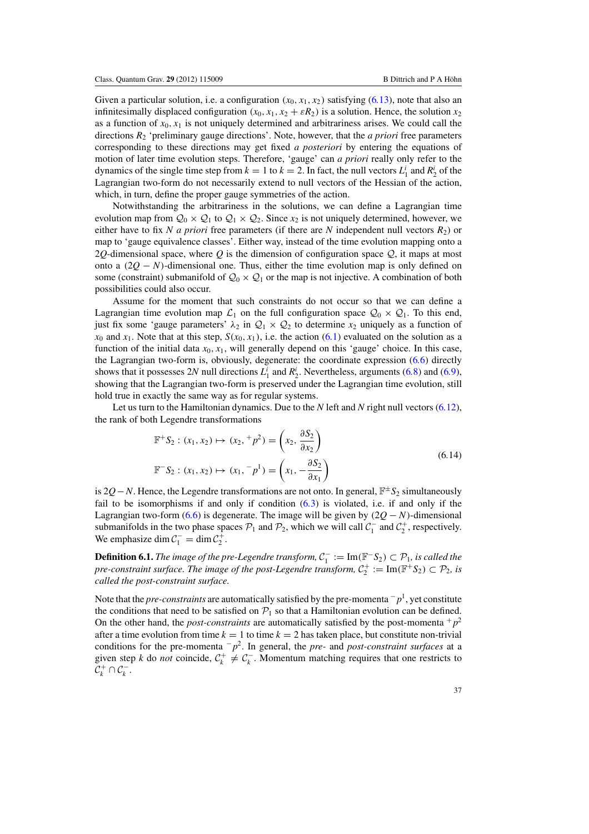<span id="page-37-0"></span>Given a particular solution, i.e. a configuration  $(x_0, x_1, x_2)$  satisfying (6.[13\)](#page-36-0), note that also an infinitesimally displaced configuration  $(x_0, x_1, x_2 + \varepsilon R_2)$  is a solution. Hence, the solution  $x_2$ as a function of  $x_0$ ,  $x_1$  is not uniquely determined and arbitrariness arises. We could call the directions *R*<sup>2</sup> 'preliminary gauge directions'. Note, however, that the *a priori* free parameters corresponding to these directions may get fixed *a posteriori* by entering the equations of motion of later time evolution steps. Therefore, 'gauge' can *a priori* really only refer to the dynamics of the single time step from  $k = 1$  to  $k = 2$ . In fact, the null vectors  $L_1^i$  and  $R_2^i$  of the Lagrangian two-form do not necessarily extend to null vectors of the Hessian of the action, which, in turn, define the proper gauge symmetries of the action.

Notwithstanding the arbitrariness in the solutions, we can define a Lagrangian time evolution map from  $Q_0 \times Q_1$  to  $Q_1 \times Q_2$ . Since  $x_2$  is not uniquely determined, however, we either have to fix *N a priori* free parameters (if there are *N* independent null vectors  $R_2$ ) or map to 'gauge equivalence classes'. Either way, instead of the time evolution mapping onto a 2*Q*-dimensional space, where *Q* is the dimension of configuration space Q, it maps at most onto a  $(2Q - N)$ -dimensional one. Thus, either the time evolution map is only defined on some (constraint) submanifold of  $Q_0 \times Q_1$  or the map is not injective. A combination of both possibilities could also occur.

Assume for the moment that such constraints do not occur so that we can define a Lagrangian time evolution map  $\mathcal{L}_1$  on the full configuration space  $\mathcal{Q}_0 \times \mathcal{Q}_1$ . To this end, just fix some 'gauge parameters'  $\lambda_2$  in  $\mathcal{Q}_1 \times \mathcal{Q}_2$  to determine  $x_2$  uniquely as a function of  $x_0$  and  $x_1$ . Note that at this step,  $S(x_0, x_1)$  $S(x_0, x_1)$ , i.e. the action (6.1) evaluated on the solution as a function of the initial data  $x_0$ ,  $x_1$ , will generally depend on this 'gauge' choice. In this case, the Lagrangian two-form is, obviously, degenerate: the coordinate expression [\(6](#page-35-0)*.*6) directly shows that it possesses 2*N* null directions  $L_1^i$  and  $R_2^i$ . Nevertheless, arguments [\(6](#page-36-0).8) and (6.9), showing that the Lagrangian two-form is preserved under the Lagrangian time evolution, still hold true in exactly the same way as for regular systems.

Let us turn to the Hamiltonian dynamics. Due to the *N* left and *N* right null vectors (6*.*[12\)](#page-36-0), the rank of both Legendre transformations

$$
\mathbb{F}^+ S_2 : (x_1, x_2) \mapsto (x_2, {}^+p^2) = \left(x_2, \frac{\partial S_2}{\partial x_2}\right)
$$
  

$$
\mathbb{F}^- S_2 : (x_1, x_2) \mapsto (x_1, {}^-p^1) = \left(x_1, -\frac{\partial S_2}{\partial x_1}\right)
$$
 (6.14)

is 2*Q*−*N*. Hence, the Legendre transformations are not onto. In general, F±*S*<sup>2</sup> simultaneously fail to be isomorphisms if and only if condition [\(6](#page-35-0)*.*3) is violated, i.e. if and only if the Lagrangian two-form  $(6.6)$  $(6.6)$  is degenerate. The image will be given by  $(2Q - N)$ -dimensional submanifolds in the two phase spaces  $\mathcal{P}_1$  and  $\mathcal{P}_2$ , which we will call  $\mathcal{C}_1^-$  and  $\mathcal{C}_2^+$ , respectively. We emphasize dim  $C_1^-$  = dim  $C_2^+$ .

**Definition 6.1.** *The image of the pre-Legendre transform,*  $C_1^- := Im(\mathbb{F}^{-}S_2) \subset \mathcal{P}_1$ *, is called the pre-constraint surface. The image of the post-Legendre transform,*  $C_2^+ := \text{Im}(\mathbb{F}^+S_2) \subset \mathcal{P}_2$ , is *called the post-constraint surface.*

Note that the *pre-constraints* are automatically satisfied by the pre-momenta <sup>−</sup> *p*1, yet constitute the conditions that need to be satisfied on  $\mathcal{P}_1$  so that a Hamiltonian evolution can be defined. On the other hand, the *post-constraints* are automatically satisfied by the post-momenta  $+p^2$ after a time evolution from time  $k = 1$  to time  $k = 2$  has taken place, but constitute non-trivial conditions for the pre-momenta <sup>−</sup> *p*2. In general, the *pre-* and *post-constraint surfaces* at a given step *k* do *not* coincide,  $C_k^+ \neq C_k^-$ . Momentum matching requires that one restricts to  $\mathcal{C}_k^+ \cap \mathcal{C}_k^-$ .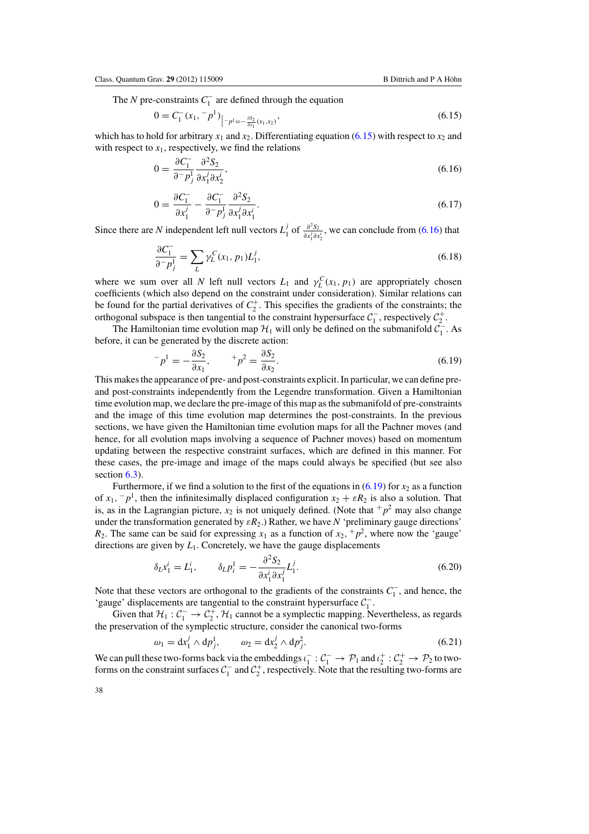0 = *C*<sup>−</sup>

<span id="page-38-0"></span>The *N* pre-constraints  $C_1^-$  are defined through the equation

$$
= C_1^{-}(x_1, \,^{-p^1})_{\big|^{-p^1} = -\frac{\partial S_2}{\partial x_1}(x_1, x_2)},\tag{6.15}
$$

which has to hold for arbitrary  $x_1$  and  $x_2$ . Differentiating equation (6.15) with respect to  $x_2$  and with respect to  $x_1$ , respectively, we find the relations

$$
0 = \frac{\partial C_1^-}{\partial^2 p_j^1} \frac{\partial^2 S_2}{\partial x_1^j \partial x_2^i},\tag{6.16}
$$

$$
0 = \frac{\partial C_1^-}{\partial x_1^j} - \frac{\partial C_1^-}{\partial^2 p_j^1} \frac{\partial^2 S_2}{\partial x_1^j \partial x_1^i}.
$$
\n
$$
(6.17)
$$

Since there are *N* independent left null vectors  $L_1^j$  of  $\frac{\partial^2 S_2}{\partial x_1^j \partial x_2^j}$ , we can conclude from (6.16) that ∂*C*<sup>−</sup>

$$
\frac{\partial C_1}{\partial^- p_j^1} = \sum_L \gamma_L^C(x_1, p_1) L_1^j,\tag{6.18}
$$

where we sum over all *N* left null vectors  $L_1$  and  $\gamma_L^C(x_1, p_1)$  are appropriately chosen coefficients (which also depend on the constraint under consideration). Similar relations can be found for the partial derivatives of  $C_2^+$ . This specifies the gradients of the constraints; the orthogonal subspace is then tangential to the constraint hypersurface  $C_1^-$ , respectively  $C_2^+$ .

The Hamiltonian time evolution map  $\mathcal{H}_1$  will only be defined on the submanifold  $\mathcal{C}_1^-$ . As before, it can be generated by the discrete action:

$$
^{-}p^{1} = -\frac{\partial S_{2}}{\partial x_{1}}, \qquad {}^{+}p^{2} = \frac{\partial S_{2}}{\partial x_{2}}.
$$
\n
$$
(6.19)
$$

This makes the appearance of pre- and post-constraints explicit. In particular, we can define preand post-constraints independently from the Legendre transformation. Given a Hamiltonian time evolution map, we declare the pre-image of this map as the submanifold of pre-constraints and the image of this time evolution map determines the post-constraints. In the previous sections, we have given the Hamiltonian time evolution maps for all the Pachner moves (and hence, for all evolution maps involving a sequence of Pachner moves) based on momentum updating between the respective constraint surfaces, which are defined in this manner. For these cases, the pre-image and image of the maps could always be specified (but see also section [6.3\)](#page-40-0).

Furthermore, if we find a solution to the first of the equations in  $(6.19)$  for  $x_2$  as a function of  $x_1$ ,  $-p^1$ , then the infinitesimally displaced configuration  $x_2 + \varepsilon R_2$  is also a solution. That is, as in the Lagrangian picture,  $x_2$  is not uniquely defined. (Note that  $+p^2$  may also change under the transformation generated by  $\epsilon R_2$ .) Rather, we have *N* 'preliminary gauge directions'  $R_2$ . The same can be said for expressing  $x_1$  as a function of  $x_2$ ,  $+p^2$ , where now the 'gauge' directions are given by  $L_1$ . Concretely, we have the gauge displacements

$$
\delta_L x_1^i = L_1^i, \qquad \delta_L p_i^1 = -\frac{\partial^2 S_2}{\partial x_1^i \partial x_1^j} L_1^j. \tag{6.20}
$$

Note that these vectors are orthogonal to the gradients of the constraints  $C_1^-$ , and hence, the 'gauge' displacements are tangential to the constraint hypersurface  $C_1^-$ .

Given that  $\mathcal{H}_1: \mathcal{C}_1^- \to \mathcal{C}_2^+$ ,  $\mathcal{H}_1$  cannot be a symplectic mapping. Nevertheless, as regards the preservation of the symplectic structure, consider the canonical two-forms

$$
\omega_1 = \mathrm{d}x_1^j \wedge \mathrm{d}p_1^1, \qquad \omega_2 = \mathrm{d}x_2^j \wedge \mathrm{d}p_1^2. \tag{6.21}
$$

We can pull these two-forms back via the embeddings  $\iota_1^- : C_1^- \to \mathcal{P}_1$  and  $\iota_2^+ : C_2^+ \to \mathcal{P}_2$  to twoforms on the constraint surfaces  $C_1^-$  and  $C_2^+$ , respectively. Note that the resulting two-forms are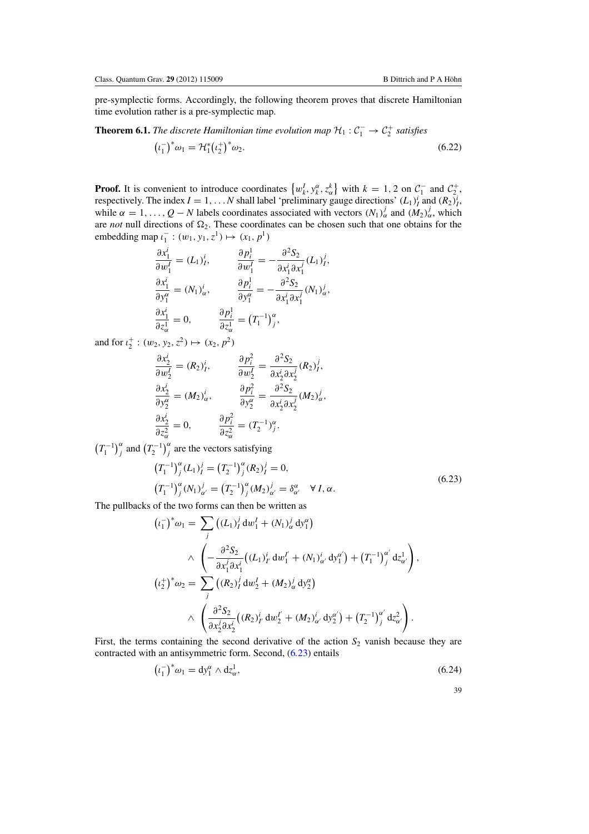<span id="page-39-0"></span>pre-symplectic forms. Accordingly, the following theorem proves that discrete Hamiltonian time evolution rather is a pre-symplectic map.

**Theorem 6.1.** *The discrete Hamiltonian time evolution map*  $\mathcal{H}_1$  :  $\mathcal{C}_1^- \to \mathcal{C}_2^+$  *satisfies*  $(\iota_1^-)^* \omega_1 = \mathcal{H}_1^* (\iota_2^+)^*$  $\omega_2$ . (6.22)

**Proof.** It is convenient to introduce coordinates  $\{w_k^I, y_k^\alpha, z_\alpha^k\}$  with  $k = 1, 2$  on  $C_1^-$  and  $C_2^+$ , respectively. The index  $I = 1, \ldots N$  shall label 'preliminary gauge directions'  $(L_1)^i_I$  and  $(R_2)^i_I$ , while  $\alpha = 1, \ldots, Q - N$  labels coordinates associated with vectors  $(N_1)^j_\alpha$  and  $(M_2)^j_\alpha$ , which are *not* null directions of  $\Omega_2$ . These coordinates can be chosen such that one obtains for the embedding map  $\iota_1^- : (w_1, y_1, z^1) \mapsto (x_1, p^1)$ 

$$
\frac{\partial x_1^i}{\partial w_1^j} = (L_1)_I^i, \qquad \frac{\partial p_i^1}{\partial w_1^j} = -\frac{\partial^2 S_2}{\partial x_1^i \partial x_1^j} (L_1)_I^j,
$$
  

$$
\frac{\partial x_1^i}{\partial y_1^\alpha} = (N_1)_{\alpha}^i, \qquad \frac{\partial p_i^1}{\partial y_1^\alpha} = -\frac{\partial^2 S_2}{\partial x_1^i \partial x_1^j} (N_1)_{\alpha}^j,
$$
  

$$
\frac{\partial x_1^i}{\partial z_\alpha^1} = 0, \qquad \frac{\partial p_i^1}{\partial z_\alpha^1} = (T_1^{-1})_{\beta}^\alpha,
$$

and for  $\iota_2^+$  :  $(w_2, y_2, z^2) \mapsto (x_2, p^2)$ 

$$
\frac{\partial x_2^i}{\partial w_2^j} = (R_2)_I^i, \qquad \frac{\partial p_i^2}{\partial w_2^j} = \frac{\partial^2 S_2}{\partial x_2^i \partial x_2^j} (R_2)_I^j,
$$
  

$$
\frac{\partial x_2^i}{\partial y_2^\alpha} = (M_2)_\alpha^i, \qquad \frac{\partial p_i^2}{\partial y_2^\alpha} = \frac{\partial^2 S_2}{\partial x_2^i \partial x_2^j} (M_2)_\alpha^j,
$$
  

$$
\frac{\partial x_2^i}{\partial z_\alpha^2} = 0, \qquad \frac{\partial p_i^2}{\partial z_\alpha^2} = (T_2^{-1})_j^\alpha.
$$

 $(T_1^{-1})_j^{\alpha}$  and  $(T_2^{-1})_j^{\alpha}$  are the vectors satisfying

$$
(T_1^{-1})^{\alpha}_{j} (L_1)^{j}_{l} = (T_2^{-1})^{\alpha}_{j} (R_2)^{j}_{l} = 0,
$$
  
\n
$$
(T_1^{-1})^{\alpha}_{j} (N_1)^{j}_{\alpha'} = (T_2^{-1})^{\alpha}_{j} (M_2)^{j}_{\alpha'} = \delta^{\alpha}_{\alpha'} \quad \forall I, \alpha.
$$
\n(6.23)

The pullbacks of the two forms can then be written as

$$
\begin{split}\n\left(\iota_{1}^{-}\right)^{*}\omega_{1} &= \sum_{j} \left( (L_{1})_{I}^{j} \mathrm{d}w_{1}^{I} + (N_{1})_{\alpha}^{j} \mathrm{d}y_{1}^{\alpha} \right) \\
&\quad \wedge \left( -\frac{\partial^{2} S_{2}}{\partial x_{1}^{j} \partial x_{1}^{i}} \left( (L_{1})_{I}^{i} \mathrm{d}w_{1}^{I'} + (N_{1})_{\alpha'}^{i} \mathrm{d}y_{1}^{\alpha'} \right) + \left( T_{1}^{-1} \right)_{j}^{\alpha'} \mathrm{d}z_{\alpha'}^{1} \right), \\
\left(\iota_{2}^{+}\right)^{*}\omega_{2} &= \sum_{j} \left( (R_{2})_{I}^{j} \mathrm{d}w_{2}^{I} + (M_{2})_{\alpha}^{j} \mathrm{d}y_{2}^{\alpha} \right) \\
&\quad \wedge \left( \frac{\partial^{2} S_{2}}{\partial x_{2}^{j} \partial x_{2}^{i}} \left( (R_{2})_{I'}^{i} \mathrm{d}w_{2}^{I'} + (M_{2})_{\alpha'}^{i} \mathrm{d}y_{2}^{\alpha'} \right) + \left( T_{2}^{-1} \right)_{j}^{\alpha'} \mathrm{d}z_{\alpha'}^{2} \right).\n\end{split}
$$

First, the terms containing the second derivative of the action  $S_2$  vanish because they are contracted with an antisymmetric form. Second, (6*.*23) entails

$$
(\iota_1^-)^* \omega_1 = \mathrm{d} y_1^{\alpha} \wedge \mathrm{d} z_{\alpha}^1,\tag{6.24}
$$

39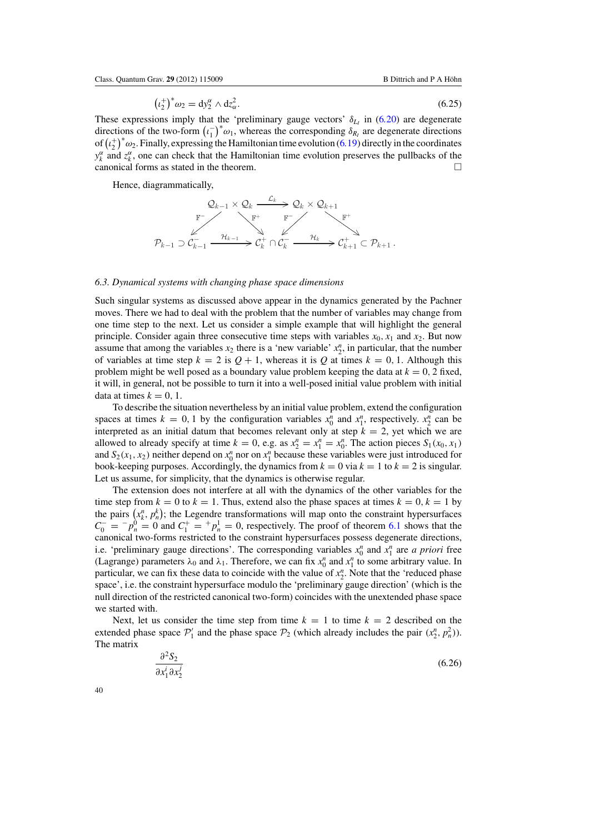$$
\left(\iota_2^+\right)^* \omega_2 = \mathrm{d} y_2^{\alpha} \wedge \mathrm{d} z_{\alpha}^2. \tag{6.25}
$$

<span id="page-40-0"></span>These expressions imply that the 'preliminary gauge vectors'  $\delta_{L_1}$  in (6.[20\)](#page-38-0) are degenerate directions of the two-form  $(\iota_1^-)^* \omega_1$ , whereas the corresponding  $\delta_{R_1}$  are degenerate directions of  $(\iota_2^+)^* \omega_2$ . Finally, expressing the Hamiltonian time evolution (6.[19\)](#page-38-0) directly in the coordinates  $y_k^{\alpha}$  and  $z_k^{\alpha}$ , one can check that the Hamiltonian time evolution preserves the pullbacks of the canonical forms as stated in the theorem.

Hence, diagrammatically,

$$
Q_{k-1} \times Q_k \xrightarrow{\mathcal{L}_k} Q_k \times Q_{k+1}
$$
  
\n
$$
\mathcal{P}_{k-1} \supset \mathcal{C}_{k-1} \xrightarrow{\mathcal{H}_{k-1}} \mathcal{C}_k^+ \cap \mathcal{C}_k^- \xrightarrow{\mathcal{H}_k} \mathcal{C}_{k+1}^+ \subset \mathcal{P}_{k+1}.
$$

#### *6.3. Dynamical systems with changing phase space dimensions*

Such singular systems as discussed above appear in the dynamics generated by the Pachner moves. There we had to deal with the problem that the number of variables may change from one time step to the next. Let us consider a simple example that will highlight the general principle. Consider again three consecutive time steps with variables  $x_0$ ,  $x_1$  and  $x_2$ . But now assume that among the variables  $x_2$  there is a 'new variable'  $x_2^n$ , in particular, that the number of variables at time step  $k = 2$  is  $Q + 1$ , whereas it is Q at times  $k = 0, 1$ . Although this problem might be well posed as a boundary value problem keeping the data at  $k = 0, 2$  fixed, it will, in general, not be possible to turn it into a well-posed initial value problem with initial data at times  $k = 0, 1$ .

To describe the situation nevertheless by an initial value problem, extend the configuration spaces at times  $k = 0, 1$  by the configuration variables  $x_0^n$  and  $x_1^n$ , respectively.  $x_2^n$  can be interpreted as an initial datum that becomes relevant only at step  $k = 2$ , yet which we are allowed to already specify at time  $k = 0$ , e.g. as  $x_2^n = x_1^n = x_0^n$ . The action pieces  $S_1(x_0, x_1)$ and  $S_2(x_1, x_2)$  neither depend on  $x_0^n$  nor on  $x_1^n$  because these variables were just introduced for book-keeping purposes. Accordingly, the dynamics from  $k = 0$  via  $k = 1$  to  $k = 2$  is singular. Let us assume, for simplicity, that the dynamics is otherwise regular.

The extension does not interfere at all with the dynamics of the other variables for the time step from  $k = 0$  to  $k = 1$ . Thus, extend also the phase spaces at times  $k = 0$ ,  $k = 1$  by the pairs  $(x_k^n, p_n^k)$ ; the Legendre transformations will map onto the constraint hypersurfaces  $C_0^- = -p_n^0 = 0$  and  $C_1^+ = +p_n^1 = 0$ , respectively. The proof of theorem [6.1](#page-39-0) shows that the canonical two-forms restricted to the constraint hypersurfaces possess degenerate directions, i.e. 'preliminary gauge directions'. The corresponding variables  $x_0^n$  and  $x_1^n$  are *a priori* free (Lagrange) parameters  $\lambda_0$  and  $\lambda_1$ . Therefore, we can fix  $x_0^n$  and  $x_1^n$  to some arbitrary value. In particular, we can fix these data to coincide with the value of  $x_2^n$ . Note that the 'reduced phase space', i.e. the constraint hypersurface modulo the 'preliminary gauge direction' (which is the null direction of the restricted canonical two-form) coincides with the unextended phase space we started with.

Next, let us consider the time step from time  $k = 1$  to time  $k = 2$  described on the extended phase space  $\mathcal{P}'_1$  and the phase space  $\mathcal{P}_2$  (which already includes the pair  $(x_2^n, p_n^2)$ ). The matrix

$$
\frac{\partial^2 S_2}{\partial x_1^i \partial x_2^j} \tag{6.26}
$$

40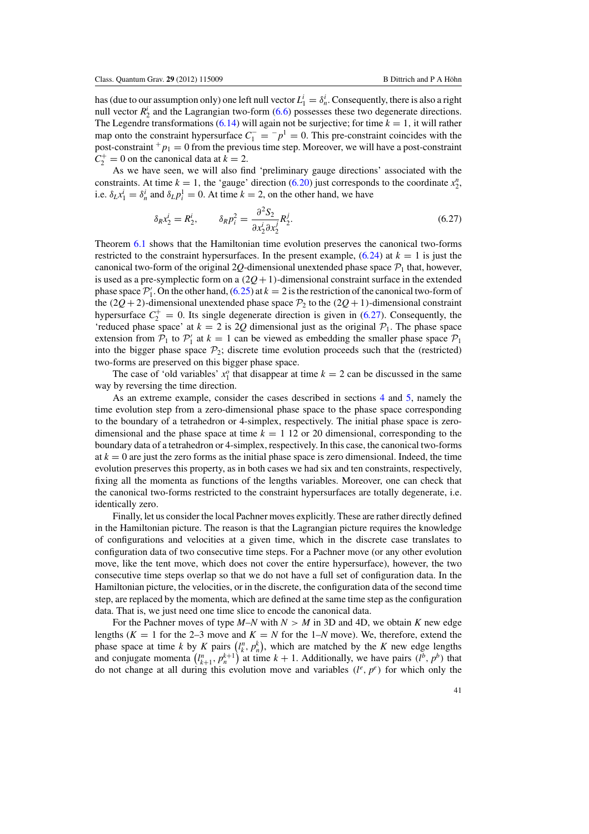has (due to our assumption only) one left null vector  $L_1^i = \delta_n^i$ . Consequently, there is also a right null vector  $R_2^i$  and the Lagrangian two-form  $(6.6)$  $(6.6)$  possesses these two degenerate directions. The Legendre transformations  $(6.14)$  $(6.14)$  will again not be surjective; for time  $k = 1$ , it will rather map onto the constraint hypersurface  $C_1^- = -p^1 = 0$ . This pre-constraint coincides with the post-constraint  $+p_1 = 0$  from the previous time step. Moreover, we will have a post-constraint  $C_2^+ = 0$  on the canonical data at  $k = 2$ .

As we have seen, we will also find 'preliminary gauge directions' associated with the constraints. At time  $k = 1$ , the 'gauge' direction (6.[20\)](#page-38-0) just corresponds to the coordinate  $x_2^n$ , i.e.  $\delta_L x_1^i = \delta_n^i$  and  $\delta_L p_i^1 = 0$ . At time  $k = 2$ , on the other hand, we have

$$
\delta_R x_2^i = R_2^i, \qquad \delta_R p_i^2 = \frac{\partial^2 S_2}{\partial x_2^i \partial x_2^j} R_2^j. \tag{6.27}
$$

Theorem [6.1](#page-39-0) shows that the Hamiltonian time evolution preserves the canonical two-forms restricted to the constraint hypersurfaces. In the present example,  $(6.24)$  $(6.24)$  at  $k = 1$  is just the canonical two-form of the original 2*Q*-dimensional unextended phase space  $\mathcal{P}_1$  that, however, is used as a pre-symplectic form on a  $(2Q+1)$ -dimensional constraint surface in the extended phase space  $\mathcal{P}'_1$ . On the other hand, (6.[25\)](#page-40-0) at  $k = 2$  is the restriction of the canonical two-form of the  $(2Q + 2)$ -dimensional unextended phase space  $\mathcal{P}_2$  to the  $(2Q + 1)$ -dimensional constraint hypersurface  $C_2^+ = 0$ . Its single degenerate direction is given in (6.27). Consequently, the 'reduced phase space' at  $k = 2$  is 2Q dimensional just as the original  $P_1$ . The phase space extension from  $P_1$  to  $P'_1$  at  $k = 1$  can be viewed as embedding the smaller phase space  $P_1$ into the bigger phase space  $\mathcal{P}_2$ ; discrete time evolution proceeds such that the (restricted) two-forms are preserved on this bigger phase space.

The case of 'old variables'  $x_1^o$  that disappear at time  $k = 2$  can be discussed in the same way by reversing the time direction.

As an extreme example, consider the cases described in sections [4](#page-13-0) and [5,](#page-23-0) namely the time evolution step from a zero-dimensional phase space to the phase space corresponding to the boundary of a tetrahedron or 4-simplex, respectively. The initial phase space is zerodimensional and the phase space at time  $k = 1, 12$  or 20 dimensional, corresponding to the boundary data of a tetrahedron or 4-simplex, respectively. In this case, the canonical two-forms at  $k = 0$  are just the zero forms as the initial phase space is zero dimensional. Indeed, the time evolution preserves this property, as in both cases we had six and ten constraints, respectively, fixing all the momenta as functions of the lengths variables. Moreover, one can check that the canonical two-forms restricted to the constraint hypersurfaces are totally degenerate, i.e. identically zero.

Finally, let us consider the local Pachner moves explicitly. These are rather directly defined in the Hamiltonian picture. The reason is that the Lagrangian picture requires the knowledge of configurations and velocities at a given time, which in the discrete case translates to configuration data of two consecutive time steps. For a Pachner move (or any other evolution move, like the tent move, which does not cover the entire hypersurface), however, the two consecutive time steps overlap so that we do not have a full set of configuration data. In the Hamiltonian picture, the velocities, or in the discrete, the configuration data of the second time step, are replaced by the momenta, which are defined at the same time step as the configuration data. That is, we just need one time slice to encode the canonical data.

For the Pachner moves of type  $M-N$  with  $N > M$  in 3D and 4D, we obtain *K* new edge lengths  $(K = 1$  for the 2–3 move and  $K = N$  for the 1–*N* move). We, therefore, extend the phase space at time *k* by *K* pairs  $(l_k^n, p_n^k)$ , which are matched by the *K* new edge lengths and conjugate momenta  $\left(l_{k+1}^n, p_n^{k+1}\right)$  at time  $k+1$ . Additionally, we have pairs  $(l^b, p^b)$  that do not change at all during this evolution move and variables  $(l^e, p^e)$  for which only the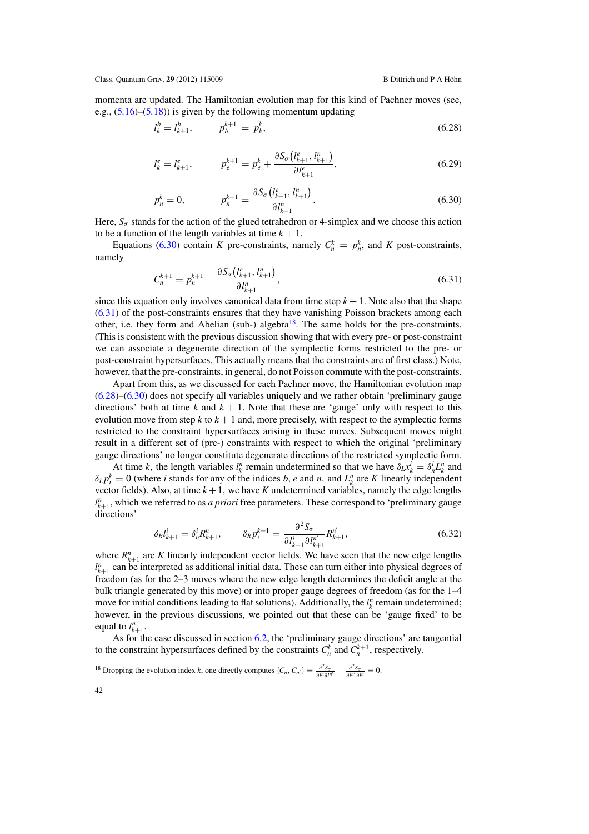<span id="page-42-0"></span>momenta are updated. The Hamiltonian evolution map for this kind of Pachner moves (see, e.g., (5*.*[16\)](#page-27-0)–(5*.*[18\)](#page-27-0)) is given by the following momentum updating

$$
l_k^b = l_{k+1}^b, \qquad p_b^{k+1} = p_b^k,
$$
\n(6.28)

$$
l_k^e = l_{k+1}^e, \qquad p_e^{k+1} = p_e^k + \frac{\partial S_{\sigma}(l_{k+1}^e, l_{k+1}^n)}{\partial l_{k+1}^e},
$$
\n(6.29)

$$
p_n^k = 0, \qquad p_n^{k+1} = \frac{\partial S_{\sigma}(l_{k+1}^e, l_{k+1}^n)}{\partial l_{k+1}^n}.
$$
\n(6.30)

Here,  $S_{\sigma}$  stands for the action of the glued tetrahedron or 4-simplex and we choose this action to be a function of the length variables at time  $k + 1$ .

Equations (6.30) contain *K* pre-constraints, namely  $C_n^k = p_n^k$ , and *K* post-constraints, namely

$$
C_n^{k+1} = p_n^{k+1} - \frac{\partial S_{\sigma}\left(\ell_{k+1}^e, \ell_{k+1}^n\right)}{\partial \ell_{k+1}^n},\tag{6.31}
$$

since this equation only involves canonical data from time step  $k + 1$ . Note also that the shape (6*.*31) of the post-constraints ensures that they have vanishing Poisson brackets among each other, i.e. they form and Abelian (sub-) algebra<sup>18</sup>. The same holds for the pre-constraints. (This is consistent with the previous discussion showing that with every pre- or post-constraint we can associate a degenerate direction of the symplectic forms restricted to the pre- or post-constraint hypersurfaces. This actually means that the constraints are of first class.) Note, however, that the pre-constraints, in general, do not Poisson commute with the post-constraints.

Apart from this, as we discussed for each Pachner move, the Hamiltonian evolution map (6*.*28)–(6*.*30) does not specify all variables uniquely and we rather obtain 'preliminary gauge directions' both at time  $k$  and  $k + 1$ . Note that these are 'gauge' only with respect to this evolution move from step  $k$  to  $k + 1$  and, more precisely, with respect to the symplectic forms restricted to the constraint hypersurfaces arising in these moves. Subsequent moves might result in a different set of (pre-) constraints with respect to which the original 'preliminary gauge directions' no longer constitute degenerate directions of the restricted symplectic form.

At time *k*, the length variables  $l_k^n$  remain undetermined so that we have  $\delta_L x_k^i = \delta_n^i L_k^n$  and  $\delta_L p_i^k = 0$  (where *i* stands for any of the indices *b*, *e* and *n*, and  $L_k^n$  are *K* linearly independent vector fields). Also, at time  $k+1$ , we have *K* undetermined variables, namely the edge lengths  $l_{k+1}^n$ , which we referred to as *a priori* free parameters. These correspond to 'preliminary gauge directions

$$
\delta_R l_{k+1}^i = \delta_n^i R_{k+1}^n, \qquad \delta_R p_i^{k+1} = \frac{\partial^2 S_{\sigma}}{\partial l_{k+1}^i \partial l_{k+1}^{n'}} R_{k+1}^{n'}, \tag{6.32}
$$

where  $R_{k+1}^n$  are *K* linearly independent vector fields. We have seen that the new edge lengths  $l_{k+1}^n$  can be interpreted as additional initial data. These can turn either into physical degrees of freedom (as for the 2–3 moves where the new edge length determines the deficit angle at the bulk triangle generated by this move) or into proper gauge degrees of freedom (as for the 1–4 move for initial conditions leading to flat solutions). Additionally, the  $l_k^n$  remain undetermined; however, in the previous discussions, we pointed out that these can be 'gauge fixed' to be equal to  $l_{k+1}^n$ .

As for the case discussed in section [6.2,](#page-36-0) the 'preliminary gauge directions' are tangential to the constraint hypersurfaces defined by the constraints  $C_n^k$  and  $C_n^{k+1}$ , respectively.

<sup>&</sup>lt;sup>18</sup> Dropping the evolution index *k*, one directly computes  $\{C_n, C_{n'}\} = \frac{\partial^2 S_{\sigma}}{\partial l^n \partial l^n} - \frac{\partial^2 S_{\sigma}}{\partial l^n \partial l^n} = 0$ .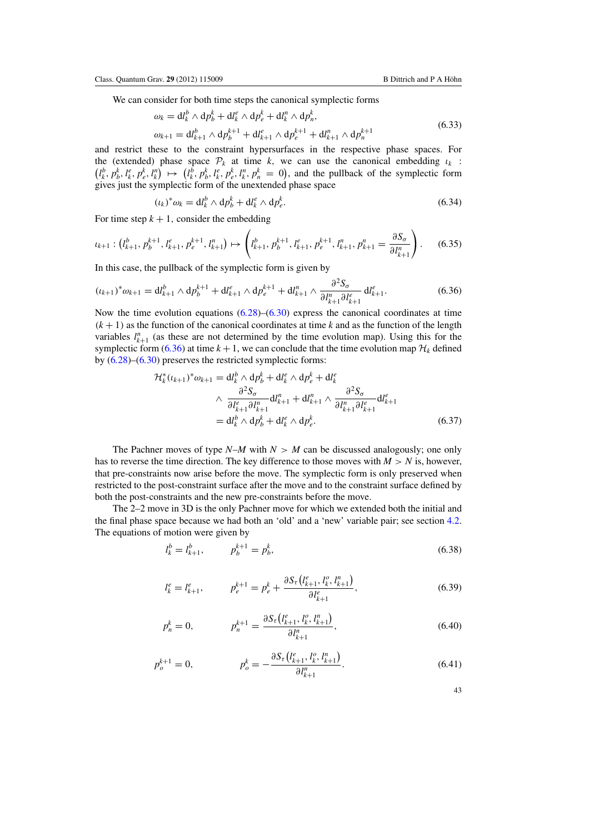<span id="page-43-0"></span>We can consider for both time steps the canonical symplectic forms

$$
\omega_k = \mathrm{d}l_k^b \wedge \mathrm{d}p_b^k + \mathrm{d}l_k^e \wedge \mathrm{d}p_e^k + \mathrm{d}l_k^n \wedge \mathrm{d}p_n^k, \n\omega_{k+1} = \mathrm{d}l_{k+1}^b \wedge \mathrm{d}p_b^{k+1} + \mathrm{d}l_{k+1}^e \wedge \mathrm{d}p_e^{k+1} + \mathrm{d}l_{k+1}^n \wedge \mathrm{d}p_n^{k+1}
$$
\n(6.33)

and restrict these to the constraint hypersurfaces in the respective phase spaces. For the (extended) phase space  $P_k$  at time *k*, we can use the canonical embedding  $\iota_k$  :  $(l_k^b, p_b^k, l_k^e, p_e^k, l_k^n) \mapsto (l_k^b, p_b^k, l_k^e, p_e^k, l_k^n, p_n^k = 0)$ , and the pullback of the symplectic form gives just the symplectic form of the unextended phase space

$$
(\iota_k)^* \omega_k = \mathrm{d} l_k^b \wedge \mathrm{d} p_b^k + \mathrm{d} l_k^e \wedge \mathrm{d} p_e^k. \tag{6.34}
$$

For time step  $k + 1$ , consider the embedding

$$
\iota_{k+1}: (l_{k+1}^b, p_b^{k+1}, l_{k+1}^e, p_e^{k+1}, l_{k+1}^n) \mapsto \left(l_{k+1}^b, p_b^{k+1}, l_{k+1}^e, p_e^{k+1}, l_{k+1}^n, p_{k+1}^n = \frac{\partial S_{\sigma}}{\partial l_{k+1}^n}\right). \tag{6.35}
$$

In this case, the pullback of the symplectic form is given by

$$
(\iota_{k+1})^* \omega_{k+1} = \mathrm{d} l_{k+1}^b \wedge \mathrm{d} p_b^{k+1} + \mathrm{d} l_{k+1}^e \wedge \mathrm{d} p_e^{k+1} + \mathrm{d} l_{k+1}^n \wedge \frac{\partial^2 S_{\sigma}}{\partial l_{k+1}^n \partial l_{k+1}^e} \mathrm{d} l_{k+1}^e. \tag{6.36}
$$

Now the time evolution equations (6*.*[28\)](#page-42-0)–(6*.*[30\)](#page-42-0) express the canonical coordinates at time  $(k+1)$  as the function of the canonical coordinates at time k and as the function of the length variables  $l_{k+1}^n$  (as these are not determined by the time evolution map). Using this for the symplectic form (6.36) at time  $k + 1$ , we can conclude that the time evolution map  $\mathcal{H}_k$  defined by (6*.*[28\)](#page-42-0)–(6*.*[30\)](#page-42-0) preserves the restricted symplectic forms:

$$
\mathcal{H}_{k}^{*}(t_{k+1})^{*}\omega_{k+1} = \mathrm{d}l_{k}^{b} \wedge \mathrm{d}p_{b}^{k} + \mathrm{d}l_{k}^{e} \wedge \mathrm{d}p_{e}^{k} + \mathrm{d}l_{k}^{e}
$$
\n
$$
\wedge \frac{\partial^{2}S_{\sigma}}{\partial l_{k+1}^{e} \partial l_{k+1}^{n}} \mathrm{d}l_{k+1}^{n} + \mathrm{d}l_{k+1}^{n} \wedge \frac{\partial^{2}S_{\sigma}}{\partial l_{k+1}^{n} \partial l_{k+1}^{e}} \mathrm{d}l_{k+1}^{e}
$$
\n
$$
= \mathrm{d}l_{k}^{b} \wedge \mathrm{d}p_{b}^{k} + \mathrm{d}l_{k}^{e} \wedge \mathrm{d}p_{e}^{k}.
$$
\n(6.37)

The Pachner moves of type  $N-M$  with  $N > M$  can be discussed analogously; one only has to reverse the time direction. The key difference to those moves with  $M > N$  is, however, that pre-constraints now arise before the move. The symplectic form is only preserved when restricted to the post-constraint surface after the move and to the constraint surface defined by both the post-constraints and the new pre-constraints before the move.

The 2–2 move in 3D is the only Pachner move for which we extended both the initial and the final phase space because we had both an 'old' and a 'new' variable pair; see section [4.2.](#page-17-0) The equations of motion were given by

$$
l_k^b = l_{k+1}^b, \qquad p_b^{k+1} = p_b^k,
$$
\n(6.38)

$$
l_k^e = l_{k+1}^e, \qquad p_e^{k+1} = p_e^k + \frac{\partial S_\tau(l_{k+1}^e, l_k^o, l_{k+1}^n)}{\partial l_{k+1}^e},\tag{6.39}
$$

$$
p_n^k = 0, \qquad p_n^{k+1} = \frac{\partial S_\tau(l_{k+1}^e, l_k^o, l_{k+1}^n)}{\partial l_{k+1}^n}, \qquad (6.40)
$$

$$
p_o^{k+1} = 0, \qquad p_o^k = -\frac{\partial S_{\tau} (l_{k+1}^e, l_k^o, l_{k+1}^n)}{\partial l_{k+1}^n}.
$$
\n(6.41)

43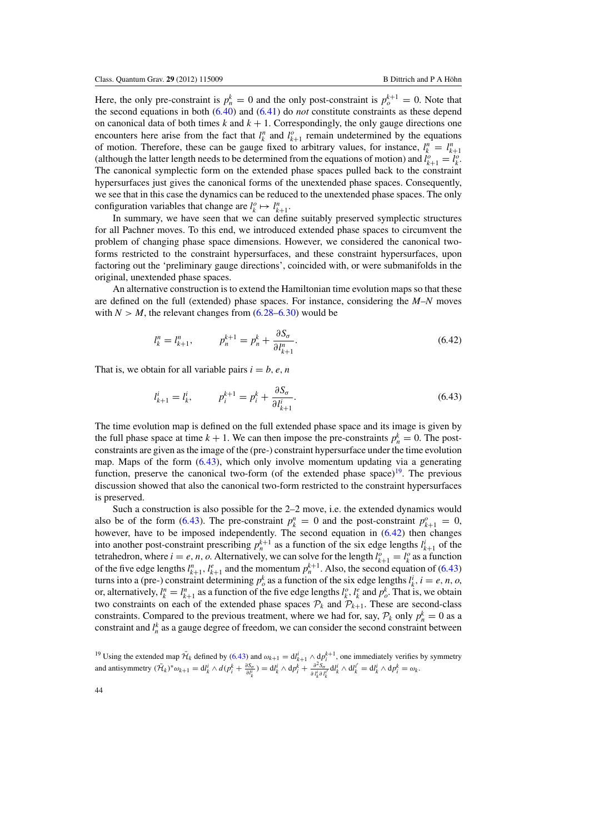Here, the only pre-constraint is  $p_n^k = 0$  and the only post-constraint is  $p_o^{k+1} = 0$ . Note that the second equations in both (6*.*[40\)](#page-43-0) and (6*.*[41\)](#page-43-0) do *not* constitute constraints as these depend on canonical data of both times  $k$  and  $k + 1$ . Correspondingly, the only gauge directions one encounters here arise from the fact that  $l_k^n$  and  $l_{k+1}^o$  remain undetermined by the equations of motion. Therefore, these can be gauge fixed to arbitrary values, for instance,  $l_k^n = l_{k+1}^n$ (although the latter length needs to be determined from the equations of motion) and  $l_{k+1}^o = l_k^o$ . The canonical symplectic form on the extended phase spaces pulled back to the constraint hypersurfaces just gives the canonical forms of the unextended phase spaces. Consequently, we see that in this case the dynamics can be reduced to the unextended phase spaces. The only configuration variables that change are  $l_k^o \mapsto l_{k+1}^n$ .

In summary, we have seen that we can define suitably preserved symplectic structures for all Pachner moves. To this end, we introduced extended phase spaces to circumvent the problem of changing phase space dimensions. However, we considered the canonical twoforms restricted to the constraint hypersurfaces, and these constraint hypersurfaces, upon factoring out the 'preliminary gauge directions', coincided with, or were submanifolds in the original, unextended phase spaces.

An alternative construction is to extend the Hamiltonian time evolution maps so that these are defined on the full (extended) phase spaces. For instance, considering the *M*–*N* moves with  $N > M$ , the relevant changes from  $(6.28-6.30)$  $(6.28-6.30)$  would be

$$
l_k^n = l_{k+1}^n, \qquad p_n^{k+1} = p_n^k + \frac{\partial S_{\sigma}}{\partial l_{k+1}^n}.
$$
\n(6.42)

That is, we obtain for all variable pairs  $i = b, e, n$ 

$$
l_{k+1}^i = l_k^i, \t p_i^{k+1} = p_i^k + \frac{\partial S_{\sigma}}{\partial l_{k+1}^i}.
$$
\t(6.43)

The time evolution map is defined on the full extended phase space and its image is given by the full phase space at time  $k + 1$ . We can then impose the pre-constraints  $p_n^k = 0$ . The postconstraints are given as the image of the (pre-) constraint hypersurface under the time evolution map. Maps of the form (6*.*43), which only involve momentum updating via a generating function, preserve the canonical two-form (of the extended phase space) $19$ . The previous discussion showed that also the canonical two-form restricted to the constraint hypersurfaces is preserved.

Such a construction is also possible for the 2–2 move, i.e. the extended dynamics would also be of the form (6.43). The pre-constraint  $p_k^n = 0$  and the post-constraint  $p_{k+1}^o = 0$ , however, have to be imposed independently. The second equation in (6*.*42) then changes into another post-constraint prescribing  $p_n^{k+1}$  as a function of the six edge lengths  $l_{k+1}^i$  of the tetrahedron, where  $i = e, n, o$ . Alternatively, we can solve for the length  $l_{k+1}^o = l_k^o$  as a function of the five edge lengths  $l_{k+1}^n$ ,  $l_{k+1}^e$  and the momentum  $p_n^{k+1}$ . Also, the second equation of (6.43) turns into a (pre-) constraint determining  $p_o^k$  as a function of the six edge lengths  $l_k^i$ ,  $i = e, n, o$ , or, alternatively,  $l_k^n = l_{k+1}^n$  as a function of the five edge lengths  $l_k^o$ ,  $l_k^e$  and  $p_o^k$ . That is, we obtain two constraints on each of the extended phase spaces  $P_k$  and  $P_{k+1}$ . These are second-class constraints. Compared to the previous treatment, where we had for, say,  $\mathcal{P}_k$  only  $p_n^k = 0$  as a constraint and  $l_n^k$  as a gauge degree of freedom, we can consider the second constraint between

<sup>&</sup>lt;sup>19</sup> Using the extended map  $\bar{\mathcal{H}}_k$  defined by (6.43) and  $\omega_{k+1} = d l^i_{k+1} \wedge d p_i^{k+1}$ , one immediately verifies by symmetry and antisymmetry  $(\bar{\mathcal{H}}_k)^* \omega_{k+1} = \mathrm{d}l_k^i \wedge d(p_i^k + \frac{\partial S_{\sigma}}{\partial l_k^i}) = \mathrm{d}l_k^i \wedge \mathrm{d}p_i^k + \frac{\partial^2 S_{\sigma}}{\partial l_k^i \partial l_k^j} \mathrm{d}l_k^i \wedge \mathrm{d}l_k^i = \mathrm{d}l_k^i \wedge \mathrm{d}p_i^k = \omega_k$ .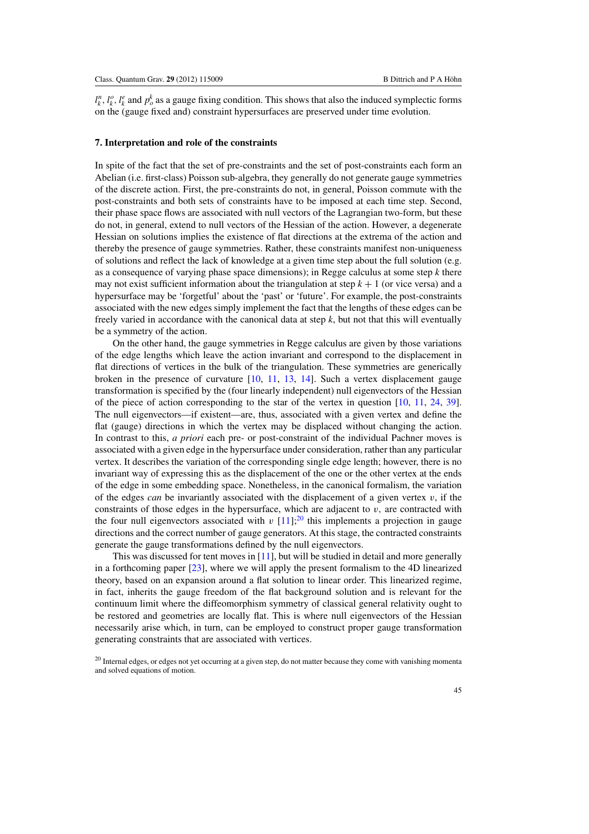<span id="page-45-0"></span> $l_k^n$ ,  $l_k^o$ ,  $l_k^e$  and  $p_o^k$  as a gauge fixing condition. This shows that also the induced symplectic forms on the (gauge fixed and) constraint hypersurfaces are preserved under time evolution.

#### **7. Interpretation and role of the constraints**

In spite of the fact that the set of pre-constraints and the set of post-constraints each form an Abelian (i.e. first-class) Poisson sub-algebra, they generally do not generate gauge symmetries of the discrete action. First, the pre-constraints do not, in general, Poisson commute with the post-constraints and both sets of constraints have to be imposed at each time step. Second, their phase space flows are associated with null vectors of the Lagrangian two-form, but these do not, in general, extend to null vectors of the Hessian of the action. However, a degenerate Hessian on solutions implies the existence of flat directions at the extrema of the action and thereby the presence of gauge symmetries. Rather, these constraints manifest non-uniqueness of solutions and reflect the lack of knowledge at a given time step about the full solution (e.g. as a consequence of varying phase space dimensions); in Regge calculus at some step *k* there may not exist sufficient information about the triangulation at step  $k + 1$  (or vice versa) and a hypersurface may be 'forgetful' about the 'past' or 'future'. For example, the post-constraints associated with the new edges simply implement the fact that the lengths of these edges can be freely varied in accordance with the canonical data at step *k*, but not that this will eventually be a symmetry of the action.

On the other hand, the gauge symmetries in Regge calculus are given by those variations of the edge lengths which leave the action invariant and correspond to the displacement in flat directions of vertices in the bulk of the triangulation. These symmetries are generically broken in the presence of curvature [\[10](#page-50-0), [11](#page-50-0), [13,](#page-50-0) [14\]](#page-50-0). Such a vertex displacement gauge transformation is specified by the (four linearly independent) null eigenvectors of the Hessian of the piece of action corresponding to the star of the vertex in question [\[10](#page-50-0), [11,](#page-50-0) [24,](#page-51-0) [39\]](#page-51-0). The null eigenvectors—if existent—are, thus, associated with a given vertex and define the flat (gauge) directions in which the vertex may be displaced without changing the action. In contrast to this, *a priori* each pre- or post-constraint of the individual Pachner moves is associated with a given edge in the hypersurface under consideration, rather than any particular vertex. It describes the variation of the corresponding single edge length; however, there is no invariant way of expressing this as the displacement of the one or the other vertex at the ends of the edge in some embedding space. Nonetheless, in the canonical formalism, the variation of the edges *can* be invariantly associated with the displacement of a given vertex  $v$ , if the constraints of those edges in the hypersurface, which are adjacent to  $v$ , are contracted with the four null eigenvectors associated with  $v \left[11\right]$ ; <sup>20</sup> this implements a projection in gauge directions and the correct number of gauge generators. At this stage, the contracted constraints generate the gauge transformations defined by the null eigenvectors.

This was discussed for tent moves in [\[11](#page-50-0)], but will be studied in detail and more generally in a forthcoming paper [\[23\]](#page-51-0), where we will apply the present formalism to the 4D linearized theory, based on an expansion around a flat solution to linear order. This linearized regime, in fact, inherits the gauge freedom of the flat background solution and is relevant for the continuum limit where the diffeomorphism symmetry of classical general relativity ought to be restored and geometries are locally flat. This is where null eigenvectors of the Hessian necessarily arise which, in turn, can be employed to construct proper gauge transformation generating constraints that are associated with vertices.

<sup>&</sup>lt;sup>20</sup> Internal edges, or edges not yet occurring at a given step, do not matter because they come with vanishing momenta and solved equations of motion.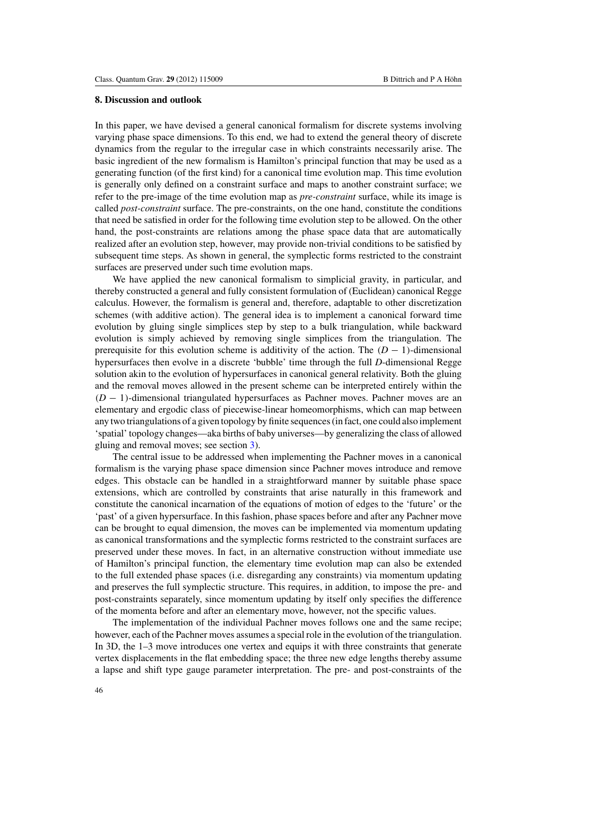## <span id="page-46-0"></span>**8. Discussion and outlook**

In this paper, we have devised a general canonical formalism for discrete systems involving varying phase space dimensions. To this end, we had to extend the general theory of discrete dynamics from the regular to the irregular case in which constraints necessarily arise. The basic ingredient of the new formalism is Hamilton's principal function that may be used as a generating function (of the first kind) for a canonical time evolution map. This time evolution is generally only defined on a constraint surface and maps to another constraint surface; we refer to the pre-image of the time evolution map as *pre-constraint* surface, while its image is called *post-constraint* surface. The pre-constraints, on the one hand, constitute the conditions that need be satisfied in order for the following time evolution step to be allowed. On the other hand, the post-constraints are relations among the phase space data that are automatically realized after an evolution step, however, may provide non-trivial conditions to be satisfied by subsequent time steps. As shown in general, the symplectic forms restricted to the constraint surfaces are preserved under such time evolution maps.

We have applied the new canonical formalism to simplicial gravity, in particular, and thereby constructed a general and fully consistent formulation of (Euclidean) canonical Regge calculus. However, the formalism is general and, therefore, adaptable to other discretization schemes (with additive action). The general idea is to implement a canonical forward time evolution by gluing single simplices step by step to a bulk triangulation, while backward evolution is simply achieved by removing single simplices from the triangulation. The prerequisite for this evolution scheme is additivity of the action. The  $(D - 1)$ -dimensional hypersurfaces then evolve in a discrete 'bubble' time through the full *D*-dimensional Regge solution akin to the evolution of hypersurfaces in canonical general relativity. Both the gluing and the removal moves allowed in the present scheme can be interpreted entirely within the (*D* − 1)-dimensional triangulated hypersurfaces as Pachner moves. Pachner moves are an elementary and ergodic class of piecewise-linear homeomorphisms, which can map between any two triangulations of a given topology by finite sequences (in fact, one could also implement 'spatial' topology changes—aka births of baby universes—by generalizing the class of allowed gluing and removal moves; see section [3\)](#page-10-0).

The central issue to be addressed when implementing the Pachner moves in a canonical formalism is the varying phase space dimension since Pachner moves introduce and remove edges. This obstacle can be handled in a straightforward manner by suitable phase space extensions, which are controlled by constraints that arise naturally in this framework and constitute the canonical incarnation of the equations of motion of edges to the 'future' or the 'past' of a given hypersurface. In this fashion, phase spaces before and after any Pachner move can be brought to equal dimension, the moves can be implemented via momentum updating as canonical transformations and the symplectic forms restricted to the constraint surfaces are preserved under these moves. In fact, in an alternative construction without immediate use of Hamilton's principal function, the elementary time evolution map can also be extended to the full extended phase spaces (i.e. disregarding any constraints) via momentum updating and preserves the full symplectic structure. This requires, in addition, to impose the pre- and post-constraints separately, since momentum updating by itself only specifies the difference of the momenta before and after an elementary move, however, not the specific values.

The implementation of the individual Pachner moves follows one and the same recipe; however, each of the Pachner moves assumes a special role in the evolution of the triangulation. In 3D, the 1–3 move introduces one vertex and equips it with three constraints that generate vertex displacements in the flat embedding space; the three new edge lengths thereby assume a lapse and shift type gauge parameter interpretation. The pre- and post-constraints of the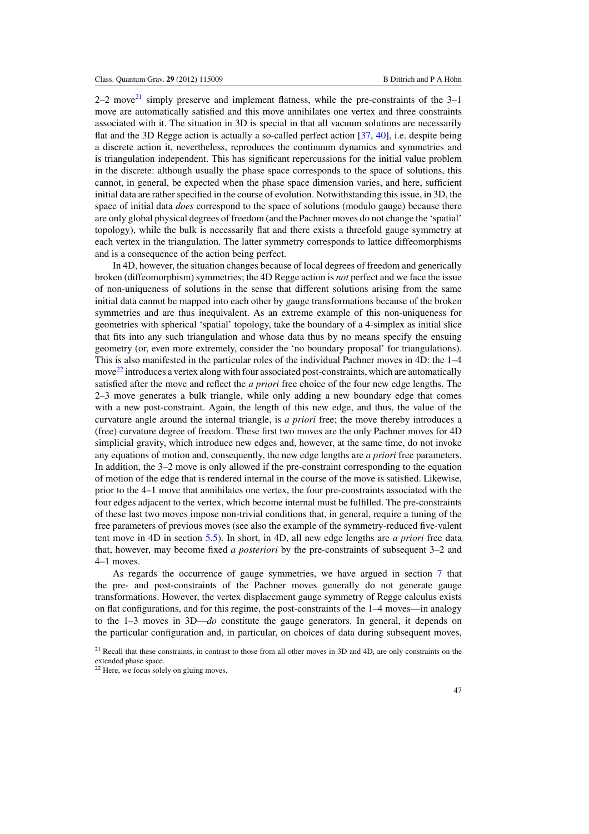$2-2$  move<sup>21</sup> simply preserve and implement flatness, while the pre-constraints of the  $3-1$ move are automatically satisfied and this move annihilates one vertex and three constraints associated with it. The situation in 3D is special in that all vacuum solutions are necessarily flat and the 3D Regge action is actually a so-called perfect action [\[37,](#page-51-0) [40\]](#page-51-0), i.e. despite being a discrete action it, nevertheless, reproduces the continuum dynamics and symmetries and is triangulation independent. This has significant repercussions for the initial value problem in the discrete: although usually the phase space corresponds to the space of solutions, this cannot, in general, be expected when the phase space dimension varies, and here, sufficient initial data are rather specified in the course of evolution. Notwithstanding this issue, in 3D, the space of initial data *does* correspond to the space of solutions (modulo gauge) because there are only global physical degrees of freedom (and the Pachner moves do not change the 'spatial' topology), while the bulk is necessarily flat and there exists a threefold gauge symmetry at each vertex in the triangulation. The latter symmetry corresponds to lattice diffeomorphisms and is a consequence of the action being perfect.

In 4D, however, the situation changes because of local degrees of freedom and generically broken (diffeomorphism) symmetries; the 4D Regge action is *not* perfect and we face the issue of non-uniqueness of solutions in the sense that different solutions arising from the same initial data cannot be mapped into each other by gauge transformations because of the broken symmetries and are thus inequivalent. As an extreme example of this non-uniqueness for geometries with spherical 'spatial' topology, take the boundary of a 4-simplex as initial slice that fits into any such triangulation and whose data thus by no means specify the ensuing geometry (or, even more extremely, consider the 'no boundary proposal' for triangulations). This is also manifested in the particular roles of the individual Pachner moves in 4D: the 1–4 move<sup>22</sup> introduces a vertex along with four associated post-constraints, which are automatically satisfied after the move and reflect the *a priori* free choice of the four new edge lengths. The 2–3 move generates a bulk triangle, while only adding a new boundary edge that comes with a new post-constraint. Again, the length of this new edge, and thus, the value of the curvature angle around the internal triangle, is *a priori* free; the move thereby introduces a (free) curvature degree of freedom. These first two moves are the only Pachner moves for 4D simplicial gravity, which introduce new edges and, however, at the same time, do not invoke any equations of motion and, consequently, the new edge lengths are *a priori* free parameters. In addition, the 3–2 move is only allowed if the pre-constraint corresponding to the equation of motion of the edge that is rendered internal in the course of the move is satisfied. Likewise, prior to the 4–1 move that annihilates one vertex, the four pre-constraints associated with the four edges adjacent to the vertex, which become internal must be fulfilled. The pre-constraints of these last two moves impose non-trivial conditions that, in general, require a tuning of the free parameters of previous moves (see also the example of the symmetry-reduced five-valent tent move in 4D in section [5.5\)](#page-29-0). In short, in 4D, all new edge lengths are *a priori* free data that, however, may become fixed *a posteriori* by the pre-constraints of subsequent 3–2 and 4–1 moves.

As regards the occurrence of gauge symmetries, we have argued in section [7](#page-45-0) that the pre- and post-constraints of the Pachner moves generally do not generate gauge transformations. However, the vertex displacement gauge symmetry of Regge calculus exists on flat configurations, and for this regime, the post-constraints of the 1–4 moves—in analogy to the 1–3 moves in 3D—*do* constitute the gauge generators. In general, it depends on the particular configuration and, in particular, on choices of data during subsequent moves,

<sup>&</sup>lt;sup>21</sup> Recall that these constraints, in contrast to those from all other moves in 3D and 4D, are only constraints on the extended phase space.

<sup>&</sup>lt;sup>22</sup> Here, we focus solely on gluing moves.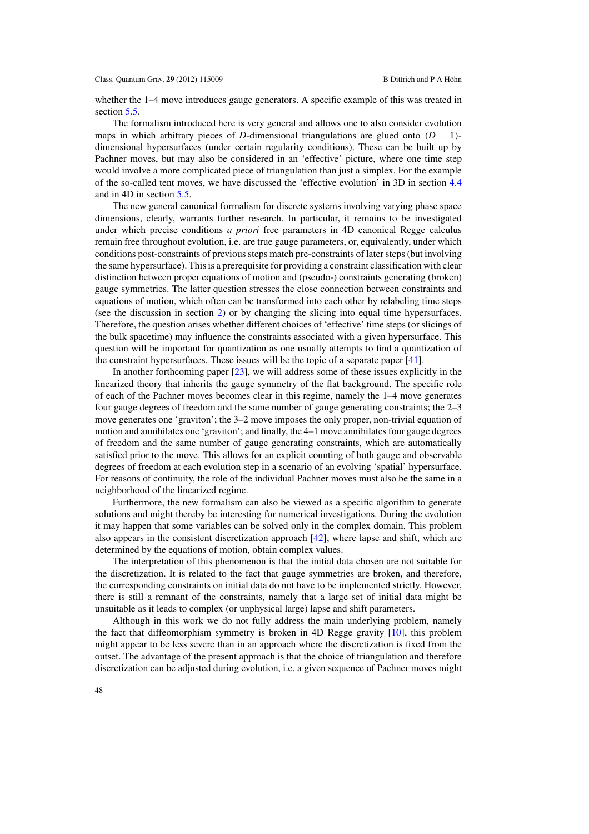whether the 1–4 move introduces gauge generators. A specific example of this was treated in section [5.5.](#page-29-0)

The formalism introduced here is very general and allows one to also consider evolution maps in which arbitrary pieces of *D*-dimensional triangulations are glued onto  $(D - 1)$ dimensional hypersurfaces (under certain regularity conditions). These can be built up by Pachner moves, but may also be considered in an 'effective' picture, where one time step would involve a more complicated piece of triangulation than just a simplex. For the example of the so-called tent moves, we have discussed the 'effective evolution' in 3D in section [4.4](#page-21-0) and in 4D in section [5.5.](#page-29-0)

The new general canonical formalism for discrete systems involving varying phase space dimensions, clearly, warrants further research. In particular, it remains to be investigated under which precise conditions *a priori* free parameters in 4D canonical Regge calculus remain free throughout evolution, i.e. are true gauge parameters, or, equivalently, under which conditions post-constraints of previous steps match pre-constraints of later steps (but involving the same hypersurface). This is a prerequisite for providing a constraint classification with clear distinction between proper equations of motion and (pseudo-) constraints generating (broken) gauge symmetries. The latter question stresses the close connection between constraints and equations of motion, which often can be transformed into each other by relabeling time steps (see the discussion in section [2\)](#page-4-0) or by changing the slicing into equal time hypersurfaces. Therefore, the question arises whether different choices of 'effective' time steps (or slicings of the bulk spacetime) may influence the constraints associated with a given hypersurface. This question will be important for quantization as one usually attempts to find a quantization of the constraint hypersurfaces. These issues will be the topic of a separate paper [\[41\]](#page-51-0).

In another forthcoming paper [\[23](#page-51-0)], we will address some of these issues explicitly in the linearized theory that inherits the gauge symmetry of the flat background. The specific role of each of the Pachner moves becomes clear in this regime, namely the 1–4 move generates four gauge degrees of freedom and the same number of gauge generating constraints; the 2–3 move generates one 'graviton'; the 3–2 move imposes the only proper, non-trivial equation of motion and annihilates one 'graviton'; and finally, the 4–1 move annihilates four gauge degrees of freedom and the same number of gauge generating constraints, which are automatically satisfied prior to the move. This allows for an explicit counting of both gauge and observable degrees of freedom at each evolution step in a scenario of an evolving 'spatial' hypersurface. For reasons of continuity, the role of the individual Pachner moves must also be the same in a neighborhood of the linearized regime.

Furthermore, the new formalism can also be viewed as a specific algorithm to generate solutions and might thereby be interesting for numerical investigations. During the evolution it may happen that some variables can be solved only in the complex domain. This problem also appears in the consistent discretization approach [\[42\]](#page-51-0), where lapse and shift, which are determined by the equations of motion, obtain complex values.

The interpretation of this phenomenon is that the initial data chosen are not suitable for the discretization. It is related to the fact that gauge symmetries are broken, and therefore, the corresponding constraints on initial data do not have to be implemented strictly. However, there is still a remnant of the constraints, namely that a large set of initial data might be unsuitable as it leads to complex (or unphysical large) lapse and shift parameters.

Although in this work we do not fully address the main underlying problem, namely the fact that diffeomorphism symmetry is broken in 4D Regge gravity [\[10](#page-50-0)], this problem might appear to be less severe than in an approach where the discretization is fixed from the outset. The advantage of the present approach is that the choice of triangulation and therefore discretization can be adjusted during evolution, i.e. a given sequence of Pachner moves might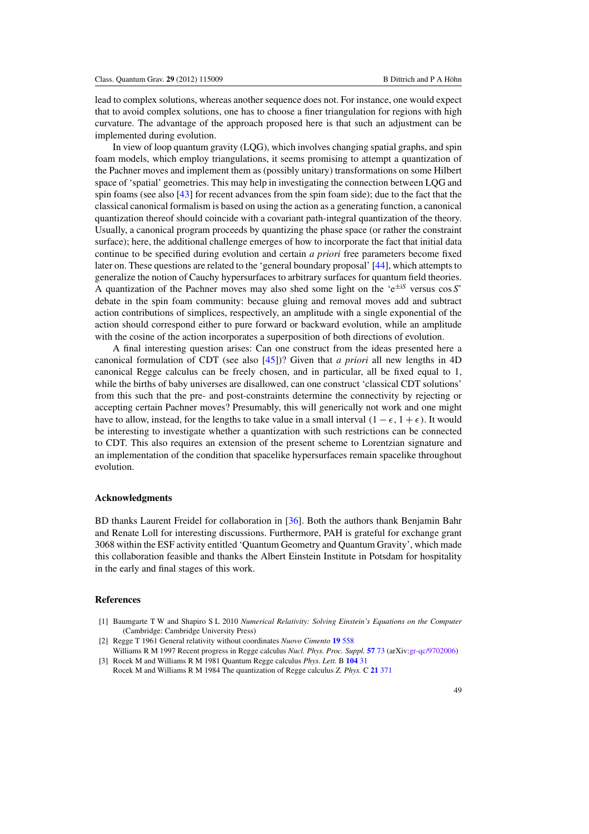<span id="page-49-0"></span>lead to complex solutions, whereas another sequence does not. For instance, one would expect that to avoid complex solutions, one has to choose a finer triangulation for regions with high curvature. The advantage of the approach proposed here is that such an adjustment can be implemented during evolution.

In view of loop quantum gravity (LQG), which involves changing spatial graphs, and spin foam models, which employ triangulations, it seems promising to attempt a quantization of the Pachner moves and implement them as (possibly unitary) transformations on some Hilbert space of 'spatial' geometries. This may help in investigating the connection between LQG and spin foams (see also [\[43\]](#page-52-0) for recent advances from the spin foam side); due to the fact that the classical canonical formalism is based on using the action as a generating function, a canonical quantization thereof should coincide with a covariant path-integral quantization of the theory. Usually, a canonical program proceeds by quantizing the phase space (or rather the constraint surface); here, the additional challenge emerges of how to incorporate the fact that initial data continue to be specified during evolution and certain *a priori* free parameters become fixed later on. These questions are related to the 'general boundary proposal' [\[44](#page-52-0)], which attempts to generalize the notion of Cauchy hypersurfaces to arbitrary surfaces for quantum field theories. A quantization of the Pachner moves may also shed some light on the ' $e^{\pm iS}$  versus cos *S*' debate in the spin foam community: because gluing and removal moves add and subtract action contributions of simplices, respectively, an amplitude with a single exponential of the action should correspond either to pure forward or backward evolution, while an amplitude with the cosine of the action incorporates a superposition of both directions of evolution.

A final interesting question arises: Can one construct from the ideas presented here a canonical formulation of CDT (see also [\[45](#page-52-0)])? Given that *a priori* all new lengths in 4D canonical Regge calculus can be freely chosen, and in particular, all be fixed equal to 1, while the births of baby universes are disallowed, can one construct 'classical CDT solutions' from this such that the pre- and post-constraints determine the connectivity by rejecting or accepting certain Pachner moves? Presumably, this will generically not work and one might have to allow, instead, for the lengths to take value in a small interval  $(1 - \epsilon, 1 + \epsilon)$ . It would be interesting to investigate whether a quantization with such restrictions can be connected to CDT. This also requires an extension of the present scheme to Lorentzian signature and an implementation of the condition that spacelike hypersurfaces remain spacelike throughout evolution.

## **Acknowledgments**

BD thanks Laurent Freidel for collaboration in [\[36](#page-51-0)]. Both the authors thank Benjamin Bahr and Renate Loll for interesting discussions. Furthermore, PAH is grateful for exchange grant 3068 within the ESF activity entitled 'Quantum Geometry and Quantum Gravity', which made this collaboration feasible and thanks the Albert Einstein Institute in Potsdam for hospitality in the early and final stages of this work.

#### **References**

- [1] Baumgarte T W and Shapiro S L 2010 *Numerical Relativity: Solving Einstein's Equations on the Computer* (Cambridge: Cambridge University Press)
- [2] Regge T 1961 General relativity without coordinates *Nuovo Cimento* **19** [558](http://dx.doi.org/10.1007/BF02733251) Williams R M 1997 Recent progress in Regge calculus *Nucl. Phys. Proc. Suppl.* **[57](http://dx.doi.org/10.1016/S0920-5632(97)00355-1)** 73 (arXiv[:gr-qc/9702006\)](http://arxiv.org/abs/gr-qc/9702006)
- [3] Rocek M and Williams R M 1981 Quantum Regge calculus *Phys. Lett.* B **[104](http://dx.doi.org/10.1016/0370-2693(81)90848-0)** 31 Rocek M and Williams R M 1984 The quantization of Regge calculus *Z. Phys.* C **21** [371](http://dx.doi.org/10.1007/BF01581603)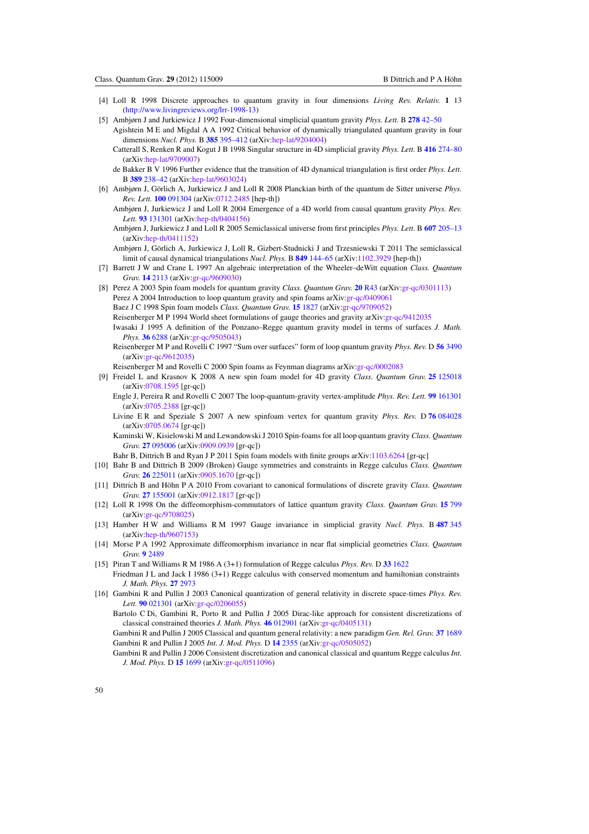- <span id="page-50-0"></span>[4] Loll R 1998 Discrete approaches to quantum gravity in four dimensions *Living Rev. Relativ.* **1** 13 [\(http://www.livingreviews.org/lrr-1998-13\)](http://www.livingreviews.org/lrr-1998-13)
- [5] Ambjørn J and Jurkiewicz J 1992 Four-dimensional simplicial quantum gravity *Phys. Lett.* B **278** [42–50](http://dx.doi.org/10.1016/0370-2693(92)90709-D) Agishtein M E and Migdal A A 1992 Critical behavior of dynamically triangulated quantum gravity in four dimensions *Nucl. Phys.* B **385** [395–412](http://dx.doi.org/10.1016/0550-3213(92)90106-L) (arXiv[:hep-lat/9204004\)](http://arxiv.org/abs/hep-lat/9204004)
	- Catterall S, Renken R and Kogut J B 1998 Singular structure in 4D simplicial gravity *Phys. Lett.* B **416** [274–80](http://dx.doi.org/10.1016/S0370-2693(97)01349-X) (arXiv[:hep-lat/9709007\)](http://arxiv.org/abs/hep-lat/9709007)
	- de Bakker B V 1996 Further evidence that the transition of 4D dynamical triangulation is first order *Phys. Lett.* B **389** [238–42](http://dx.doi.org/10.1016/S0370-2693(96)01277-4) (arXiv[:hep-lat/9603024\)](http://arxiv.org/abs/hep-lat/9603024)
- [6] Ambjørn J, Görlich A, Jurkiewicz J and Loll R 2008 Planckian birth of the quantum de Sitter universe Phys. *Rev. Lett.* **100** [091304](http://dx.doi.org/10.1103/PhysRevLett.100.091304) (arXiv[:0712.2485](http://arxiv.org/abs/0712.2485) [hep-th])
	- Ambjørn J, Jurkiewicz J and Loll R 2004 Emergence of a 4D world from causal quantum gravity *Phys. Rev. Lett.* **93** [131301](http://dx.doi.org/10.1103/PhysRevLett.93.131301) (arXiv[:hep-th/0404156\)](http://arxiv.org/abs/hep-th/0404156)
	- Ambjørn J, Jurkiewicz J and Loll R 2005 Semiclassical universe from first principles *Phys. Lett.* B **607** [205–13](http://dx.doi.org/10.1016/j.physletb.2004.12.067) (arXiv[:hep-th/0411152\)](http://arxiv.org/abs/hep-th/0411152)
	- Ambjørn J, Görlich A, Jurkiewicz J, Loll R, Gizbert-Studnicki J and Trzesniewski T 2011 The semiclassical limit of causal dynamical triangulations *Nucl. Phys.* B **849** [144–65](http://dx.doi.org/10.1016/j.nuclphysb.2011.03.019) (arXiv[:1102.3929](http://arxiv.org/abs/1102.3929) [hep-th])
- [7] Barrett J W and Crane L 1997 An algebraic interpretation of the Wheeler–deWitt equation *Class. Quantum Grav.* **14** [2113](http://dx.doi.org/10.1088/0264-9381/14/8/011) (arXiv[:gr-qc/9609030\)](http://arxiv.org/abs/gr-qc/9609030)
- [8] Perez A 2003 Spin foam models for quantum gravity *Class. Quantum Grav.* **20** [R43](http://dx.doi.org/10.1088/0264-9381/20/6/202) (arXiv[:gr-qc/0301113\)](http://arxiv.org/abs/gr-qc/0301113) Perez A 2004 Introduction to loop quantum gravity and spin foams arXiv[:gr-qc/0409061](http://arxiv.org/abs/gr-qc/0409061)
	- Baez J C 1998 Spin foam models *Class. Quantum Grav.* **15** [1827](http://dx.doi.org/10.1088/0264-9381/15/7/004) (arXiv[:gr-qc/9709052\)](http://arxiv.org/abs/gr-qc/9709052)
	- Reisenberger M P 1994 World sheet formulations of gauge theories and gravity arXiv[:gr-qc/9412035](http://arxiv.org/abs/gr-qc/9412035)
	- Iwasaki J 1995 A definition of the Ponzano–Regge quantum gravity model in terms of surfaces *J. Math. Phys.* **36** [6288](http://dx.doi.org/10.1063/1.531245) (arXiv[:gr-qc/9505043\)](http://arxiv.org/abs/gr-qc/9505043)
	- Reisenberger M P and Rovelli C 1997 "Sum over surfaces" form of loop quantum gravity *Phys. Rev.* D **56** [3490](http://dx.doi.org/10.1103/PhysRevD.56.3490) (arXiv[:gr-qc/9612035\)](http://arxiv.org/abs/gr-qc/9612035)
- Reisenberger M and Rovelli C 2000 Spin foams as Feynman diagrams arXiv[:gr-qc/0002083](http://arxiv.org/abs/gr-qc/0002083)
- [9] Freidel L and Krasnov K 2008 A new spin foam model for 4D gravity *Class. Quantum Grav.* **25** [125018](http://dx.doi.org/10.1088/0264-9381/25/12/125018) (arXiv[:0708.1595](http://arxiv.org/abs/0708.1595) [gr-qc])
	- Engle J, Pereira R and Rovelli C 2007 The loop-quantum-gravity vertex-amplitude *Phys. Rev. Lett.* **99** [161301](http://dx.doi.org/10.1103/PhysRevLett.99.161301) (arXiv[:0705.2388](http://arxiv.org/abs/0705.2388) [gr-qc])
	- Livine E R and Speziale S 2007 A new spinfoam vertex for quantum gravity *Phys. Rev.* D **76** [084028](http://dx.doi.org/10.1103/PhysRevD.76.084028) (arXiv[:0705.0674](http://arxiv.org/abs/0705.0674) [gr-qc])
	- Kaminski W, Kisielowski M and Lewandowski J 2010 Spin-foams for all loop quantum gravity *Class. Quantum Grav.* **27** [095006](http://dx.doi.org/10.1088/0264-9381/27/9/095006) (arXiv[:0909.0939](http://arxiv.org/abs/0909.0939) [gr-qc])
	- Bahr B, Dittrich B and Ryan J P 2011 Spin foam models with finite groups arXiv[:1103.6264](http://arxiv.org/abs/1103.6264) [gr-qc]
- [10] Bahr B and Dittrich B 2009 (Broken) Gauge symmetries and constraints in Regge calculus *Class. Quantum Grav.* **26** [225011](http://dx.doi.org/10.1088/0264-9381/26/22/225011) (arXiv[:0905.1670](http://arxiv.org/abs/0905.1670) [gr-qc])
- [11] Dittrich B and Höhn P A 2010 From covariant to canonical formulations of discrete gravity Class. Quantum *Grav.* **27** [155001](http://dx.doi.org/10.1088/0264-9381/27/15/155001) (arXiv[:0912.1817](http://arxiv.org/abs/0912.1817) [gr-qc])
- [12] Loll R 1998 On the diffeomorphism-commutators of lattice quantum gravity *Class. Quantum Grav.* **15** [799](http://dx.doi.org/10.1088/0264-9381/15/4/008) (arXiv[:gr-qc/9708025\)](http://arxiv.org/abs/gr-qc/9708025)
- [13] Hamber H W and Williams R M 1997 Gauge invariance in simplicial gravity *Nucl. Phys.* B **[487](http://dx.doi.org/10.1016/S0550-3213(97)87467-6)** 345 (arXiv[:hep-th/9607153\)](http://arxiv.org/abs/hep-th/9607153)
- [14] Morse P A 1992 Approximate diffeomorphism invariance in near flat simplicial geometries *Class. Quantum Grav.* **9** [2489](http://dx.doi.org/10.1088/0264-9381/9/11/014)
- [15] Piran T and Williams R M 1986 A (3+1) formulation of Regge calculus *Phys. Rev.* D **33** [1622](http://dx.doi.org/10.1103/PhysRevD.33.1622) Friedman J L and Jack I 1986 (3+1) Regge calculus with conserved momentum and hamiltonian constraints
- *J. Math. Phys.* **27** [2973](http://dx.doi.org/10.1063/1.527224)
- [16] Gambini R and Pullin J 2003 Canonical quantization of general relativity in discrete space-times *Phys. Rev. Lett.* **90** [021301](http://dx.doi.org/10.1103/PhysRevLett.90.021301) (arXiv[:gr-qc/0206055\)](http://arxiv.org/abs/gr-qc/0206055)

Bartolo C Di, Gambini R, Porto R and Pullin J 2005 Dirac-like approach for consistent discretizations of classical constrained theories *J. Math. Phys.* **46** [012901](http://dx.doi.org/10.1063/1.1823030) (arXiv[:gr-qc/0405131\)](http://arxiv.org/abs/gr-qc/0405131)

Gambini R and Pullin J 2005 Classical and quantum general relativity: a new paradigm *Gen. Rel. Grav.* **37** [1689](http://dx.doi.org/10.1007/s10714-005-0151-7) Gambini R and Pullin J 2005 *Int. J. Mod. Phys.* D **14** [2355](http://dx.doi.org/10.1142/S0218271805007917) (arXiv[:gr-qc/0505052\)](http://arxiv.org/abs/gr-qc/0505052)

Gambini R and Pullin J 2006 Consistent discretization and canonical classical and quantum Regge calculus *Int. J. Mod. Phys.* D **15** [1699](http://dx.doi.org/10.1142/S0218271806009042) (arXiv[:gr-qc/0511096\)](http://arxiv.org/abs/gr-qc/0511096)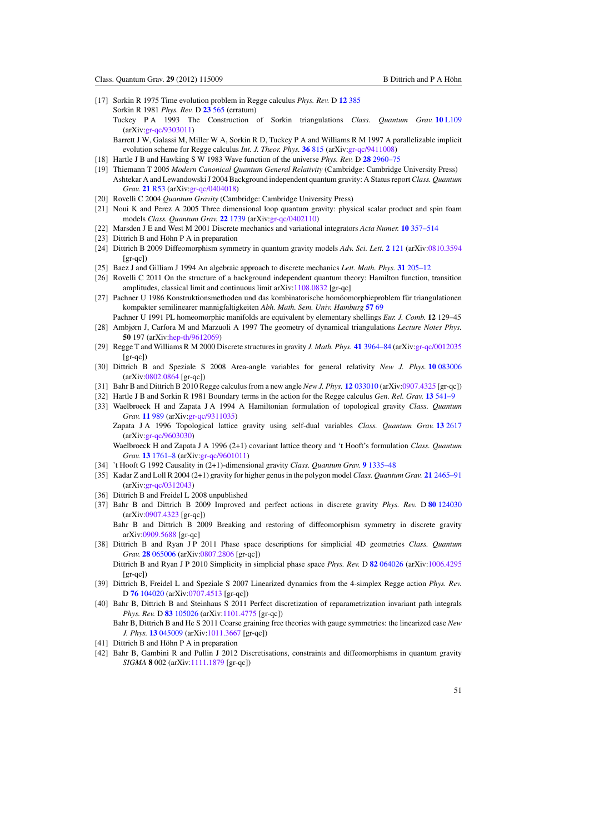<span id="page-51-0"></span>[17] Sorkin R 1975 Time evolution problem in Regge calculus *Phys. Rev.* D **12** [385](http://dx.doi.org/10.1103/PhysRevD.12.385) Sorkin R 1981 *Phys. Rev.* D **23** [565](http://dx.doi.org/10.1103/PhysRevD.23.565) (erratum) Tuckey P A 1993 The Construction of Sorkin triangulations *Class. Quantum Grav.* **10** [L109](http://dx.doi.org/10.1088/0264-9381/10/8/004)

(arXiv[:gr-qc/9303011\)](http://arxiv.org/abs/gr-qc/9303011) Barrett J W, Galassi M, Miller W A, Sorkin R D, Tuckey P A and Williams R M 1997 A parallelizable implicit evolution scheme for Regge calculus *Int. J. Theor. Phys.* **36** [815](http://dx.doi.org/10.1007/BF02435787) (arXiv[:gr-qc/9411008\)](http://arxiv.org/abs/gr-qc/9411008)

- [18] Hartle J B and Hawking S W 1983 Wave function of the universe *Phys. Rev.* D **28** [2960–75](http://dx.doi.org/10.1103/PhysRevD.28.2960)
- [19] Thiemann T 2005 *Modern Canonical Quantum General Relativity* (Cambridge: Cambridge University Press) Ashtekar A and Lewandowski J 2004 Background independent quantum gravity: A Status report*Class. Quantum Grav.* **21** [R53](http://dx.doi.org/10.1088/0264-9381/21/15/R01) (arXiv[:gr-qc/0404018\)](http://arxiv.org/abs/gr-qc/0404018)
- [20] Rovelli C 2004 *Quantum Gravity* (Cambridge: Cambridge University Press[\)](http://dx.doi.org/10.1017/CBO9780511755804)
- [21] Noui K and Perez A 2005 Three dimensional loop quantum gravity: physical scalar product and spin foam models *Class. Quantum Grav.* **22** [1739](http://dx.doi.org/10.1088/0264-9381/22/9/017) (arXiv[:gr-qc/0402110\)](http://arxiv.org/abs/gr-qc/0402110)
- [22] Marsden J E and West M 2001 Discrete mechanics and variational integrators *Acta Numer.* **10** [357–514](http://dx.doi.org/10.1017/S096249290100006X)
- [23] Dittrich B and Höhn P A in preparation
- [24] Dittrich B 2009 Diffeomorphism symmetry in quantum gravity models *Adv. Sci. Lett.* **2** [121](http://dx.doi.org/10.1166/asl.2009.1022) (arXiv[:0810.3594](http://arxiv.org/abs/0810.3594) [gr-qc])
- [25] Baez J and Gilliam J 1994 An algebraic approach to discrete mechanics *Lett. Math. Phys.* **31** [205–12](http://dx.doi.org/10.1007/BF00761712)
- [26] Rovelli C 2011 On the structure of a background independent quantum theory: Hamilton function, transition amplitudes, classical limit and continuous limit arXiv[:1108.0832](http://arxiv.org/abs/1108.0832) [gr-qc]
- [27] Pachner U 1986 Konstruktionsmethoden und das kombinatorische homöomorphieproblem für triangulationen kompakter semilinearer mannigfaltigkeiten *Abh. Math. Sem. Univ. Hamburg* **[57](http://dx.doi.org/10.1007/BF02941601)** 69
- Pachner U 1991 PL homeomorphic manifolds are equivalent by elementary shellings *Eur. J. Comb.* **12** 129–45 [28] Ambjørn J, Carfora M and Marzuoli A 1997 The geometry of dynamical triangulations *Lecture Notes Phys.* **50** 197 (arXiv[:hep-th/9612069\)](http://arxiv.org/abs/hep-th/9612069)
- [29] Regge T and Williams R M 2000 Discrete structures in gravity *J. Math. Phys.* **41** [3964–84](http://dx.doi.org/10.1063/1.533333) (arXiv[:gr-qc/0012035](http://arxiv.org/abs/gr-qc/0012035) [gr-qc])
- [30] Dittrich B and Speziale S 2008 Area-angle variables for general relativity *New J. Phys.* **10** [083006](http://dx.doi.org/10.1088/1367-2630/10/8/083006) (arXiv[:0802.0864](http://arxiv.org/abs/0802.0864) [gr-qc])
- [31] Bahr B and Dittrich B 2010 Regge calculus from a new angle *New J. Phys.* **12** [033010](http://dx.doi.org/10.1088/1367-2630/12/3/033010) (arXiv[:0907.4325](http://arxiv.org/abs/0907.4325) [gr-qc])
- [32] Hartle J B and Sorkin R 1981 Boundary terms in the action for the Regge calculus *Gen. Rel. Grav.* **13** [541–9](http://dx.doi.org/10.1007/BF00757240)
- [33] Waelbroeck H and Zapata J A 1994 A Hamiltonian formulation of topological gravity *Class. Quantum Grav.* **11** [989](http://dx.doi.org/10.1088/0264-9381/11/4/015) (arXiv[:gr-qc/9311035\)](http://arxiv.org/abs/gr-qc/9311035)
	- Zapata J A 1996 Topological lattice gravity using self-dual variables *Class. Quantum Grav.* **13** [2617](http://dx.doi.org/10.1088/0264-9381/13/10/003) (arXiv[:gr-qc/9603030\)](http://arxiv.org/abs/gr-qc/9603030)
	- Waelbroeck H and Zapata J A 1996 (2+1) covariant lattice theory and 't Hooft's formulation *Class. Quantum Grav.* **13** [1761–8](http://dx.doi.org/10.1088/0264-9381/13/7/009) (arXiv[:gr-qc/9601011\)](http://arxiv.org/abs/gr-qc/9601011)
- [34] 't Hooft G 1992 Causality in (2+1)-dimensional gravity *Class. Quantum Grav.* **9** [1335–48](http://dx.doi.org/10.1088/0264-9381/9/5/015)
- [35] Kadar Z and Loll R 2004 (2+1) gravity for higher genus in the polygon model *Class. Quantum Grav.* **21** [2465–91](http://dx.doi.org/10.1088/0264-9381/21/9/020) (arXiv[:gr-qc/0312043\)](http://arxiv.org/abs/gr-qc/0312043)
- [36] Dittrich B and Freidel L 2008 unpublished
- [37] Bahr B and Dittrich B 2009 Improved and perfect actions in discrete gravity *Phys. Rev.* D **80** [124030](http://dx.doi.org/10.1103/PhysRevD.80.124030) (arXiv[:0907.4323](http://arxiv.org/abs/0907.4323) [gr-qc])
	- Bahr B and Dittrich B 2009 Breaking and restoring of diffeomorphism symmetry in discrete gravity arXiv[:0909.5688](http://arxiv.org/abs/0909.5688) [gr-qc]
- [38] Dittrich B and Ryan J P 2011 Phase space descriptions for simplicial 4D geometries *Class. Quantum Grav.* **28** [065006](http://dx.doi.org/10.1088/0264-9381/28/6/065006) (arXiv[:0807.2806](http://arxiv.org/abs/0807.2806) [gr-qc])
- Dittrich B and Ryan J P 2010 Simplicity in simplicial phase space *Phys. Rev.* D **82** [064026](http://dx.doi.org/10.1103/PhysRevD.82.064026) (arXiv[:1006.4295](http://arxiv.org/abs/1006.4295) [gr-qc])
- [39] Dittrich B, Freidel L and Speziale S 2007 Linearized dynamics from the 4-simplex Regge action *Phys. Rev.* D **76** [104020](http://dx.doi.org/10.1103/PhysRevD.76.104020) (arXiv[:0707.4513](http://arxiv.org/abs/0707.4513) [gr-qc])
- [40] Bahr B, Dittrich B and Steinhaus S 2011 Perfect discretization of reparametrization invariant path integrals *Phys. Rev.* D **83** [105026](http://dx.doi.org/10.1103/PhysRevD.83.105026) (arXiv[:1101.4775](http://arxiv.org/abs/1101.4775) [gr-qc])
	- Bahr B, Dittrich B and He S 2011 Coarse graining free theories with gauge symmetries: the linearized case *New J. Phys.* **13** [045009](http://dx.doi.org/10.1088/1367-2630/13/4/045009) (arXiv[:1011.3667](http://arxiv.org/abs/1011.3667) [gr-qc])
- [41] Dittrich B and Höhn P A in preparation
- [42] Bahr B, Gambini R and Pullin J 2012 Discretisations, constraints and diffeomorphisms in quantum gravity *SIGMA* **8** 002 (arXiv[:1111.1879](http://arxiv.org/abs/1111.1879) [gr-qc])